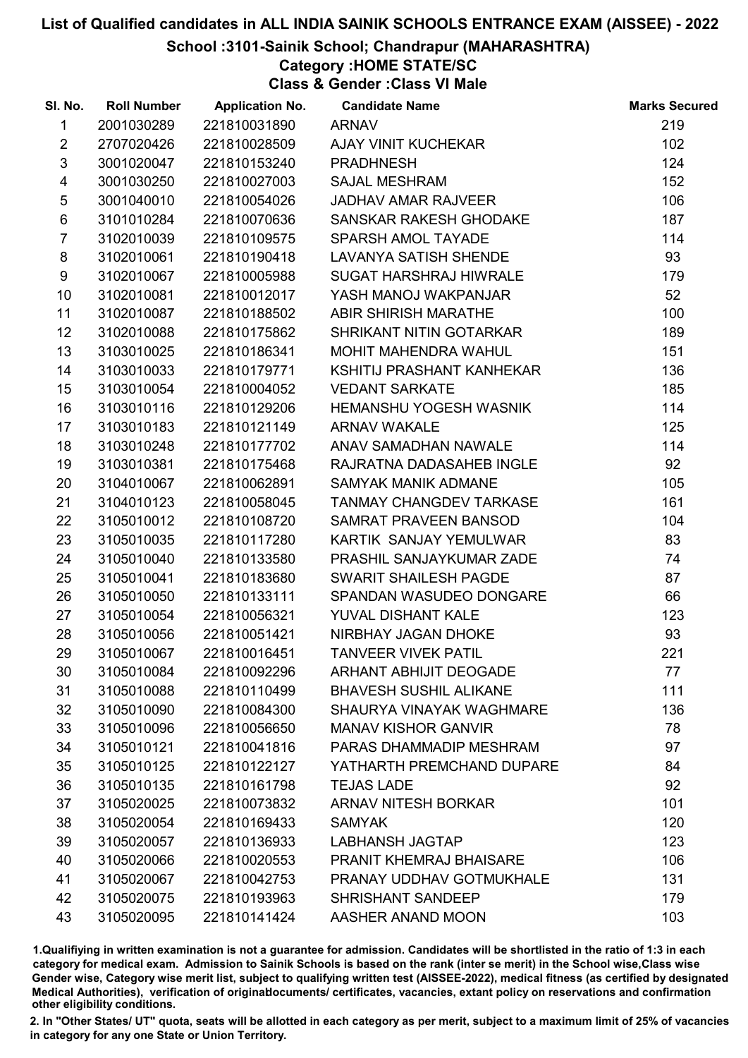#### School :3101-Sainik School; Chandrapur (MAHARASHTRA)

# Category :HOME STATE/SC

Class & Gender :Class VI Male

| SI. No.         | <b>Roll Number</b> | <b>Application No.</b> | <b>Candidate Name</b>          | <b>Marks Secured</b> |
|-----------------|--------------------|------------------------|--------------------------------|----------------------|
| $\mathbf{1}$    | 2001030289         | 221810031890           | <b>ARNAV</b>                   | 219                  |
| $\overline{2}$  | 2707020426         | 221810028509           | AJAY VINIT KUCHEKAR            | 102                  |
| $\mathfrak{S}$  | 3001020047         | 221810153240           | <b>PRADHNESH</b>               | 124                  |
| $\overline{4}$  | 3001030250         | 221810027003           | <b>SAJAL MESHRAM</b>           | 152                  |
| 5               | 3001040010         | 221810054026           | <b>JADHAV AMAR RAJVEER</b>     | 106                  |
| $\,6$           | 3101010284         | 221810070636           | SANSKAR RAKESH GHODAKE         | 187                  |
| $\overline{7}$  | 3102010039         | 221810109575           | SPARSH AMOL TAYADE             | 114                  |
| 8               | 3102010061         | 221810190418           | <b>LAVANYA SATISH SHENDE</b>   | 93                   |
| 9               | 3102010067         | 221810005988           | <b>SUGAT HARSHRAJ HIWRALE</b>  | 179                  |
| 10              | 3102010081         | 221810012017           | YASH MANOJ WAKPANJAR           | 52                   |
| 11              | 3102010087         | 221810188502           | ABIR SHIRISH MARATHE           | 100                  |
| 12 <sup>°</sup> | 3102010088         | 221810175862           | SHRIKANT NITIN GOTARKAR        | 189                  |
| 13              | 3103010025         | 221810186341           | MOHIT MAHENDRA WAHUL           | 151                  |
| 14              | 3103010033         | 221810179771           | KSHITIJ PRASHANT KANHEKAR      | 136                  |
| 15              | 3103010054         | 221810004052           | <b>VEDANT SARKATE</b>          | 185                  |
| 16              | 3103010116         | 221810129206           | <b>HEMANSHU YOGESH WASNIK</b>  | 114                  |
| 17              | 3103010183         | 221810121149           | <b>ARNAV WAKALE</b>            | 125                  |
| 18              | 3103010248         | 221810177702           | ANAV SAMADHAN NAWALE           | 114                  |
| 19              | 3103010381         | 221810175468           | RAJRATNA DADASAHEB INGLE       | 92                   |
| 20              | 3104010067         | 221810062891           | <b>SAMYAK MANIK ADMANE</b>     | 105                  |
| 21              | 3104010123         | 221810058045           | TANMAY CHANGDEV TARKASE        | 161                  |
| 22              | 3105010012         | 221810108720           | SAMRAT PRAVEEN BANSOD          | 104                  |
| 23              | 3105010035         | 221810117280           | KARTIK SANJAY YEMULWAR         | 83                   |
| 24              | 3105010040         | 221810133580           | PRASHIL SANJAYKUMAR ZADE       | 74                   |
| 25              | 3105010041         | 221810183680           | SWARIT SHAILESH PAGDE          | 87                   |
| 26              | 3105010050         | 221810133111           | SPANDAN WASUDEO DONGARE        | 66                   |
| 27              | 3105010054         | 221810056321           | YUVAL DISHANT KALE             | 123                  |
| 28              | 3105010056         | 221810051421           | NIRBHAY JAGAN DHOKE            | 93                   |
| 29              | 3105010067         | 221810016451           | <b>TANVEER VIVEK PATIL</b>     | 221                  |
| 30              | 3105010084         | 221810092296           | <b>ARHANT ABHIJIT DEOGADE</b>  | 77                   |
| 31              | 3105010088         | 221810110499           | <b>BHAVESH SUSHIL ALIKANE</b>  | 111                  |
| 32              | 3105010090         | 221810084300           | SHAURYA VINAYAK WAGHMARE       | 136                  |
| 33              | 3105010096         | 221810056650           | <b>MANAV KISHOR GANVIR</b>     | 78                   |
| 34              | 3105010121         | 221810041816           | PARAS DHAMMADIP MESHRAM        | 97                   |
| 35              | 3105010125         | 221810122127           | YATHARTH PREMCHAND DUPARE      | 84                   |
| 36              | 3105010135         | 221810161798           | <b>TEJAS LADE</b>              | 92                   |
| 37              | 3105020025         | 221810073832           | <b>ARNAV NITESH BORKAR</b>     | 101                  |
| 38              | 3105020054         | 221810169433           | <b>SAMYAK</b>                  | 120                  |
| 39              | 3105020057         | 221810136933           | <b>LABHANSH JAGTAP</b>         | 123                  |
| 40              | 3105020066         | 221810020553           | <b>PRANIT KHEMRAJ BHAISARE</b> | 106                  |
| 41              | 3105020067         | 221810042753           | PRANAY UDDHAV GOTMUKHALE       | 131                  |
| 42              | 3105020075         | 221810193963           | <b>SHRISHANT SANDEEP</b>       | 179                  |
| 43              | 3105020095         | 221810141424           | AASHER ANAND MOON              | 103                  |

1.Qualifiying in written examination is not a guarantee for admission. Candidates will be shortlisted in the ratio of 1:3 in each category for medical exam. Admission to Sainik Schools is based on the rank (inter se merit) in the School wise,Class wise Gender wise, Category wise merit list, subject to qualifying written test (AISSEE-2022), medical fitness (as certified by designated Medical Authorities), verification of originablocuments/ certificates, vacancies, extant policy on reservations and confirmation other eligibility conditions.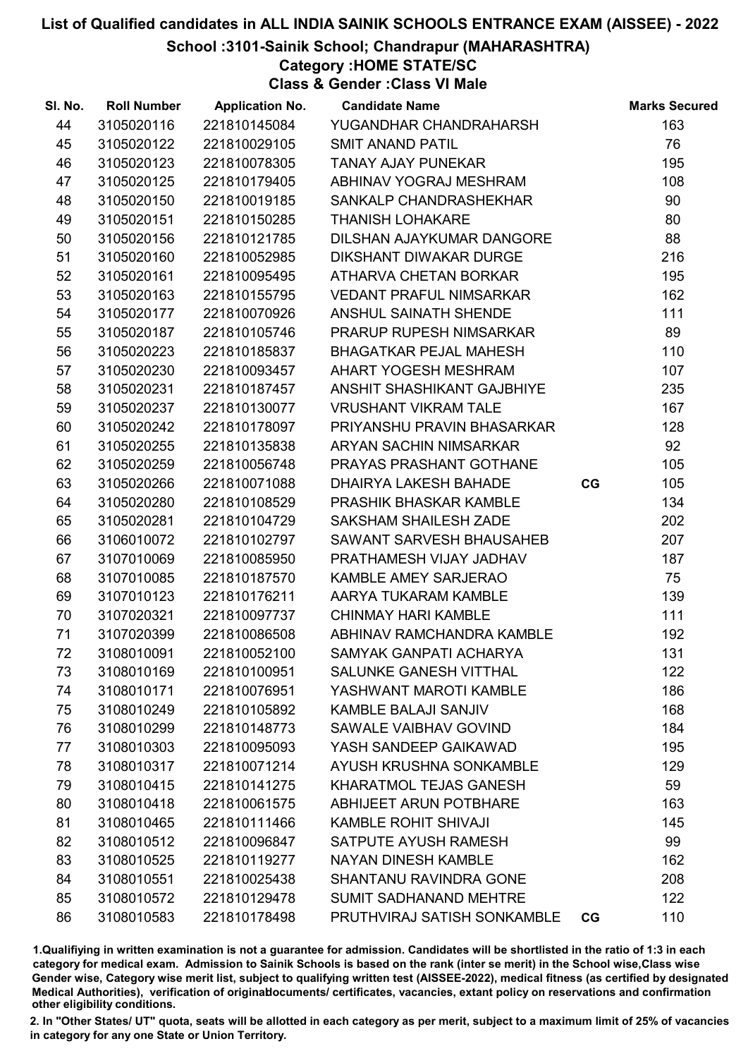School :3101-Sainik School; Chandrapur (MAHARASHTRA)

Category :HOME STATE/SC

Class & Gender :Class VI Male

| SI. No. | <b>Roll Number</b> | <b>Application No.</b> | <b>Candidate Name</b>          |    | <b>Marks Secured</b> |
|---------|--------------------|------------------------|--------------------------------|----|----------------------|
| 44      | 3105020116         | 221810145084           | YUGANDHAR CHANDRAHARSH         |    | 163                  |
| 45      | 3105020122         | 221810029105           | <b>SMIT ANAND PATIL</b>        |    | 76                   |
| 46      | 3105020123         | 221810078305           | <b>TANAY AJAY PUNEKAR</b>      |    | 195                  |
| 47      | 3105020125         | 221810179405           | ABHINAV YOGRAJ MESHRAM         |    | 108                  |
| 48      | 3105020150         | 221810019185           | SANKALP CHANDRASHEKHAR         |    | 90                   |
| 49      | 3105020151         | 221810150285           | <b>THANISH LOHAKARE</b>        |    | 80                   |
| 50      | 3105020156         | 221810121785           | DILSHAN AJAYKUMAR DANGORE      |    | 88                   |
| 51      | 3105020160         | 221810052985           | <b>DIKSHANT DIWAKAR DURGE</b>  |    | 216                  |
| 52      | 3105020161         | 221810095495           | ATHARVA CHETAN BORKAR          |    | 195                  |
| 53      | 3105020163         | 221810155795           | <b>VEDANT PRAFUL NIMSARKAR</b> |    | 162                  |
| 54      | 3105020177         | 221810070926           | ANSHUL SAINATH SHENDE          |    | 111                  |
| 55      | 3105020187         | 221810105746           | PRARUP RUPESH NIMSARKAR        |    | 89                   |
| 56      | 3105020223         | 221810185837           | <b>BHAGATKAR PEJAL MAHESH</b>  |    | 110                  |
| 57      | 3105020230         | 221810093457           | AHART YOGESH MESHRAM           |    | 107                  |
| 58      | 3105020231         | 221810187457           | ANSHIT SHASHIKANT GAJBHIYE     |    | 235                  |
| 59      | 3105020237         | 221810130077           | <b>VRUSHANT VIKRAM TALE</b>    |    | 167                  |
| 60      | 3105020242         | 221810178097           | PRIYANSHU PRAVIN BHASARKAR     |    | 128                  |
| 61      | 3105020255         | 221810135838           | ARYAN SACHIN NIMSARKAR         |    | 92                   |
| 62      | 3105020259         | 221810056748           | PRAYAS PRASHANT GOTHANE        |    | 105                  |
| 63      | 3105020266         | 221810071088           | <b>DHAIRYA LAKESH BAHADE</b>   | CG | 105                  |
| 64      | 3105020280         | 221810108529           | PRASHIK BHASKAR KAMBLE         |    | 134                  |
| 65      | 3105020281         | 221810104729           | SAKSHAM SHAILESH ZADE          |    | 202                  |
| 66      | 3106010072         | 221810102797           | SAWANT SARVESH BHAUSAHEB       |    | 207                  |
| 67      | 3107010069         | 221810085950           | PRATHAMESH VIJAY JADHAV        |    | 187                  |
| 68      | 3107010085         | 221810187570           | KAMBLE AMEY SARJERAO           |    | 75                   |
| 69      | 3107010123         | 221810176211           | AARYA TUKARAM KAMBLE           |    | 139                  |
| 70      | 3107020321         | 221810097737           | <b>CHINMAY HARI KAMBLE</b>     |    | 111                  |
| 71      | 3107020399         | 221810086508           | ABHINAV RAMCHANDRA KAMBLE      |    | 192                  |
| 72      | 3108010091         | 221810052100           | SAMYAK GANPATI ACHARYA         |    | 131                  |
| 73      | 3108010169         | 221810100951           | SALUNKE GANESH VITTHAL         |    | 122                  |
| 74      | 3108010171         | 221810076951           | YASHWANT MAROTI KAMBLE         |    | 186                  |
| 75      | 3108010249         | 221810105892           | <b>KAMBLE BALAJI SANJIV</b>    |    | 168                  |
| 76      | 3108010299         | 221810148773           | SAWALE VAIBHAV GOVIND          |    | 184                  |
| 77      | 3108010303         | 221810095093           | YASH SANDEEP GAIKAWAD          |    | 195                  |
| 78      | 3108010317         | 221810071214           | AYUSH KRUSHNA SONKAMBLE        |    | 129                  |
| 79      | 3108010415         | 221810141275           | KHARATMOL TEJAS GANESH         |    | 59                   |
| 80      | 3108010418         | 221810061575           | ABHIJEET ARUN POTBHARE         |    | 163                  |
| 81      | 3108010465         | 221810111466           | <b>KAMBLE ROHIT SHIVAJI</b>    |    | 145                  |
| 82      | 3108010512         | 221810096847           | SATPUTE AYUSH RAMESH           |    | 99                   |
| 83      | 3108010525         | 221810119277           | <b>NAYAN DINESH KAMBLE</b>     |    | 162                  |
| 84      | 3108010551         | 221810025438           | SHANTANU RAVINDRA GONE         |    | 208                  |
| 85      | 3108010572         | 221810129478           | <b>SUMIT SADHANAND MEHTRE</b>  |    | 122                  |
| 86      | 3108010583         | 221810178498           | PRUTHVIRAJ SATISH SONKAMBLE    | CG | 110                  |

1.Qualifiying in written examination is not a guarantee for admission. Candidates will be shortlisted in the ratio of 1:3 in each category for medical exam. Admission to Sainik Schools is based on the rank (inter se merit) in the School wise,Class wise Gender wise, Category wise merit list, subject to qualifying written test (AISSEE-2022), medical fitness (as certified by designated Medical Authorities), verification of originablocuments/ certificates, vacancies, extant policy on reservations and confirmation other eligibility conditions.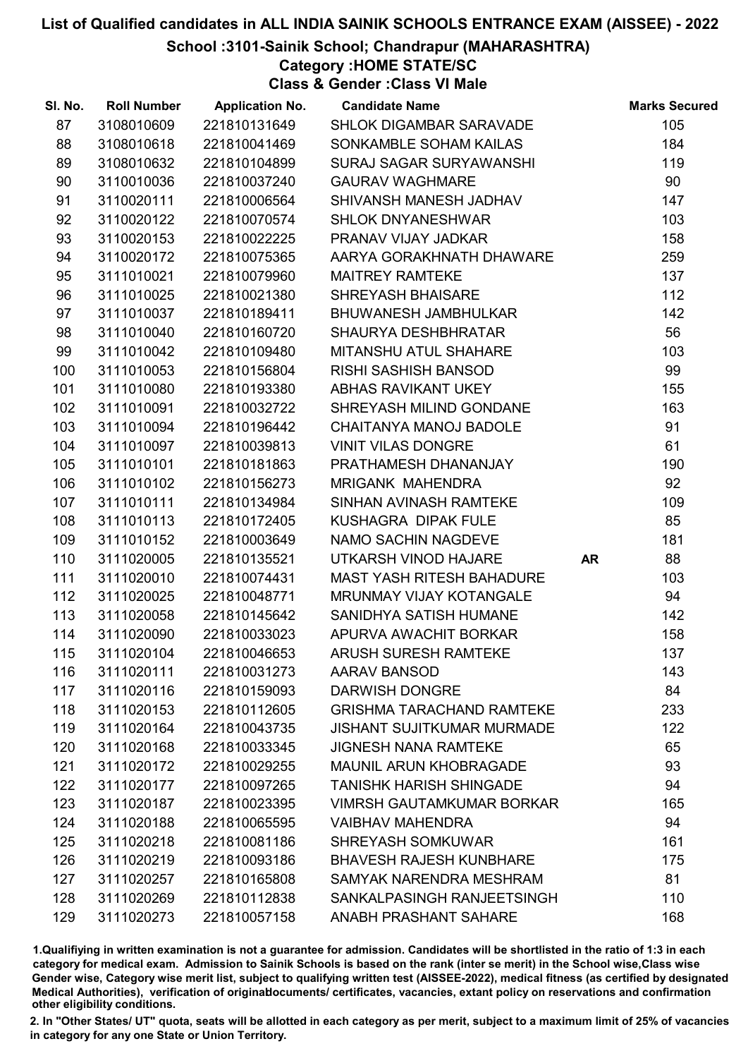School :3101-Sainik School; Chandrapur (MAHARASHTRA)

Category :HOME STATE/SC

Class & Gender :Class VI Male

| SI. No. | <b>Roll Number</b> | <b>Application No.</b> | <b>Candidate Name</b>             |           | <b>Marks Secured</b> |
|---------|--------------------|------------------------|-----------------------------------|-----------|----------------------|
| 87      | 3108010609         | 221810131649           | SHLOK DIGAMBAR SARAVADE           |           | 105                  |
| 88      | 3108010618         | 221810041469           | SONKAMBLE SOHAM KAILAS            |           | 184                  |
| 89      | 3108010632         | 221810104899           | SURAJ SAGAR SURYAWANSHI           |           | 119                  |
| 90      | 3110010036         | 221810037240           | <b>GAURAV WAGHMARE</b>            |           | 90                   |
| 91      | 3110020111         | 221810006564           | SHIVANSH MANESH JADHAV            |           | 147                  |
| 92      | 3110020122         | 221810070574           | <b>SHLOK DNYANESHWAR</b>          |           | 103                  |
| 93      | 3110020153         | 221810022225           | PRANAV VIJAY JADKAR               |           | 158                  |
| 94      | 3110020172         | 221810075365           | AARYA GORAKHNATH DHAWARE          |           | 259                  |
| 95      | 3111010021         | 221810079960           | <b>MAITREY RAMTEKE</b>            |           | 137                  |
| 96      | 3111010025         | 221810021380           | <b>SHREYASH BHAISARE</b>          |           | 112                  |
| 97      | 3111010037         | 221810189411           | <b>BHUWANESH JAMBHULKAR</b>       |           | 142                  |
| 98      | 3111010040         | 221810160720           | <b>SHAURYA DESHBHRATAR</b>        |           | 56                   |
| 99      | 3111010042         | 221810109480           | MITANSHU ATUL SHAHARE             |           | 103                  |
| 100     | 3111010053         | 221810156804           | <b>RISHI SASHISH BANSOD</b>       |           | 99                   |
| 101     | 3111010080         | 221810193380           | ABHAS RAVIKANT UKEY               |           | 155                  |
| 102     | 3111010091         | 221810032722           | SHREYASH MILIND GONDANE           |           | 163                  |
| 103     | 3111010094         | 221810196442           | CHAITANYA MANOJ BADOLE            |           | 91                   |
| 104     | 3111010097         | 221810039813           | <b>VINIT VILAS DONGRE</b>         |           | 61                   |
| 105     | 3111010101         | 221810181863           | PRATHAMESH DHANANJAY              |           | 190                  |
| 106     | 3111010102         | 221810156273           | <b>MRIGANK MAHENDRA</b>           |           | 92                   |
| 107     | 3111010111         | 221810134984           | SINHAN AVINASH RAMTEKE            |           | 109                  |
| 108     | 3111010113         | 221810172405           | KUSHAGRA DIPAK FULE               |           | 85                   |
| 109     | 3111010152         | 221810003649           | NAMO SACHIN NAGDEVE               |           | 181                  |
| 110     | 3111020005         | 221810135521           | UTKARSH VINOD HAJARE              | <b>AR</b> | 88                   |
| 111     | 3111020010         | 221810074431           | <b>MAST YASH RITESH BAHADURE</b>  |           | 103                  |
| 112     | 3111020025         | 221810048771           | <b>MRUNMAY VIJAY KOTANGALE</b>    |           | 94                   |
| 113     | 3111020058         | 221810145642           | SANIDHYA SATISH HUMANE            |           | 142                  |
| 114     | 3111020090         | 221810033023           | APURVA AWACHIT BORKAR             |           | 158                  |
| 115     | 3111020104         | 221810046653           | <b>ARUSH SURESH RAMTEKE</b>       |           | 137                  |
| 116     | 3111020111         | 221810031273           | <b>AARAV BANSOD</b>               |           | 143                  |
| 117     | 3111020116         | 221810159093           | <b>DARWISH DONGRE</b>             |           | 84                   |
| 118     | 3111020153         | 221810112605           | <b>GRISHMA TARACHAND RAMTEKE</b>  |           | 233                  |
| 119     | 3111020164         | 221810043735           | <b>JISHANT SUJITKUMAR MURMADE</b> |           | 122                  |
| 120     | 3111020168         | 221810033345           | <b>JIGNESH NANA RAMTEKE</b>       |           | 65                   |
| 121     | 3111020172         | 221810029255           | <b>MAUNIL ARUN KHOBRAGADE</b>     |           | 93                   |
| 122     | 3111020177         | 221810097265           | <b>TANISHK HARISH SHINGADE</b>    |           | 94                   |
| 123     | 3111020187         | 221810023395           | <b>VIMRSH GAUTAMKUMAR BORKAR</b>  |           | 165                  |
| 124     | 3111020188         | 221810065595           | <b>VAIBHAV MAHENDRA</b>           |           | 94                   |
| 125     | 3111020218         | 221810081186           | <b>SHREYASH SOMKUWAR</b>          |           | 161                  |
| 126     | 3111020219         | 221810093186           | <b>BHAVESH RAJESH KUNBHARE</b>    |           | 175                  |
| 127     | 3111020257         | 221810165808           | SAMYAK NARENDRA MESHRAM           |           | 81                   |
| 128     | 3111020269         | 221810112838           | SANKALPASINGH RANJEETSINGH        |           | 110                  |
| 129     | 3111020273         | 221810057158           | ANABH PRASHANT SAHARE             |           | 168                  |

1.Qualifiying in written examination is not a guarantee for admission. Candidates will be shortlisted in the ratio of 1:3 in each category for medical exam. Admission to Sainik Schools is based on the rank (inter se merit) in the School wise,Class wise Gender wise, Category wise merit list, subject to qualifying written test (AISSEE-2022), medical fitness (as certified by designated Medical Authorities), verification of originablocuments/ certificates, vacancies, extant policy on reservations and confirmation other eligibility conditions.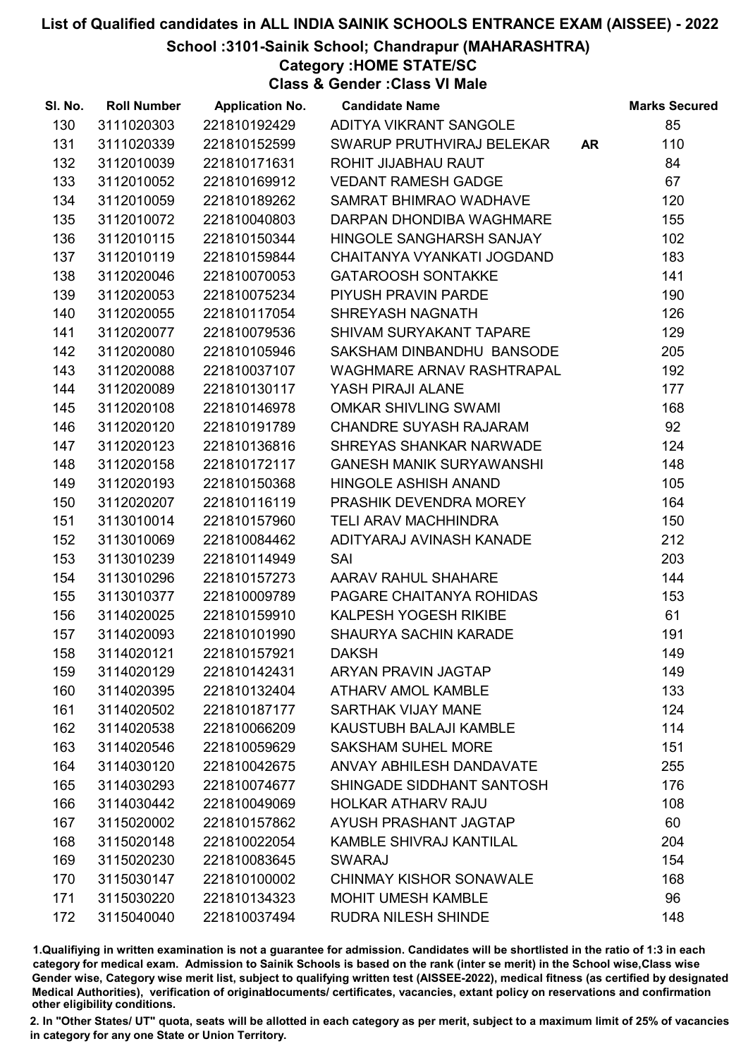#### School :3101-Sainik School; Chandrapur (MAHARASHTRA)

Category :HOME STATE/SC

Class & Gender :Class VI Male

| SI. No. | <b>Roll Number</b> | <b>Application No.</b> | <b>Candidate Name</b>           |           | <b>Marks Secured</b> |
|---------|--------------------|------------------------|---------------------------------|-----------|----------------------|
| 130     | 3111020303         | 221810192429           | ADITYA VIKRANT SANGOLE          |           | 85                   |
| 131     | 3111020339         | 221810152599           | SWARUP PRUTHVIRAJ BELEKAR       | <b>AR</b> | 110                  |
| 132     | 3112010039         | 221810171631           | ROHIT JIJABHAU RAUT             |           | 84                   |
| 133     | 3112010052         | 221810169912           | <b>VEDANT RAMESH GADGE</b>      |           | 67                   |
| 134     | 3112010059         | 221810189262           | SAMRAT BHIMRAO WADHAVE          |           | 120                  |
| 135     | 3112010072         | 221810040803           | DARPAN DHONDIBA WAGHMARE        |           | 155                  |
| 136     | 3112010115         | 221810150344           | HINGOLE SANGHARSH SANJAY        |           | 102                  |
| 137     | 3112010119         | 221810159844           | CHAITANYA VYANKATI JOGDAND      |           | 183                  |
| 138     | 3112020046         | 221810070053           | <b>GATAROOSH SONTAKKE</b>       |           | 141                  |
| 139     | 3112020053         | 221810075234           | PIYUSH PRAVIN PARDE             |           | 190                  |
| 140     | 3112020055         | 221810117054           | <b>SHREYASH NAGNATH</b>         |           | 126                  |
| 141     | 3112020077         | 221810079536           | SHIVAM SURYAKANT TAPARE         |           | 129                  |
| 142     | 3112020080         | 221810105946           | SAKSHAM DINBANDHU BANSODE       |           | 205                  |
| 143     | 3112020088         | 221810037107           | WAGHMARE ARNAV RASHTRAPAL       |           | 192                  |
| 144     | 3112020089         | 221810130117           | YASH PIRAJI ALANE               |           | 177                  |
| 145     | 3112020108         | 221810146978           | <b>OMKAR SHIVLING SWAMI</b>     |           | 168                  |
| 146     | 3112020120         | 221810191789           | <b>CHANDRE SUYASH RAJARAM</b>   |           | 92                   |
| 147     | 3112020123         | 221810136816           | SHREYAS SHANKAR NARWADE         |           | 124                  |
| 148     | 3112020158         | 221810172117           | <b>GANESH MANIK SURYAWANSHI</b> |           | 148                  |
| 149     | 3112020193         | 221810150368           | <b>HINGOLE ASHISH ANAND</b>     |           | 105                  |
| 150     | 3112020207         | 221810116119           | PRASHIK DEVENDRA MOREY          |           | 164                  |
| 151     | 3113010014         | 221810157960           | TELI ARAV MACHHINDRA            |           | 150                  |
| 152     | 3113010069         | 221810084462           | ADITYARAJ AVINASH KANADE        |           | 212                  |
| 153     | 3113010239         | 221810114949           | SAI                             |           | 203                  |
| 154     | 3113010296         | 221810157273           | AARAV RAHUL SHAHARE             |           | 144                  |
| 155     | 3113010377         | 221810009789           | PAGARE CHAITANYA ROHIDAS        |           | 153                  |
| 156     | 3114020025         | 221810159910           | <b>KALPESH YOGESH RIKIBE</b>    |           | 61                   |
| 157     | 3114020093         | 221810101990           | <b>SHAURYA SACHIN KARADE</b>    |           | 191                  |
| 158     | 3114020121         | 221810157921           | <b>DAKSH</b>                    |           | 149                  |
| 159     | 3114020129         | 221810142431           | <b>ARYAN PRAVIN JAGTAP</b>      |           | 149                  |
| 160     | 3114020395         | 221810132404           | <b>ATHARV AMOL KAMBLE</b>       |           | 133                  |
| 161     | 3114020502         | 221810187177           | <b>SARTHAK VIJAY MANE</b>       |           | 124                  |
| 162     | 3114020538         | 221810066209           | KAUSTUBH BALAJI KAMBLE          |           | 114                  |
| 163     | 3114020546         | 221810059629           | <b>SAKSHAM SUHEL MORE</b>       |           | 151                  |
| 164     | 3114030120         | 221810042675           | ANVAY ABHILESH DANDAVATE        |           | 255                  |
| 165     | 3114030293         | 221810074677           | SHINGADE SIDDHANT SANTOSH       |           | 176                  |
| 166     | 3114030442         | 221810049069           | <b>HOLKAR ATHARV RAJU</b>       |           | 108                  |
| 167     | 3115020002         | 221810157862           | AYUSH PRASHANT JAGTAP           |           | 60                   |
| 168     | 3115020148         | 221810022054           | <b>KAMBLE SHIVRAJ KANTILAL</b>  |           | 204                  |
| 169     | 3115020230         | 221810083645           | <b>SWARAJ</b>                   |           | 154                  |
| 170     | 3115030147         | 221810100002           | <b>CHINMAY KISHOR SONAWALE</b>  |           | 168                  |
| 171     | 3115030220         | 221810134323           | <b>MOHIT UMESH KAMBLE</b>       |           | 96                   |
| 172     | 3115040040         | 221810037494           | RUDRA NILESH SHINDE             |           | 148                  |

1.Qualifiying in written examination is not a guarantee for admission. Candidates will be shortlisted in the ratio of 1:3 in each category for medical exam. Admission to Sainik Schools is based on the rank (inter se merit) in the School wise,Class wise Gender wise, Category wise merit list, subject to qualifying written test (AISSEE-2022), medical fitness (as certified by designated Medical Authorities), verification of originablocuments/ certificates, vacancies, extant policy on reservations and confirmation other eligibility conditions.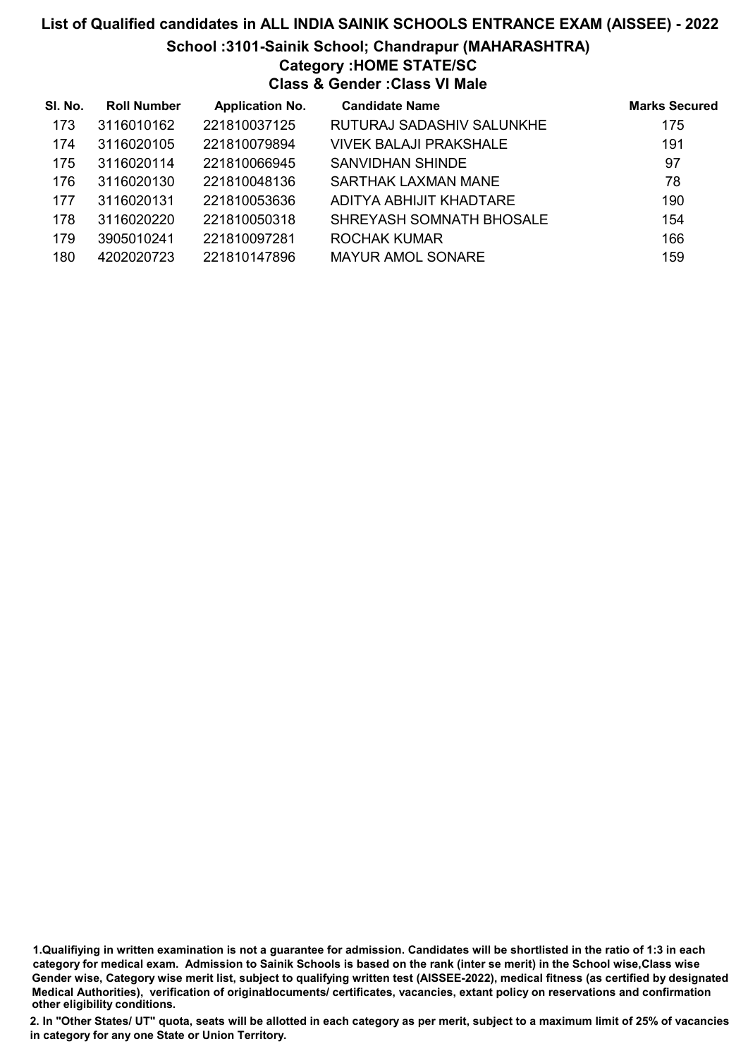# List of Qualified candidates in ALL INDIA SAINIK SCHOOLS ENTRANCE EXAM (AISSEE) - 2022 School :3101-Sainik School; Chandrapur (MAHARASHTRA) Category :HOME STATE/SC

Class & Gender :Class VI Male

| SI. No. | <b>Roll Number</b> | <b>Application No.</b> | <b>Candidate Name</b>     | <b>Marks Secured</b> |
|---------|--------------------|------------------------|---------------------------|----------------------|
| 173     | 3116010162         | 221810037125           | RUTURAJ SADASHIV SALUNKHE | 175                  |
| 174     | 3116020105         | 221810079894           | VIVEK BALAJI PRAKSHALE    | 191                  |
| 175     | 3116020114         | 221810066945           | SANVIDHAN SHINDE          | 97                   |
| 176     | 3116020130         | 221810048136           | SARTHAK LAXMAN MANE       | 78                   |
| 177     | 3116020131         | 221810053636           | ADITYA ABHIJIT KHADTARE   | 190                  |
| 178     | 3116020220         | 221810050318           | SHREYASH SOMNATH BHOSALE  | 154                  |
| 179     | 3905010241         | 221810097281           | ROCHAK KUMAR              | 166                  |
| 180     | 4202020723         | 221810147896           | <b>MAYUR AMOL SONARE</b>  | 159                  |

1.Qualifiying in written examination is not a guarantee for admission. Candidates will be shortlisted in the ratio of 1:3 in each category for medical exam. Admission to Sainik Schools is based on the rank (inter se merit) in the School wise,Class wise Gender wise, Category wise merit list, subject to qualifying written test (AISSEE-2022), medical fitness (as certified by designated Medical Authorities), verification of originablocuments/ certificates, vacancies, extant policy on reservations and confirmation other eligibility conditions.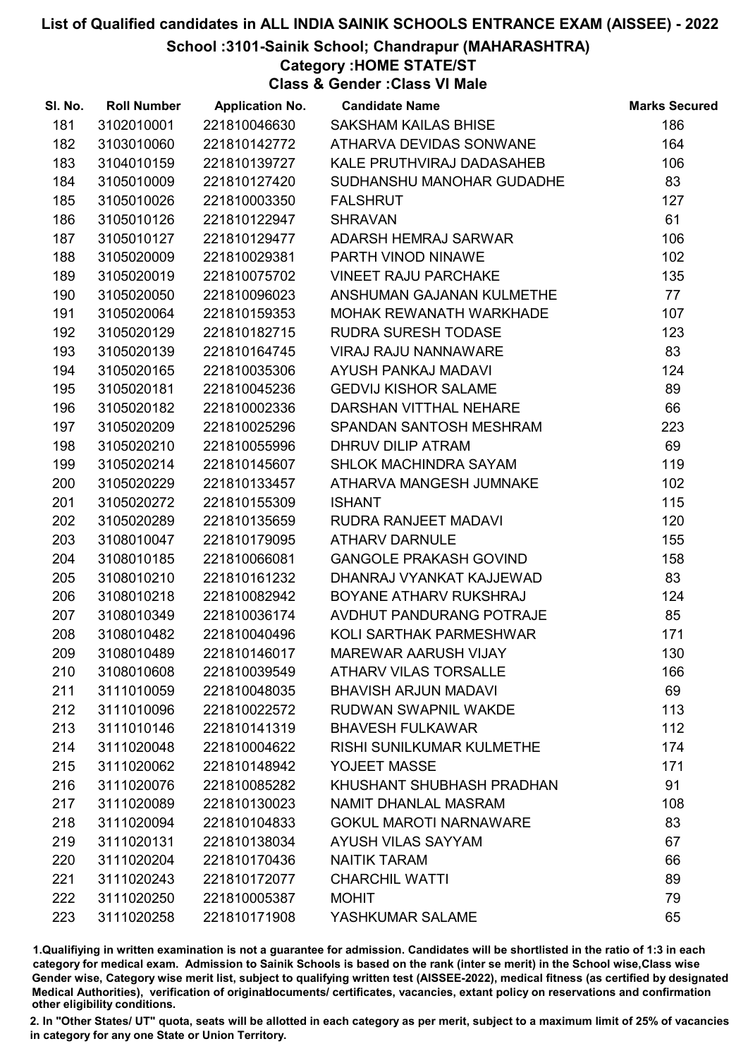School :3101-Sainik School; Chandrapur (MAHARASHTRA)

### Category :HOME STATE/ST

Class & Gender :Class VI Male

| SI. No. | <b>Roll Number</b> | <b>Application No.</b> | <b>Candidate Name</b>            | <b>Marks Secured</b> |
|---------|--------------------|------------------------|----------------------------------|----------------------|
| 181     | 3102010001         | 221810046630           | SAKSHAM KAILAS BHISE             | 186                  |
| 182     | 3103010060         | 221810142772           | ATHARVA DEVIDAS SONWANE          | 164                  |
| 183     | 3104010159         | 221810139727           | KALE PRUTHVIRAJ DADASAHEB        | 106                  |
| 184     | 3105010009         | 221810127420           | SUDHANSHU MANOHAR GUDADHE        | 83                   |
| 185     | 3105010026         | 221810003350           | <b>FALSHRUT</b>                  | 127                  |
| 186     | 3105010126         | 221810122947           | <b>SHRAVAN</b>                   | 61                   |
| 187     | 3105010127         | 221810129477           | ADARSH HEMRAJ SARWAR             | 106                  |
| 188     | 3105020009         | 221810029381           | PARTH VINOD NINAWE               | 102                  |
| 189     | 3105020019         | 221810075702           | <b>VINEET RAJU PARCHAKE</b>      | 135                  |
| 190     | 3105020050         | 221810096023           | ANSHUMAN GAJANAN KULMETHE        | 77                   |
| 191     | 3105020064         | 221810159353           | <b>MOHAK REWANATH WARKHADE</b>   | 107                  |
| 192     | 3105020129         | 221810182715           | <b>RUDRA SURESH TODASE</b>       | 123                  |
| 193     | 3105020139         | 221810164745           | <b>VIRAJ RAJU NANNAWARE</b>      | 83                   |
| 194     | 3105020165         | 221810035306           | <b>AYUSH PANKAJ MADAVI</b>       | 124                  |
| 195     | 3105020181         | 221810045236           | <b>GEDVIJ KISHOR SALAME</b>      | 89                   |
| 196     | 3105020182         | 221810002336           | DARSHAN VITTHAL NEHARE           | 66                   |
| 197     | 3105020209         | 221810025296           | SPANDAN SANTOSH MESHRAM          | 223                  |
| 198     | 3105020210         | 221810055996           | <b>DHRUV DILIP ATRAM</b>         | 69                   |
| 199     | 3105020214         | 221810145607           | <b>SHLOK MACHINDRA SAYAM</b>     | 119                  |
| 200     | 3105020229         | 221810133457           | ATHARVA MANGESH JUMNAKE          | 102                  |
| 201     | 3105020272         | 221810155309           | <b>ISHANT</b>                    | 115                  |
| 202     | 3105020289         | 221810135659           | RUDRA RANJEET MADAVI             | 120                  |
| 203     | 3108010047         | 221810179095           | <b>ATHARV DARNULE</b>            | 155                  |
| 204     | 3108010185         | 221810066081           | <b>GANGOLE PRAKASH GOVIND</b>    | 158                  |
| 205     | 3108010210         | 221810161232           | DHANRAJ VYANKAT KAJJEWAD         | 83                   |
| 206     | 3108010218         | 221810082942           | BOYANE ATHARV RUKSHRAJ           | 124                  |
| 207     | 3108010349         | 221810036174           | AVDHUT PANDURANG POTRAJE         | 85                   |
| 208     | 3108010482         | 221810040496           | KOLI SARTHAK PARMESHWAR          | 171                  |
| 209     | 3108010489         | 221810146017           | <b>MAREWAR AARUSH VIJAY</b>      | 130                  |
| 210     | 3108010608         | 221810039549           | <b>ATHARV VILAS TORSALLE</b>     | 166                  |
| 211     | 3111010059         | 221810048035           | <b>BHAVISH ARJUN MADAVI</b>      | 69                   |
| 212     | 3111010096         | 221810022572           | <b>RUDWAN SWAPNIL WAKDE</b>      | 113                  |
| 213     | 3111010146         | 221810141319           | <b>BHAVESH FULKAWAR</b>          | 112                  |
| 214     | 3111020048         | 221810004622           | <b>RISHI SUNILKUMAR KULMETHE</b> | 174                  |
| 215     | 3111020062         | 221810148942           | YOJEET MASSE                     | 171                  |
| 216     | 3111020076         | 221810085282           | KHUSHANT SHUBHASH PRADHAN        | 91                   |
| 217     | 3111020089         | 221810130023           | NAMIT DHANLAL MASRAM             | 108                  |
| 218     | 3111020094         | 221810104833           | <b>GOKUL MAROTI NARNAWARE</b>    | 83                   |
| 219     | 3111020131         | 221810138034           | <b>AYUSH VILAS SAYYAM</b>        | 67                   |
| 220     | 3111020204         | 221810170436           | <b>NAITIK TARAM</b>              | 66                   |
| 221     | 3111020243         | 221810172077           | <b>CHARCHIL WATTI</b>            | 89                   |
| 222     | 3111020250         | 221810005387           | <b>MOHIT</b>                     | 79                   |
| 223     | 3111020258         | 221810171908           | YASHKUMAR SALAME                 | 65                   |

1.Qualifiying in written examination is not a guarantee for admission. Candidates will be shortlisted in the ratio of 1:3 in each category for medical exam. Admission to Sainik Schools is based on the rank (inter se merit) in the School wise,Class wise Gender wise, Category wise merit list, subject to qualifying written test (AISSEE-2022), medical fitness (as certified by designated Medical Authorities), verification of originablocuments/ certificates, vacancies, extant policy on reservations and confirmation other eligibility conditions.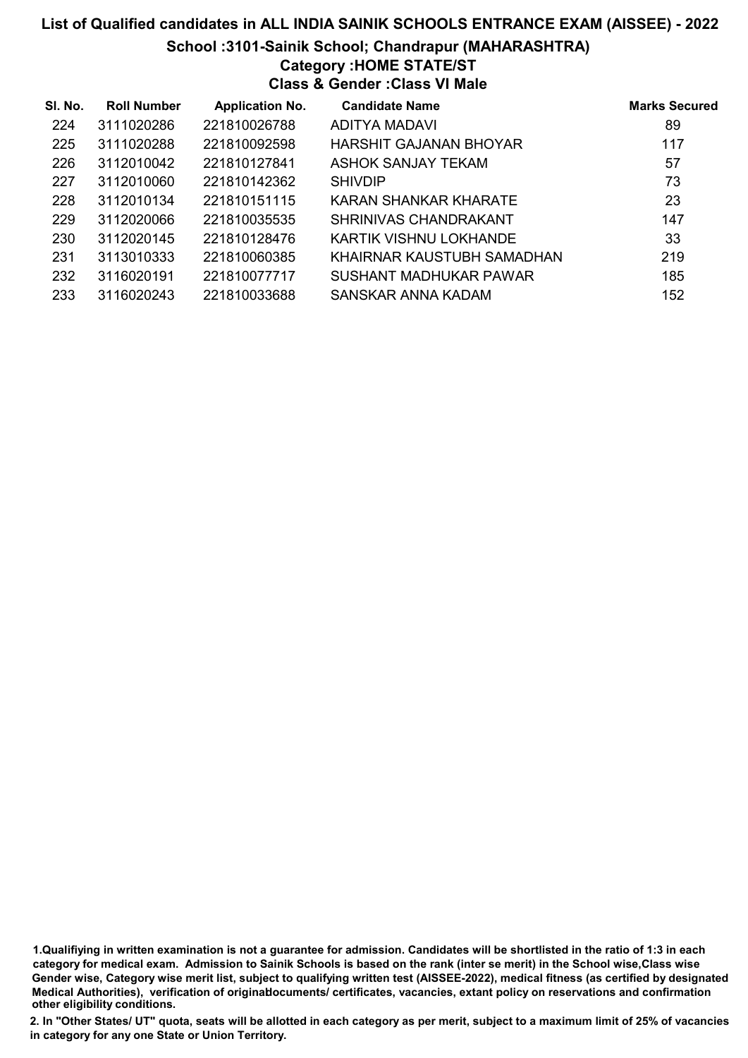#### School :3101-Sainik School; Chandrapur (MAHARASHTRA)

### Category :HOME STATE/ST

Class & Gender :Class VI Male

| SI. No. | <b>Roll Number</b> | <b>Application No.</b> | <b>Candidate Name</b>      | <b>Marks Secured</b> |
|---------|--------------------|------------------------|----------------------------|----------------------|
| 224     | 3111020286         | 221810026788           | ADITYA MADAVI              | 89                   |
| 225     | 3111020288         | 221810092598           | HARSHIT GAJANAN BHOYAR     | 117                  |
| 226     | 3112010042         | 221810127841           | ASHOK SANJAY TEKAM         | 57                   |
| 227     | 3112010060         | 221810142362           | <b>SHIVDIP</b>             | 73                   |
| 228     | 3112010134         | 221810151115           | KARAN SHANKAR KHARATE      | 23                   |
| 229     | 3112020066         | 221810035535           | SHRINIVAS CHANDRAKANT      | 147                  |
| 230     | 3112020145         | 221810128476           | KARTIK VISHNU LOKHANDE     | 33                   |
| 231     | 3113010333         | 221810060385           | KHAIRNAR KAUSTUBH SAMADHAN | 219                  |
| 232     | 3116020191         | 221810077717           | SUSHANT MADHUKAR PAWAR     | 185                  |
| 233     | 3116020243         | 221810033688           | SANSKAR ANNA KADAM         | 152                  |

1.Qualifiying in written examination is not a guarantee for admission. Candidates will be shortlisted in the ratio of 1:3 in each category for medical exam. Admission to Sainik Schools is based on the rank (inter se merit) in the School wise,Class wise Gender wise, Category wise merit list, subject to qualifying written test (AISSEE-2022), medical fitness (as certified by designated Medical Authorities), verification of originablocuments/ certificates, vacancies, extant policy on reservations and confirmation other eligibility conditions.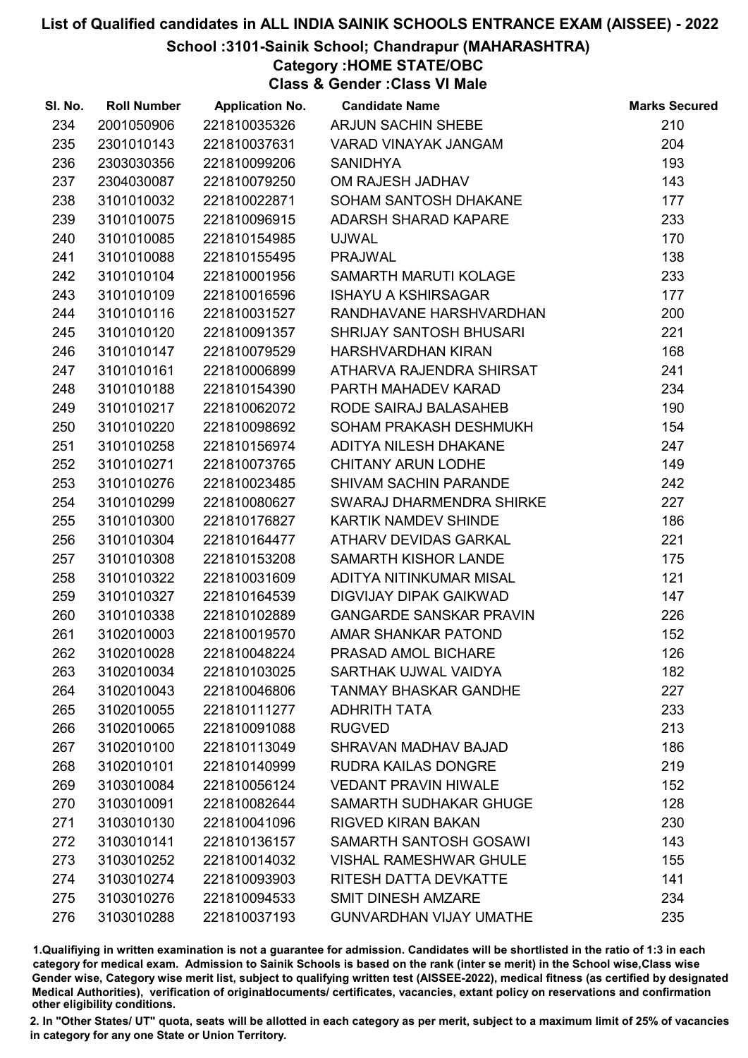#### School :3101-Sainik School; Chandrapur (MAHARASHTRA)

# Category :HOME STATE/OBC

Class & Gender :Class VI Male

| SI. No. | <b>Roll Number</b> | <b>Application No.</b> | <b>Candidate Name</b>          | <b>Marks Secured</b> |
|---------|--------------------|------------------------|--------------------------------|----------------------|
| 234     | 2001050906         | 221810035326           | <b>ARJUN SACHIN SHEBE</b>      | 210                  |
| 235     | 2301010143         | 221810037631           | <b>VARAD VINAYAK JANGAM</b>    | 204                  |
| 236     | 2303030356         | 221810099206           | <b>SANIDHYA</b>                | 193                  |
| 237     | 2304030087         | 221810079250           | OM RAJESH JADHAV               | 143                  |
| 238     | 3101010032         | 221810022871           | SOHAM SANTOSH DHAKANE          | 177                  |
| 239     | 3101010075         | 221810096915           | <b>ADARSH SHARAD KAPARE</b>    | 233                  |
| 240     | 3101010085         | 221810154985           | <b>UJWAL</b>                   | 170                  |
| 241     | 3101010088         | 221810155495           | <b>PRAJWAL</b>                 | 138                  |
| 242     | 3101010104         | 221810001956           | SAMARTH MARUTI KOLAGE          | 233                  |
| 243     | 3101010109         | 221810016596           | <b>ISHAYU A KSHIRSAGAR</b>     | 177                  |
| 244     | 3101010116         | 221810031527           | RANDHAVANE HARSHVARDHAN        | 200                  |
| 245     | 3101010120         | 221810091357           | <b>SHRIJAY SANTOSH BHUSARI</b> | 221                  |
| 246     | 3101010147         | 221810079529           | HARSHVARDHAN KIRAN             | 168                  |
| 247     | 3101010161         | 221810006899           | ATHARVA RAJENDRA SHIRSAT       | 241                  |
| 248     | 3101010188         | 221810154390           | PARTH MAHADEV KARAD            | 234                  |
| 249     | 3101010217         | 221810062072           | RODE SAIRAJ BALASAHEB          | 190                  |
| 250     | 3101010220         | 221810098692           | SOHAM PRAKASH DESHMUKH         | 154                  |
| 251     | 3101010258         | 221810156974           | ADITYA NILESH DHAKANE          | 247                  |
| 252     | 3101010271         | 221810073765           | <b>CHITANY ARUN LODHE</b>      | 149                  |
| 253     | 3101010276         | 221810023485           | SHIVAM SACHIN PARANDE          | 242                  |
| 254     | 3101010299         | 221810080627           | SWARAJ DHARMENDRA SHIRKE       | 227                  |
| 255     | 3101010300         | 221810176827           | KARTIK NAMDEV SHINDE           | 186                  |
| 256     | 3101010304         | 221810164477           | ATHARV DEVIDAS GARKAL          | 221                  |
| 257     | 3101010308         | 221810153208           | SAMARTH KISHOR LANDE           | 175                  |
| 258     | 3101010322         | 221810031609           | ADITYA NITINKUMAR MISAL        | 121                  |
| 259     | 3101010327         | 221810164539           | <b>DIGVIJAY DIPAK GAIKWAD</b>  | 147                  |
| 260     | 3101010338         | 221810102889           | <b>GANGARDE SANSKAR PRAVIN</b> | 226                  |
| 261     | 3102010003         | 221810019570           | AMAR SHANKAR PATOND            | 152                  |
| 262     | 3102010028         | 221810048224           | PRASAD AMOL BICHARE            | 126                  |
| 263     | 3102010034         | 221810103025           | SARTHAK UJWAL VAIDYA           | 182                  |
| 264     | 3102010043         | 221810046806           | <b>TANMAY BHASKAR GANDHE</b>   | 227                  |
| 265     | 3102010055         | 221810111277           | <b>ADHRITH TATA</b>            | 233                  |
| 266     | 3102010065         | 221810091088           | <b>RUGVED</b>                  | 213                  |
| 267     | 3102010100         | 221810113049           | SHRAVAN MADHAV BAJAD           | 186                  |
| 268     | 3102010101         | 221810140999           | <b>RUDRA KAILAS DONGRE</b>     | 219                  |
| 269     | 3103010084         | 221810056124           | <b>VEDANT PRAVIN HIWALE</b>    | 152                  |
| 270     | 3103010091         | 221810082644           | SAMARTH SUDHAKAR GHUGE         | 128                  |
| 271     | 3103010130         | 221810041096           | <b>RIGVED KIRAN BAKAN</b>      | 230                  |
| 272     | 3103010141         | 221810136157           | <b>SAMARTH SANTOSH GOSAWI</b>  | 143                  |
| 273     | 3103010252         | 221810014032           | <b>VISHAL RAMESHWAR GHULE</b>  | 155                  |
| 274     | 3103010274         | 221810093903           | RITESH DATTA DEVKATTE          | 141                  |
| 275     | 3103010276         | 221810094533           | <b>SMIT DINESH AMZARE</b>      | 234                  |
| 276     | 3103010288         | 221810037193           | <b>GUNVARDHAN VIJAY UMATHE</b> | 235                  |

1.Qualifiying in written examination is not a guarantee for admission. Candidates will be shortlisted in the ratio of 1:3 in each category for medical exam. Admission to Sainik Schools is based on the rank (inter se merit) in the School wise,Class wise Gender wise, Category wise merit list, subject to qualifying written test (AISSEE-2022), medical fitness (as certified by designated Medical Authorities), verification of originablocuments/ certificates, vacancies, extant policy on reservations and confirmation other eligibility conditions.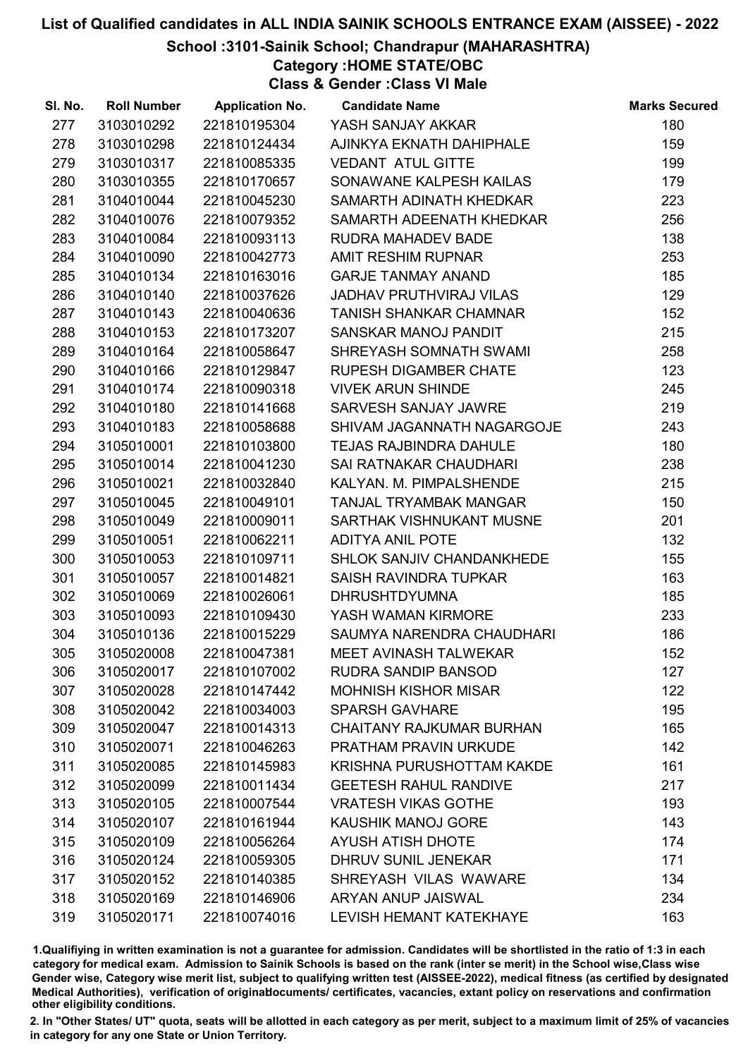#### School :3101-Sainik School; Chandrapur (MAHARASHTRA)

Category :HOME STATE/OBC

Class & Gender :Class VI Male

| SI. No. | <b>Roll Number</b> | <b>Application No.</b> | <b>Candidate Name</b>          | <b>Marks Secured</b> |
|---------|--------------------|------------------------|--------------------------------|----------------------|
| 277     | 3103010292         | 221810195304           | YASH SANJAY AKKAR              | 180                  |
| 278     | 3103010298         | 221810124434           | AJINKYA EKNATH DAHIPHALE       | 159                  |
| 279     | 3103010317         | 221810085335           | <b>VEDANT ATUL GITTE</b>       | 199                  |
| 280     | 3103010355         | 221810170657           | SONAWANE KALPESH KAILAS        | 179                  |
| 281     | 3104010044         | 221810045230           | SAMARTH ADINATH KHEDKAR        | 223                  |
| 282     | 3104010076         | 221810079352           | SAMARTH ADEENATH KHEDKAR       | 256                  |
| 283     | 3104010084         | 221810093113           | RUDRA MAHADEV BADE             | 138                  |
| 284     | 3104010090         | 221810042773           | <b>AMIT RESHIM RUPNAR</b>      | 253                  |
| 285     | 3104010134         | 221810163016           | <b>GARJE TANMAY ANAND</b>      | 185                  |
| 286     | 3104010140         | 221810037626           | <b>JADHAV PRUTHVIRAJ VILAS</b> | 129                  |
| 287     | 3104010143         | 221810040636           | TANISH SHANKAR CHAMNAR         | 152                  |
| 288     | 3104010153         | 221810173207           | SANSKAR MANOJ PANDIT           | 215                  |
| 289     | 3104010164         | 221810058647           | SHREYASH SOMNATH SWAMI         | 258                  |
| 290     | 3104010166         | 221810129847           | <b>RUPESH DIGAMBER CHATE</b>   | 123                  |
| 291     | 3104010174         | 221810090318           | <b>VIVEK ARUN SHINDE</b>       | 245                  |
| 292     | 3104010180         | 221810141668           | SARVESH SANJAY JAWRE           | 219                  |
| 293     | 3104010183         | 221810058688           | SHIVAM JAGANNATH NAGARGOJE     | 243                  |
| 294     | 3105010001         | 221810103800           | <b>TEJAS RAJBINDRA DAHULE</b>  | 180                  |
| 295     | 3105010014         | 221810041230           | SAI RATNAKAR CHAUDHARI         | 238                  |
| 296     | 3105010021         | 221810032840           | KALYAN. M. PIMPALSHENDE        | 215                  |
| 297     | 3105010045         | 221810049101           | TANJAL TRYAMBAK MANGAR         | 150                  |
| 298     | 3105010049         | 221810009011           | SARTHAK VISHNUKANT MUSNE       | 201                  |
| 299     | 3105010051         | 221810062211           | <b>ADITYA ANIL POTE</b>        | 132                  |
| 300     | 3105010053         | 221810109711           | SHLOK SANJIV CHANDANKHEDE      | 155                  |
| 301     | 3105010057         | 221810014821           | SAISH RAVINDRA TUPKAR          | 163                  |
| 302     | 3105010069         | 221810026061           | <b>DHRUSHTDYUMNA</b>           | 185                  |
| 303     | 3105010093         | 221810109430           | YASH WAMAN KIRMORE             | 233                  |
| 304     | 3105010136         | 221810015229           | SAUMYA NARENDRA CHAUDHARI      | 186                  |
| 305     | 3105020008         | 221810047381           | MEET AVINASH TALWEKAR          | 152                  |
| 306     | 3105020017         | 221810107002           | RUDRA SANDIP BANSOD            | 127                  |
| 307     | 3105020028         | 221810147442           | <b>MOHNISH KISHOR MISAR</b>    | 122                  |
| 308     | 3105020042         | 221810034003           | <b>SPARSH GAVHARE</b>          | 195                  |
| 309     | 3105020047         | 221810014313           | CHAITANY RAJKUMAR BURHAN       | 165                  |
| 310     | 3105020071         | 221810046263           | <b>PRATHAM PRAVIN URKUDE</b>   | 142                  |
| 311     | 3105020085         | 221810145983           | KRISHNA PURUSHOTTAM KAKDE      | 161                  |
| 312     | 3105020099         | 221810011434           | <b>GEETESH RAHUL RANDIVE</b>   | 217                  |
| 313     | 3105020105         | 221810007544           | <b>VRATESH VIKAS GOTHE</b>     | 193                  |
| 314     | 3105020107         | 221810161944           | <b>KAUSHIK MANOJ GORE</b>      | 143                  |
| 315     | 3105020109         | 221810056264           | <b>AYUSH ATISH DHOTE</b>       | 174                  |
| 316     | 3105020124         | 221810059305           | <b>DHRUV SUNIL JENEKAR</b>     | 171                  |
| 317     | 3105020152         | 221810140385           | SHREYASH VILAS WAWARE          | 134                  |
| 318     | 3105020169         | 221810146906           | ARYAN ANUP JAISWAL             | 234                  |
| 319     | 3105020171         | 221810074016           | <b>LEVISH HEMANT KATEKHAYE</b> | 163                  |

1.Qualifiying in written examination is not a guarantee for admission. Candidates will be shortlisted in the ratio of 1:3 in each category for medical exam. Admission to Sainik Schools is based on the rank (inter se merit) in the School wise,Class wise Gender wise, Category wise merit list, subject to qualifying written test (AISSEE-2022), medical fitness (as certified by designated Medical Authorities), verification of originablocuments/ certificates, vacancies, extant policy on reservations and confirmation other eligibility conditions.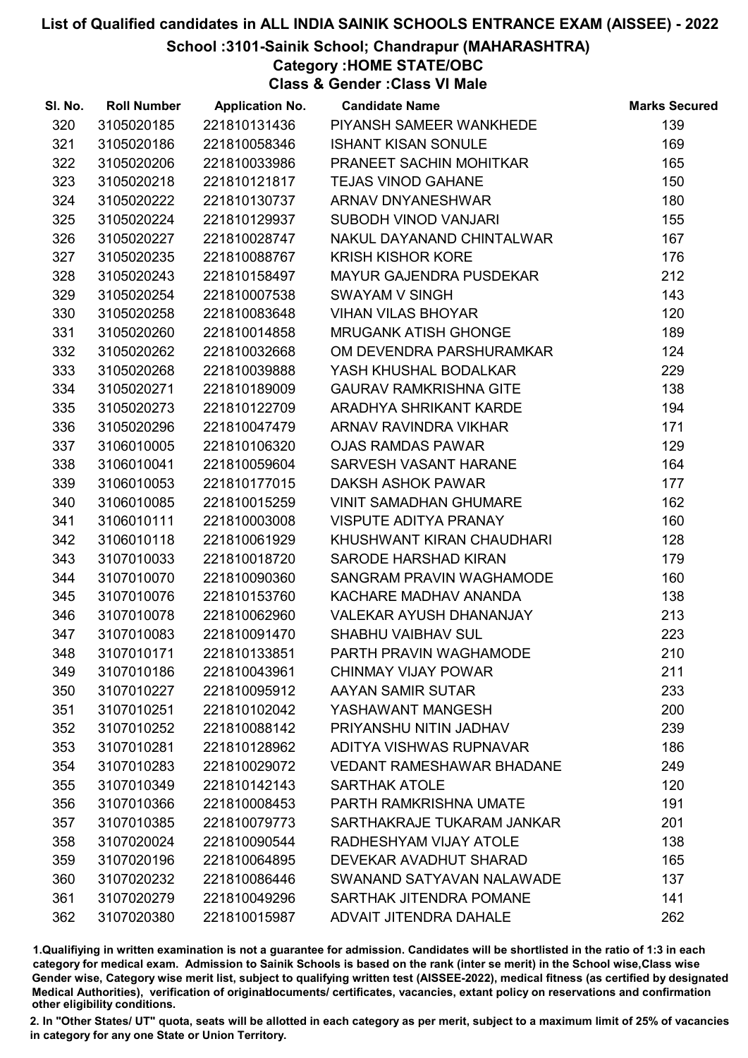#### School :3101-Sainik School; Chandrapur (MAHARASHTRA)

Category :HOME STATE/OBC

Class & Gender :Class VI Male

| SI. No. | <b>Roll Number</b> | <b>Application No.</b> | <b>Candidate Name</b>            | <b>Marks Secured</b> |
|---------|--------------------|------------------------|----------------------------------|----------------------|
| 320     | 3105020185         | 221810131436           | PIYANSH SAMEER WANKHEDE          | 139                  |
| 321     | 3105020186         | 221810058346           | <b>ISHANT KISAN SONULE</b>       | 169                  |
| 322     | 3105020206         | 221810033986           | PRANEET SACHIN MOHITKAR          | 165                  |
| 323     | 3105020218         | 221810121817           | <b>TEJAS VINOD GAHANE</b>        | 150                  |
| 324     | 3105020222         | 221810130737           | ARNAV DNYANESHWAR                | 180                  |
| 325     | 3105020224         | 221810129937           | SUBODH VINOD VANJARI             | 155                  |
| 326     | 3105020227         | 221810028747           | NAKUL DAYANAND CHINTALWAR        | 167                  |
| 327     | 3105020235         | 221810088767           | <b>KRISH KISHOR KORE</b>         | 176                  |
| 328     | 3105020243         | 221810158497           | <b>MAYUR GAJENDRA PUSDEKAR</b>   | 212                  |
| 329     | 3105020254         | 221810007538           | <b>SWAYAM V SINGH</b>            | 143                  |
| 330     | 3105020258         | 221810083648           | <b>VIHAN VILAS BHOYAR</b>        | 120                  |
| 331     | 3105020260         | 221810014858           | <b>MRUGANK ATISH GHONGE</b>      | 189                  |
| 332     | 3105020262         | 221810032668           | OM DEVENDRA PARSHURAMKAR         | 124                  |
| 333     | 3105020268         | 221810039888           | YASH KHUSHAL BODALKAR            | 229                  |
| 334     | 3105020271         | 221810189009           | <b>GAURAV RAMKRISHNA GITE</b>    | 138                  |
| 335     | 3105020273         | 221810122709           | ARADHYA SHRIKANT KARDE           | 194                  |
| 336     | 3105020296         | 221810047479           | ARNAV RAVINDRA VIKHAR            | 171                  |
| 337     | 3106010005         | 221810106320           | <b>OJAS RAMDAS PAWAR</b>         | 129                  |
| 338     | 3106010041         | 221810059604           | SARVESH VASANT HARANE            | 164                  |
| 339     | 3106010053         | 221810177015           | DAKSH ASHOK PAWAR                | 177                  |
| 340     | 3106010085         | 221810015259           | <b>VINIT SAMADHAN GHUMARE</b>    | 162                  |
| 341     | 3106010111         | 221810003008           | <b>VISPUTE ADITYA PRANAY</b>     | 160                  |
| 342     | 3106010118         | 221810061929           | KHUSHWANT KIRAN CHAUDHARI        | 128                  |
| 343     | 3107010033         | 221810018720           | SARODE HARSHAD KIRAN             | 179                  |
| 344     | 3107010070         | 221810090360           | SANGRAM PRAVIN WAGHAMODE         | 160                  |
| 345     | 3107010076         | 221810153760           | KACHARE MADHAV ANANDA            | 138                  |
| 346     | 3107010078         | 221810062960           | VALEKAR AYUSH DHANANJAY          | 213                  |
| 347     | 3107010083         | 221810091470           | <b>SHABHU VAIBHAV SUL</b>        | 223                  |
| 348     | 3107010171         | 221810133851           | PARTH PRAVIN WAGHAMODE           | 210                  |
| 349     | 3107010186         | 221810043961           | <b>CHINMAY VIJAY POWAR</b>       | 211                  |
| 350     | 3107010227         | 221810095912           | AAYAN SAMIR SUTAR                | 233                  |
| 351     | 3107010251         | 221810102042           | YASHAWANT MANGESH                | 200                  |
| 352     | 3107010252         | 221810088142           | PRIYANSHU NITIN JADHAV           | 239                  |
| 353     | 3107010281         | 221810128962           | ADITYA VISHWAS RUPNAVAR          | 186                  |
| 354     | 3107010283         | 221810029072           | <b>VEDANT RAMESHAWAR BHADANE</b> | 249                  |
| 355     | 3107010349         | 221810142143           | <b>SARTHAK ATOLE</b>             | 120                  |
| 356     | 3107010366         | 221810008453           | PARTH RAMKRISHNA UMATE           | 191                  |
| 357     | 3107010385         | 221810079773           | SARTHAKRAJE TUKARAM JANKAR       | 201                  |
| 358     | 3107020024         | 221810090544           | RADHESHYAM VIJAY ATOLE           | 138                  |
| 359     | 3107020196         | 221810064895           | DEVEKAR AVADHUT SHARAD           | 165                  |
| 360     | 3107020232         | 221810086446           | SWANAND SATYAVAN NALAWADE        | 137                  |
| 361     | 3107020279         | 221810049296           | SARTHAK JITENDRA POMANE          | 141                  |
| 362     | 3107020380         | 221810015987           | ADVAIT JITENDRA DAHALE           | 262                  |

1.Qualifiying in written examination is not a guarantee for admission. Candidates will be shortlisted in the ratio of 1:3 in each category for medical exam. Admission to Sainik Schools is based on the rank (inter se merit) in the School wise,Class wise Gender wise, Category wise merit list, subject to qualifying written test (AISSEE-2022), medical fitness (as certified by designated Medical Authorities), verification of originablocuments/ certificates, vacancies, extant policy on reservations and confirmation other eligibility conditions.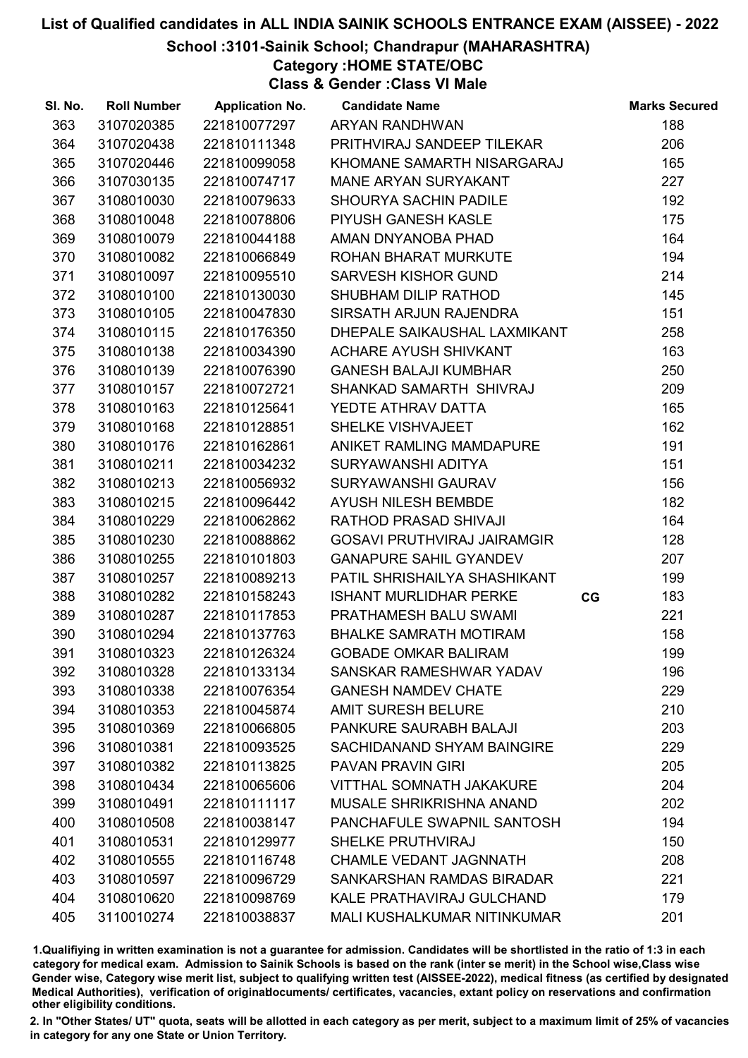#### School :3101-Sainik School; Chandrapur (MAHARASHTRA)

Category :HOME STATE/OBC

Class & Gender :Class VI Male

| SI. No. | <b>Roll Number</b> | <b>Application No.</b> | <b>Candidate Name</b>              |    | <b>Marks Secured</b> |
|---------|--------------------|------------------------|------------------------------------|----|----------------------|
| 363     | 3107020385         | 221810077297           | <b>ARYAN RANDHWAN</b>              |    | 188                  |
| 364     | 3107020438         | 221810111348           | PRITHVIRAJ SANDEEP TILEKAR         |    | 206                  |
| 365     | 3107020446         | 221810099058           | KHOMANE SAMARTH NISARGARAJ         |    | 165                  |
| 366     | 3107030135         | 221810074717           | <b>MANE ARYAN SURYAKANT</b>        |    | 227                  |
| 367     | 3108010030         | 221810079633           | SHOURYA SACHIN PADILE              |    | 192                  |
| 368     | 3108010048         | 221810078806           | PIYUSH GANESH KASLE                |    | 175                  |
| 369     | 3108010079         | 221810044188           | AMAN DNYANOBA PHAD                 |    | 164                  |
| 370     | 3108010082         | 221810066849           | ROHAN BHARAT MURKUTE               |    | 194                  |
| 371     | 3108010097         | 221810095510           | <b>SARVESH KISHOR GUND</b>         |    | 214                  |
| 372     | 3108010100         | 221810130030           | SHUBHAM DILIP RATHOD               |    | 145                  |
| 373     | 3108010105         | 221810047830           | SIRSATH ARJUN RAJENDRA             |    | 151                  |
| 374     | 3108010115         | 221810176350           | DHEPALE SAIKAUSHAL LAXMIKANT       |    | 258                  |
| 375     | 3108010138         | 221810034390           | ACHARE AYUSH SHIVKANT              |    | 163                  |
| 376     | 3108010139         | 221810076390           | <b>GANESH BALAJI KUMBHAR</b>       |    | 250                  |
| 377     | 3108010157         | 221810072721           | SHANKAD SAMARTH SHIVRAJ            |    | 209                  |
| 378     | 3108010163         | 221810125641           | YEDTE ATHRAV DATTA                 |    | 165                  |
| 379     | 3108010168         | 221810128851           | SHELKE VISHVAJEET                  |    | 162                  |
| 380     | 3108010176         | 221810162861           | ANIKET RAMLING MAMDAPURE           |    | 191                  |
| 381     | 3108010211         | 221810034232           | SURYAWANSHI ADITYA                 |    | 151                  |
| 382     | 3108010213         | 221810056932           | SURYAWANSHI GAURAV                 |    | 156                  |
| 383     | 3108010215         | 221810096442           | <b>AYUSH NILESH BEMBDE</b>         |    | 182                  |
| 384     | 3108010229         | 221810062862           | RATHOD PRASAD SHIVAJI              |    | 164                  |
| 385     | 3108010230         | 221810088862           | <b>GOSAVI PRUTHVIRAJ JAIRAMGIR</b> |    | 128                  |
| 386     | 3108010255         | 221810101803           | <b>GANAPURE SAHIL GYANDEV</b>      |    | 207                  |
| 387     | 3108010257         | 221810089213           | PATIL SHRISHAILYA SHASHIKANT       |    | 199                  |
| 388     | 3108010282         | 221810158243           | <b>ISHANT MURLIDHAR PERKE</b>      | CG | 183                  |
| 389     | 3108010287         | 221810117853           | PRATHAMESH BALU SWAMI              |    | 221                  |
| 390     | 3108010294         | 221810137763           | <b>BHALKE SAMRATH MOTIRAM</b>      |    | 158                  |
| 391     | 3108010323         | 221810126324           | <b>GOBADE OMKAR BALIRAM</b>        |    | 199                  |
| 392     | 3108010328         | 221810133134           | SANSKAR RAMESHWAR YADAV            |    | 196                  |
| 393     | 3108010338         | 221810076354           | <b>GANESH NAMDEV CHATE</b>         |    | 229                  |
| 394     | 3108010353         | 221810045874           | <b>AMIT SURESH BELURE</b>          |    | 210                  |
| 395     | 3108010369         | 221810066805           | PANKURE SAURABH BALAJI             |    | 203                  |
| 396     | 3108010381         | 221810093525           | SACHIDANAND SHYAM BAINGIRE         |    | 229                  |
| 397     | 3108010382         | 221810113825           | <b>PAVAN PRAVIN GIRI</b>           |    | 205                  |
| 398     | 3108010434         | 221810065606           | <b>VITTHAL SOMNATH JAKAKURE</b>    |    | 204                  |
| 399     | 3108010491         | 221810111117           | <b>MUSALE SHRIKRISHNA ANAND</b>    |    | 202                  |
| 400     | 3108010508         | 221810038147           | PANCHAFULE SWAPNIL SANTOSH         |    | 194                  |
| 401     | 3108010531         | 221810129977           | SHELKE PRUTHVIRAJ                  |    | 150                  |
| 402     | 3108010555         | 221810116748           | <b>CHAMLE VEDANT JAGNNATH</b>      |    | 208                  |
| 403     | 3108010597         | 221810096729           | SANKARSHAN RAMDAS BIRADAR          |    | 221                  |
| 404     | 3108010620         | 221810098769           | <b>KALE PRATHAVIRAJ GULCHAND</b>   |    | 179                  |
| 405     | 3110010274         | 221810038837           | <b>MALI KUSHALKUMAR NITINKUMAR</b> |    | 201                  |

1.Qualifiying in written examination is not a guarantee for admission. Candidates will be shortlisted in the ratio of 1:3 in each category for medical exam. Admission to Sainik Schools is based on the rank (inter se merit) in the School wise,Class wise Gender wise, Category wise merit list, subject to qualifying written test (AISSEE-2022), medical fitness (as certified by designated Medical Authorities), verification of originablocuments/ certificates, vacancies, extant policy on reservations and confirmation other eligibility conditions.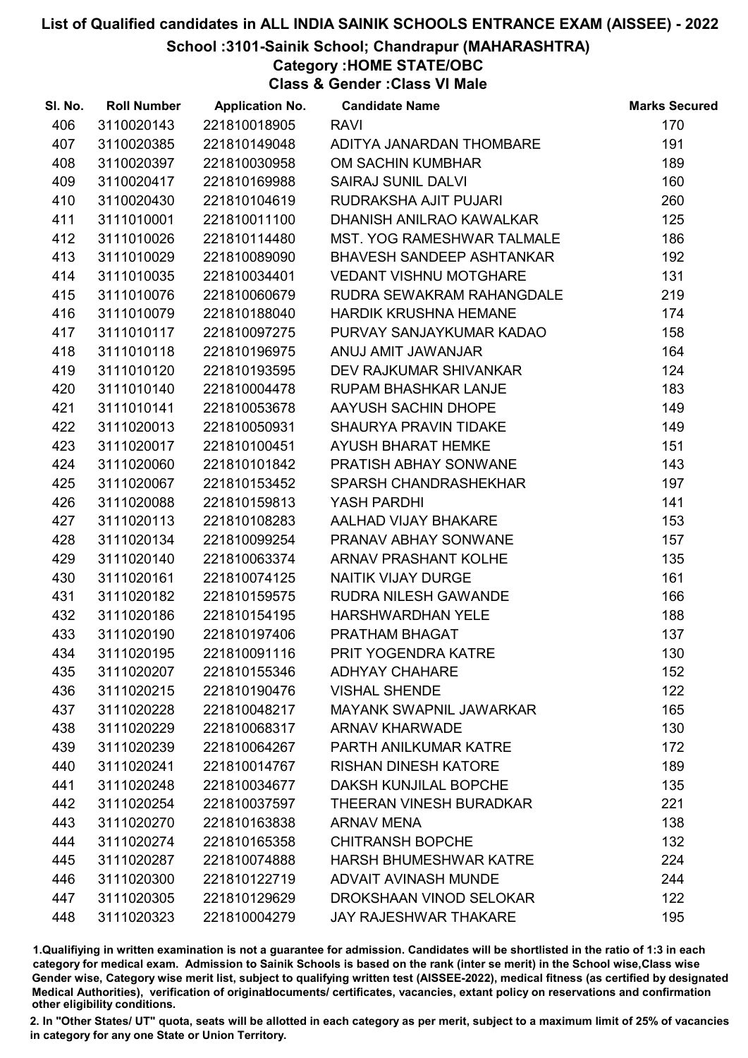#### School :3101-Sainik School; Chandrapur (MAHARASHTRA)

Category :HOME STATE/OBC

Class & Gender :Class VI Male

| SI. No. | <b>Roll Number</b> | <b>Application No.</b> | <b>Candidate Name</b>            | <b>Marks Secured</b> |
|---------|--------------------|------------------------|----------------------------------|----------------------|
| 406     | 3110020143         | 221810018905           | <b>RAVI</b>                      | 170                  |
| 407     | 3110020385         | 221810149048           | ADITYA JANARDAN THOMBARE         | 191                  |
| 408     | 3110020397         | 221810030958           | OM SACHIN KUMBHAR                | 189                  |
| 409     | 3110020417         | 221810169988           | <b>SAIRAJ SUNIL DALVI</b>        | 160                  |
| 410     | 3110020430         | 221810104619           | RUDRAKSHA AJIT PUJARI            | 260                  |
| 411     | 3111010001         | 221810011100           | DHANISH ANILRAO KAWALKAR         | 125                  |
| 412     | 3111010026         | 221810114480           | MST. YOG RAMESHWAR TALMALE       | 186                  |
| 413     | 3111010029         | 221810089090           | <b>BHAVESH SANDEEP ASHTANKAR</b> | 192                  |
| 414     | 3111010035         | 221810034401           | <b>VEDANT VISHNU MOTGHARE</b>    | 131                  |
| 415     | 3111010076         | 221810060679           | RUDRA SEWAKRAM RAHANGDALE        | 219                  |
| 416     | 3111010079         | 221810188040           | <b>HARDIK KRUSHNA HEMANE</b>     | 174                  |
| 417     | 3111010117         | 221810097275           | PURVAY SANJAYKUMAR KADAO         | 158                  |
| 418     | 3111010118         | 221810196975           | ANUJ AMIT JAWANJAR               | 164                  |
| 419     | 3111010120         | 221810193595           | DEV RAJKUMAR SHIVANKAR           | 124                  |
| 420     | 3111010140         | 221810004478           | <b>RUPAM BHASHKAR LANJE</b>      | 183                  |
| 421     | 3111010141         | 221810053678           | AAYUSH SACHIN DHOPE              | 149                  |
| 422     | 3111020013         | 221810050931           | SHAURYA PRAVIN TIDAKE            | 149                  |
| 423     | 3111020017         | 221810100451           | <b>AYUSH BHARAT HEMKE</b>        | 151                  |
| 424     | 3111020060         | 221810101842           | PRATISH ABHAY SONWANE            | 143                  |
| 425     | 3111020067         | 221810153452           | <b>SPARSH CHANDRASHEKHAR</b>     | 197                  |
| 426     | 3111020088         | 221810159813           | YASH PARDHI                      | 141                  |
| 427     | 3111020113         | 221810108283           | AALHAD VIJAY BHAKARE             | 153                  |
| 428     | 3111020134         | 221810099254           | PRANAV ABHAY SONWANE             | 157                  |
| 429     | 3111020140         | 221810063374           | <b>ARNAV PRASHANT KOLHE</b>      | 135                  |
| 430     | 3111020161         | 221810074125           | NAITIK VIJAY DURGE               | 161                  |
| 431     | 3111020182         | 221810159575           | <b>RUDRA NILESH GAWANDE</b>      | 166                  |
| 432     | 3111020186         | 221810154195           | <b>HARSHWARDHAN YELE</b>         | 188                  |
| 433     | 3111020190         | 221810197406           | PRATHAM BHAGAT                   | 137                  |
| 434     | 3111020195         | 221810091116           | PRIT YOGENDRA KATRE              | 130                  |
| 435     | 3111020207         | 221810155346           | <b>ADHYAY CHAHARE</b>            | 152                  |
| 436     | 3111020215         | 221810190476           | <b>VISHAL SHENDE</b>             | 122                  |
| 437     | 3111020228         | 221810048217           | <b>MAYANK SWAPNIL JAWARKAR</b>   | 165                  |
| 438     | 3111020229         | 221810068317           | <b>ARNAV KHARWADE</b>            | 130                  |
| 439     | 3111020239         | 221810064267           | PARTH ANILKUMAR KATRE            | 172                  |
| 440     | 3111020241         | 221810014767           | <b>RISHAN DINESH KATORE</b>      | 189                  |
| 441     | 3111020248         | 221810034677           | DAKSH KUNJILAL BOPCHE            | 135                  |
| 442     | 3111020254         | 221810037597           | THEERAN VINESH BURADKAR          | 221                  |
| 443     | 3111020270         | 221810163838           | <b>ARNAV MENA</b>                | 138                  |
| 444     | 3111020274         | 221810165358           | <b>CHITRANSH BOPCHE</b>          | 132                  |
| 445     | 3111020287         | 221810074888           | <b>HARSH BHUMESHWAR KATRE</b>    | 224                  |
| 446     | 3111020300         | 221810122719           | <b>ADVAIT AVINASH MUNDE</b>      | 244                  |
| 447     | 3111020305         | 221810129629           | DROKSHAAN VINOD SELOKAR          | 122                  |
| 448     | 3111020323         | 221810004279           | <b>JAY RAJESHWAR THAKARE</b>     | 195                  |

1.Qualifiying in written examination is not a guarantee for admission. Candidates will be shortlisted in the ratio of 1:3 in each category for medical exam. Admission to Sainik Schools is based on the rank (inter se merit) in the School wise,Class wise Gender wise, Category wise merit list, subject to qualifying written test (AISSEE-2022), medical fitness (as certified by designated Medical Authorities), verification of originablocuments/ certificates, vacancies, extant policy on reservations and confirmation other eligibility conditions.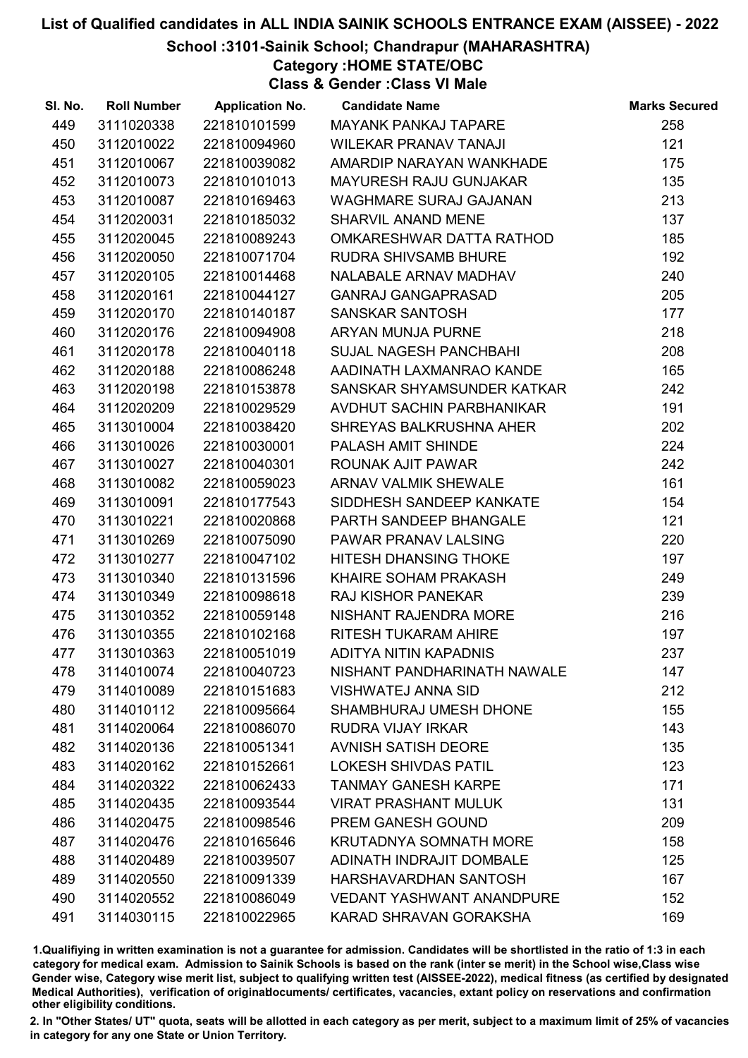#### School :3101-Sainik School; Chandrapur (MAHARASHTRA)

Category :HOME STATE/OBC

Class & Gender :Class VI Male

| SI. No. | <b>Roll Number</b> | <b>Application No.</b> | <b>Candidate Name</b>            | <b>Marks Secured</b> |
|---------|--------------------|------------------------|----------------------------------|----------------------|
| 449     | 3111020338         | 221810101599           | <b>MAYANK PANKAJ TAPARE</b>      | 258                  |
| 450     | 3112010022         | 221810094960           | <b>WILEKAR PRANAV TANAJI</b>     | 121                  |
| 451     | 3112010067         | 221810039082           | AMARDIP NARAYAN WANKHADE         | 175                  |
| 452     | 3112010073         | 221810101013           | <b>MAYURESH RAJU GUNJAKAR</b>    | 135                  |
| 453     | 3112010087         | 221810169463           | <b>WAGHMARE SURAJ GAJANAN</b>    | 213                  |
| 454     | 3112020031         | 221810185032           | SHARVIL ANAND MENE               | 137                  |
| 455     | 3112020045         | 221810089243           | OMKARESHWAR DATTA RATHOD         | 185                  |
| 456     | 3112020050         | 221810071704           | <b>RUDRA SHIVSAMB BHURE</b>      | 192                  |
| 457     | 3112020105         | 221810014468           | NALABALE ARNAV MADHAV            | 240                  |
| 458     | 3112020161         | 221810044127           | <b>GANRAJ GANGAPRASAD</b>        | 205                  |
| 459     | 3112020170         | 221810140187           | SANSKAR SANTOSH                  | 177                  |
| 460     | 3112020176         | 221810094908           | ARYAN MUNJA PURNE                | 218                  |
| 461     | 3112020178         | 221810040118           | <b>SUJAL NAGESH PANCHBAHI</b>    | 208                  |
| 462     | 3112020188         | 221810086248           | AADINATH LAXMANRAO KANDE         | 165                  |
| 463     | 3112020198         | 221810153878           | SANSKAR SHYAMSUNDER KATKAR       | 242                  |
| 464     | 3112020209         | 221810029529           | AVDHUT SACHIN PARBHANIKAR        | 191                  |
| 465     | 3113010004         | 221810038420           | SHREYAS BALKRUSHNA AHER          | 202                  |
| 466     | 3113010026         | 221810030001           | PALASH AMIT SHINDE               | 224                  |
| 467     | 3113010027         | 221810040301           | ROUNAK AJIT PAWAR                | 242                  |
| 468     | 3113010082         | 221810059023           | <b>ARNAV VALMIK SHEWALE</b>      | 161                  |
| 469     | 3113010091         | 221810177543           | SIDDHESH SANDEEP KANKATE         | 154                  |
| 470     | 3113010221         | 221810020868           | PARTH SANDEEP BHANGALE           | 121                  |
| 471     | 3113010269         | 221810075090           | PAWAR PRANAV LALSING             | 220                  |
| 472     | 3113010277         | 221810047102           | <b>HITESH DHANSING THOKE</b>     | 197                  |
| 473     | 3113010340         | 221810131596           | KHAIRE SOHAM PRAKASH             | 249                  |
| 474     | 3113010349         | 221810098618           | <b>RAJ KISHOR PANEKAR</b>        | 239                  |
| 475     | 3113010352         | 221810059148           | NISHANT RAJENDRA MORE            | 216                  |
| 476     | 3113010355         | 221810102168           | <b>RITESH TUKARAM AHIRE</b>      | 197                  |
| 477     | 3113010363         | 221810051019           | ADITYA NITIN KAPADNIS            | 237                  |
| 478     | 3114010074         | 221810040723           | NISHANT PANDHARINATH NAWALE      | 147                  |
| 479     | 3114010089         | 221810151683           | <b>VISHWATEJ ANNA SID</b>        | 212                  |
| 480     | 3114010112         | 221810095664           | <b>SHAMBHURAJ UMESH DHONE</b>    | 155                  |
| 481     | 3114020064         | 221810086070           | <b>RUDRA VIJAY IRKAR</b>         | 143                  |
| 482     | 3114020136         | 221810051341           | <b>AVNISH SATISH DEORE</b>       | 135                  |
| 483     | 3114020162         | 221810152661           | <b>LOKESH SHIVDAS PATIL</b>      | 123                  |
| 484     | 3114020322         | 221810062433           | <b>TANMAY GANESH KARPE</b>       | 171                  |
| 485     | 3114020435         | 221810093544           | <b>VIRAT PRASHANT MULUK</b>      | 131                  |
| 486     | 3114020475         | 221810098546           | PREM GANESH GOUND                | 209                  |
| 487     | 3114020476         | 221810165646           | <b>KRUTADNYA SOMNATH MORE</b>    | 158                  |
| 488     | 3114020489         | 221810039507           | <b>ADINATH INDRAJIT DOMBALE</b>  | 125                  |
| 489     | 3114020550         | 221810091339           | HARSHAVARDHAN SANTOSH            | 167                  |
| 490     | 3114020552         | 221810086049           | <b>VEDANT YASHWANT ANANDPURE</b> | 152                  |
| 491     | 3114030115         | 221810022965           | KARAD SHRAVAN GORAKSHA           | 169                  |

1.Qualifiying in written examination is not a guarantee for admission. Candidates will be shortlisted in the ratio of 1:3 in each category for medical exam. Admission to Sainik Schools is based on the rank (inter se merit) in the School wise,Class wise Gender wise, Category wise merit list, subject to qualifying written test (AISSEE-2022), medical fitness (as certified by designated Medical Authorities), verification of originablocuments/ certificates, vacancies, extant policy on reservations and confirmation other eligibility conditions.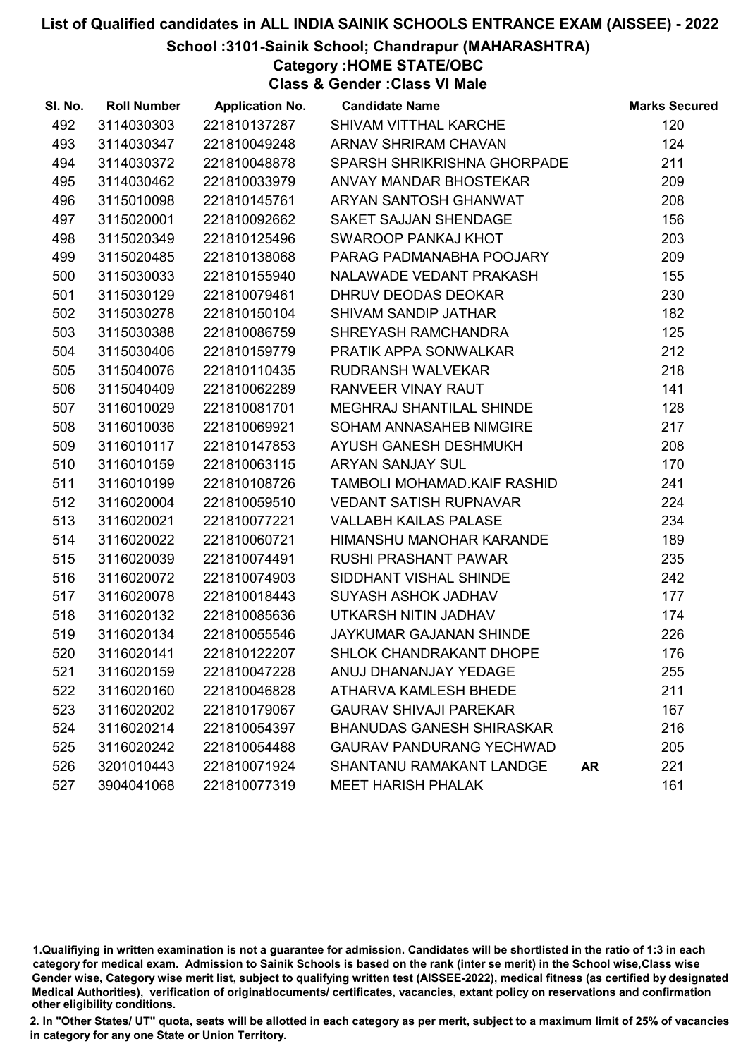School :3101-Sainik School; Chandrapur (MAHARASHTRA)

Category :HOME STATE/OBC

Class & Gender :Class VI Male

| SI. No. | <b>Roll Number</b> | <b>Application No.</b> | <b>Candidate Name</b>            |           | <b>Marks Secured</b> |
|---------|--------------------|------------------------|----------------------------------|-----------|----------------------|
| 492     | 3114030303         | 221810137287           | SHIVAM VITTHAL KARCHE            |           | 120                  |
| 493     | 3114030347         | 221810049248           | <b>ARNAV SHRIRAM CHAVAN</b>      |           | 124                  |
| 494     | 3114030372         | 221810048878           | SPARSH SHRIKRISHNA GHORPADE      |           | 211                  |
| 495     | 3114030462         | 221810033979           | ANVAY MANDAR BHOSTEKAR           |           | 209                  |
| 496     | 3115010098         | 221810145761           | ARYAN SANTOSH GHANWAT            |           | 208                  |
| 497     | 3115020001         | 221810092662           | SAKET SAJJAN SHENDAGE            |           | 156                  |
| 498     | 3115020349         | 221810125496           | SWAROOP PANKAJ KHOT              |           | 203                  |
| 499     | 3115020485         | 221810138068           | PARAG PADMANABHA POOJARY         |           | 209                  |
| 500     | 3115030033         | 221810155940           | NALAWADE VEDANT PRAKASH          |           | 155                  |
| 501     | 3115030129         | 221810079461           | DHRUV DEODAS DEOKAR              |           | 230                  |
| 502     | 3115030278         | 221810150104           | SHIVAM SANDIP JATHAR             |           | 182                  |
| 503     | 3115030388         | 221810086759           | SHREYASH RAMCHANDRA              |           | 125                  |
| 504     | 3115030406         | 221810159779           | PRATIK APPA SONWALKAR            |           | 212                  |
| 505     | 3115040076         | 221810110435           | <b>RUDRANSH WALVEKAR</b>         |           | 218                  |
| 506     | 3115040409         | 221810062289           | RANVEER VINAY RAUT               |           | 141                  |
| 507     | 3116010029         | 221810081701           | MEGHRAJ SHANTILAL SHINDE         |           | 128                  |
| 508     | 3116010036         | 221810069921           | SOHAM ANNASAHEB NIMGIRE          |           | 217                  |
| 509     | 3116010117         | 221810147853           | AYUSH GANESH DESHMUKH            |           | 208                  |
| 510     | 3116010159         | 221810063115           | <b>ARYAN SANJAY SUL</b>          |           | 170                  |
| 511     | 3116010199         | 221810108726           | TAMBOLI MOHAMAD.KAIF RASHID      |           | 241                  |
| 512     | 3116020004         | 221810059510           | <b>VEDANT SATISH RUPNAVAR</b>    |           | 224                  |
| 513     | 3116020021         | 221810077221           | <b>VALLABH KAILAS PALASE</b>     |           | 234                  |
| 514     | 3116020022         | 221810060721           | HIMANSHU MANOHAR KARANDE         |           | 189                  |
| 515     | 3116020039         | 221810074491           | <b>RUSHI PRASHANT PAWAR</b>      |           | 235                  |
| 516     | 3116020072         | 221810074903           | SIDDHANT VISHAL SHINDE           |           | 242                  |
| 517     | 3116020078         | 221810018443           | SUYASH ASHOK JADHAV              |           | 177                  |
| 518     | 3116020132         | 221810085636           | UTKARSH NITIN JADHAV             |           | 174                  |
| 519     | 3116020134         | 221810055546           | JAYKUMAR GAJANAN SHINDE          |           | 226                  |
| 520     | 3116020141         | 221810122207           | SHLOK CHANDRAKANT DHOPE          |           | 176                  |
| 521     | 3116020159         | 221810047228           | ANUJ DHANANJAY YEDAGE            |           | 255                  |
| 522     | 3116020160         | 221810046828           | ATHARVA KAMLESH BHEDE            |           | 211                  |
| 523     | 3116020202         | 221810179067           | <b>GAURAV SHIVAJI PAREKAR</b>    |           | 167                  |
| 524     | 3116020214         | 221810054397           | <b>BHANUDAS GANESH SHIRASKAR</b> |           | 216                  |
| 525     | 3116020242         | 221810054488           | <b>GAURAV PANDURANG YECHWAD</b>  |           | 205                  |
| 526     | 3201010443         | 221810071924           | SHANTANU RAMAKANT LANDGE         | <b>AR</b> | 221                  |
| 527     | 3904041068         | 221810077319           | <b>MEET HARISH PHALAK</b>        |           | 161                  |

1.Qualifiying in written examination is not a guarantee for admission. Candidates will be shortlisted in the ratio of 1:3 in each category for medical exam. Admission to Sainik Schools is based on the rank (inter se merit) in the School wise,Class wise Gender wise, Category wise merit list, subject to qualifying written test (AISSEE-2022), medical fitness (as certified by designated Medical Authorities), verification of originablocuments/ certificates, vacancies, extant policy on reservations and confirmation other eligibility conditions.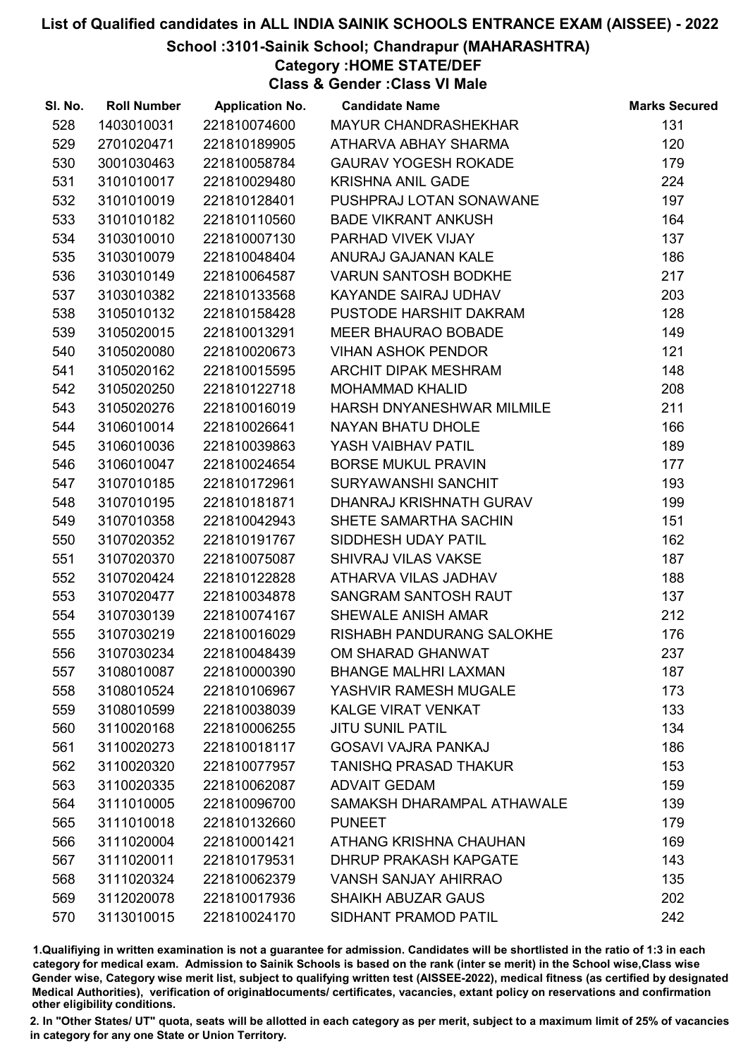#### School :3101-Sainik School; Chandrapur (MAHARASHTRA)

Category :HOME STATE/DEF

Class & Gender :Class VI Male

| SI. No. | <b>Roll Number</b> | <b>Application No.</b> | <b>Candidate Name</b>        | <b>Marks Secured</b> |
|---------|--------------------|------------------------|------------------------------|----------------------|
| 528     | 1403010031         | 221810074600           | MAYUR CHANDRASHEKHAR         | 131                  |
| 529     | 2701020471         | 221810189905           | ATHARVA ABHAY SHARMA         | 120                  |
| 530     | 3001030463         | 221810058784           | <b>GAURAV YOGESH ROKADE</b>  | 179                  |
| 531     | 3101010017         | 221810029480           | <b>KRISHNA ANIL GADE</b>     | 224                  |
| 532     | 3101010019         | 221810128401           | PUSHPRAJ LOTAN SONAWANE      | 197                  |
| 533     | 3101010182         | 221810110560           | <b>BADE VIKRANT ANKUSH</b>   | 164                  |
| 534     | 3103010010         | 221810007130           | PARHAD VIVEK VIJAY           | 137                  |
| 535     | 3103010079         | 221810048404           | ANURAJ GAJANAN KALE          | 186                  |
| 536     | 3103010149         | 221810064587           | <b>VARUN SANTOSH BODKHE</b>  | 217                  |
| 537     | 3103010382         | 221810133568           | KAYANDE SAIRAJ UDHAV         | 203                  |
| 538     | 3105010132         | 221810158428           | PUSTODE HARSHIT DAKRAM       | 128                  |
| 539     | 3105020015         | 221810013291           | <b>MEER BHAURAO BOBADE</b>   | 149                  |
| 540     | 3105020080         | 221810020673           | <b>VIHAN ASHOK PENDOR</b>    | 121                  |
| 541     | 3105020162         | 221810015595           | ARCHIT DIPAK MESHRAM         | 148                  |
| 542     | 3105020250         | 221810122718           | <b>MOHAMMAD KHALID</b>       | 208                  |
| 543     | 3105020276         | 221810016019           | HARSH DNYANESHWAR MILMILE    | 211                  |
| 544     | 3106010014         | 221810026641           | NAYAN BHATU DHOLE            | 166                  |
| 545     | 3106010036         | 221810039863           | YASH VAIBHAV PATIL           | 189                  |
| 546     | 3106010047         | 221810024654           | <b>BORSE MUKUL PRAVIN</b>    | 177                  |
| 547     | 3107010185         | 221810172961           | SURYAWANSHI SANCHIT          | 193                  |
| 548     | 3107010195         | 221810181871           | DHANRAJ KRISHNATH GURAV      | 199                  |
| 549     | 3107010358         | 221810042943           | SHETE SAMARTHA SACHIN        | 151                  |
| 550     | 3107020352         | 221810191767           | SIDDHESH UDAY PATIL          | 162                  |
| 551     | 3107020370         | 221810075087           | SHIVRAJ VILAS VAKSE          | 187                  |
| 552     | 3107020424         | 221810122828           | ATHARVA VILAS JADHAV         | 188                  |
| 553     | 3107020477         | 221810034878           | SANGRAM SANTOSH RAUT         | 137                  |
| 554     | 3107030139         | 221810074167           | SHEWALE ANISH AMAR           | 212                  |
| 555     | 3107030219         | 221810016029           | RISHABH PANDURANG SALOKHE    | 176                  |
| 556     | 3107030234         | 221810048439           | OM SHARAD GHANWAT            | 237                  |
| 557     | 3108010087         | 221810000390           | <b>BHANGE MALHRI LAXMAN</b>  | 187                  |
| 558     | 3108010524         | 221810106967           | YASHVIR RAMESH MUGALE        | 173                  |
| 559     | 3108010599         | 221810038039           | <b>KALGE VIRAT VENKAT</b>    | 133                  |
| 560     | 3110020168         | 221810006255           | <b>JITU SUNIL PATIL</b>      | 134                  |
| 561     | 3110020273         | 221810018117           | <b>GOSAVI VAJRA PANKAJ</b>   | 186                  |
| 562     | 3110020320         | 221810077957           | <b>TANISHQ PRASAD THAKUR</b> | 153                  |
| 563     | 3110020335         | 221810062087           | <b>ADVAIT GEDAM</b>          | 159                  |
| 564     | 3111010005         | 221810096700           | SAMAKSH DHARAMPAL ATHAWALE   | 139                  |
| 565     | 3111010018         | 221810132660           | <b>PUNEET</b>                | 179                  |
| 566     | 3111020004         | 221810001421           | ATHANG KRISHNA CHAUHAN       | 169                  |
| 567     | 3111020011         | 221810179531           | <b>DHRUP PRAKASH KAPGATE</b> | 143                  |
| 568     | 3111020324         | 221810062379           | <b>VANSH SANJAY AHIRRAO</b>  | 135                  |
| 569     | 3112020078         | 221810017936           | <b>SHAIKH ABUZAR GAUS</b>    | 202                  |
| 570     | 3113010015         | 221810024170           | SIDHANT PRAMOD PATIL         | 242                  |

1.Qualifiying in written examination is not a guarantee for admission. Candidates will be shortlisted in the ratio of 1:3 in each category for medical exam. Admission to Sainik Schools is based on the rank (inter se merit) in the School wise,Class wise Gender wise, Category wise merit list, subject to qualifying written test (AISSEE-2022), medical fitness (as certified by designated Medical Authorities), verification of originablocuments/ certificates, vacancies, extant policy on reservations and confirmation other eligibility conditions.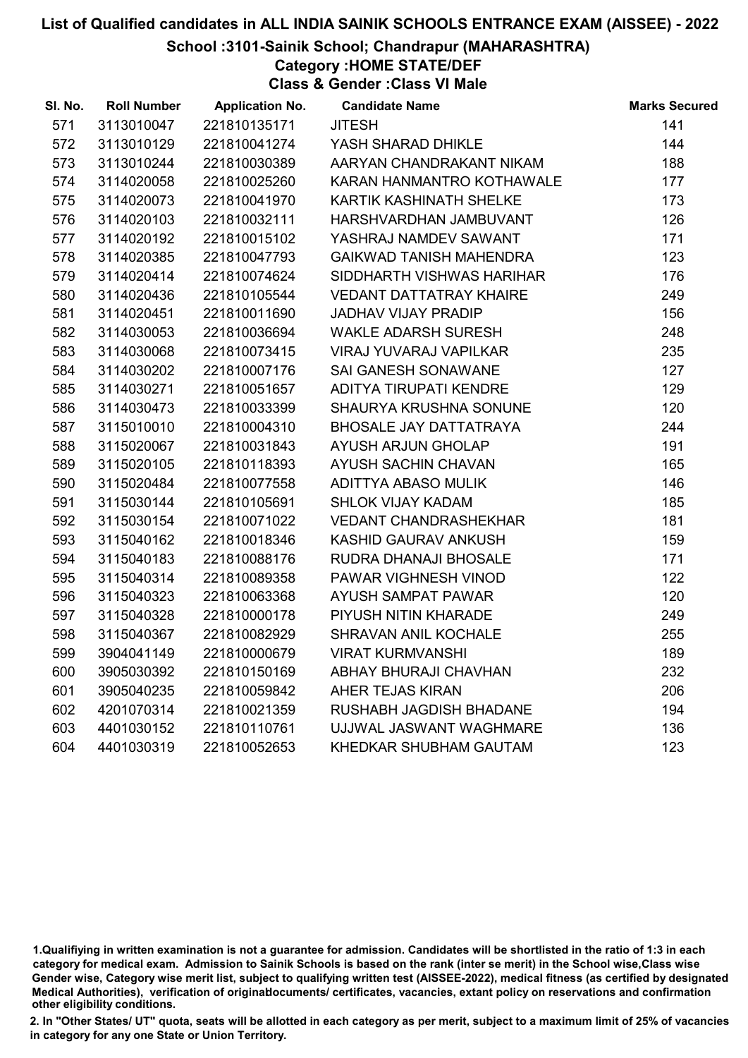### School :3101-Sainik School; Chandrapur (MAHARASHTRA)

Category :HOME STATE/DEF

Class & Gender :Class VI Male

| <b>Roll Number</b> | <b>Application No.</b> | <b>Candidate Name</b>          | <b>Marks Secured</b> |
|--------------------|------------------------|--------------------------------|----------------------|
| 3113010047         | 221810135171           | <b>JITESH</b>                  | 141                  |
| 3113010129         | 221810041274           | YASH SHARAD DHIKLE             | 144                  |
| 3113010244         | 221810030389           | AARYAN CHANDRAKANT NIKAM       | 188                  |
| 3114020058         | 221810025260           | KARAN HANMANTRO KOTHAWALE      | 177                  |
| 3114020073         | 221810041970           | KARTIK KASHINATH SHELKE        | 173                  |
| 3114020103         | 221810032111           | HARSHVARDHAN JAMBUVANT         | 126                  |
| 3114020192         | 221810015102           | YASHRAJ NAMDEV SAWANT          | 171                  |
| 3114020385         | 221810047793           | GAIKWAD TANISH MAHENDRA        | 123                  |
| 3114020414         | 221810074624           | SIDDHARTH VISHWAS HARIHAR      | 176                  |
| 3114020436         | 221810105544           | <b>VEDANT DATTATRAY KHAIRE</b> | 249                  |
| 3114020451         | 221810011690           | <b>JADHAV VIJAY PRADIP</b>     | 156                  |
| 3114030053         | 221810036694           | <b>WAKLE ADARSH SURESH</b>     | 248                  |
| 3114030068         | 221810073415           | VIRAJ YUVARAJ VAPILKAR         | 235                  |
| 3114030202         | 221810007176           | SAI GANESH SONAWANE            | 127                  |
| 3114030271         | 221810051657           | ADITYA TIRUPATI KENDRE         | 129                  |
| 3114030473         | 221810033399           | SHAURYA KRUSHNA SONUNE         | 120                  |
| 3115010010         | 221810004310           | <b>BHOSALE JAY DATTATRAYA</b>  | 244                  |
| 3115020067         | 221810031843           | AYUSH ARJUN GHOLAP             | 191                  |
| 3115020105         | 221810118393           | AYUSH SACHIN CHAVAN            | 165                  |
| 3115020484         | 221810077558           | ADITTYA ABASO MULIK            | 146                  |
| 3115030144         | 221810105691           | <b>SHLOK VIJAY KADAM</b>       | 185                  |
| 3115030154         | 221810071022           | <b>VEDANT CHANDRASHEKHAR</b>   | 181                  |
| 3115040162         | 221810018346           | KASHID GAURAV ANKUSH           | 159                  |
| 3115040183         | 221810088176           | RUDRA DHANAJI BHOSALE          | 171                  |
| 3115040314         | 221810089358           | PAWAR VIGHNESH VINOD           | 122                  |
| 3115040323         | 221810063368           | AYUSH SAMPAT PAWAR             | 120                  |
| 3115040328         | 221810000178           | PIYUSH NITIN KHARADE           | 249                  |
| 3115040367         | 221810082929           | SHRAVAN ANIL KOCHALE           | 255                  |
| 3904041149         | 221810000679           | <b>VIRAT KURMVANSHI</b>        | 189                  |
| 3905030392         | 221810150169           | ABHAY BHURAJI CHAVHAN          | 232                  |
| 3905040235         | 221810059842           | AHER TEJAS KIRAN               | 206                  |
| 4201070314         | 221810021359           | <b>RUSHABH JAGDISH BHADANE</b> | 194                  |
| 4401030152         | 221810110761           | UJJWAL JASWANT WAGHMARE        | 136                  |
| 4401030319         | 221810052653           | KHEDKAR SHUBHAM GAUTAM         | 123                  |
|                    |                        |                                |                      |

<sup>1.</sup>Qualifiying in written examination is not a guarantee for admission. Candidates will be shortlisted in the ratio of 1:3 in each category for medical exam. Admission to Sainik Schools is based on the rank (inter se merit) in the School wise,Class wise Gender wise, Category wise merit list, subject to qualifying written test (AISSEE-2022), medical fitness (as certified by designated Medical Authorities), verification of originablocuments/ certificates, vacancies, extant policy on reservations and confirmation other eligibility conditions.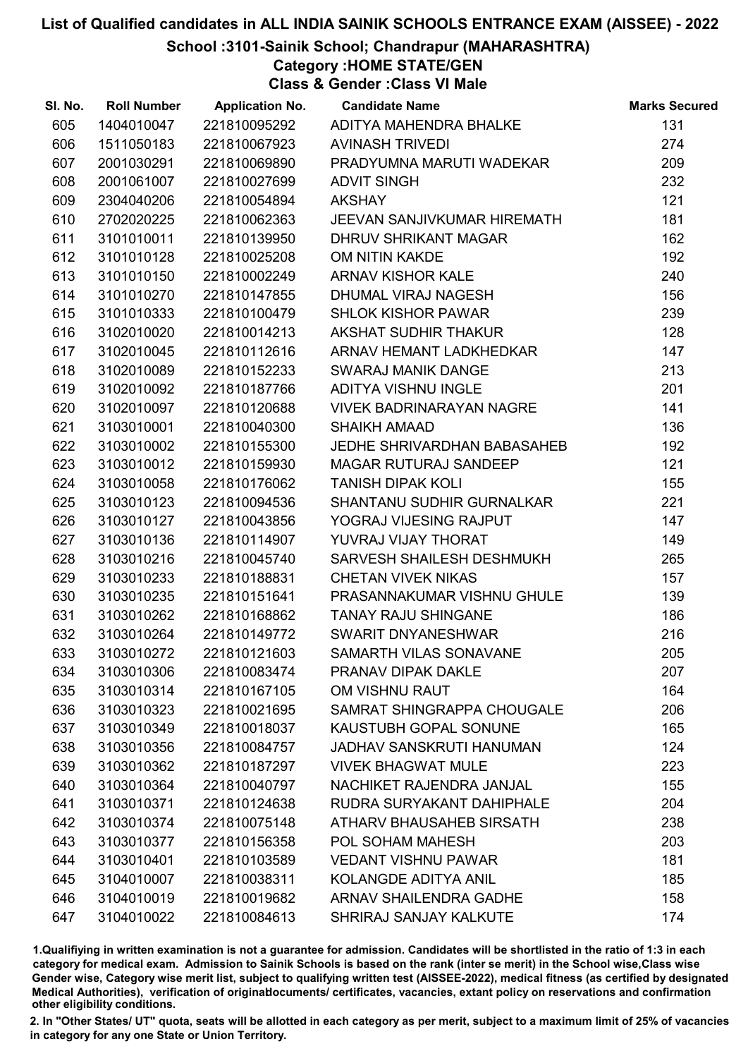School :3101-Sainik School; Chandrapur (MAHARASHTRA)

Category :HOME STATE/GEN

Class & Gender :Class VI Male

| SI. No. | <b>Roll Number</b> | <b>Application No.</b> | <b>Candidate Name</b>              | <b>Marks Secured</b> |
|---------|--------------------|------------------------|------------------------------------|----------------------|
| 605     | 1404010047         | 221810095292           | ADITYA MAHENDRA BHALKE             | 131                  |
| 606     | 1511050183         | 221810067923           | <b>AVINASH TRIVEDI</b>             | 274                  |
| 607     | 2001030291         | 221810069890           | PRADYUMNA MARUTI WADEKAR           | 209                  |
| 608     | 2001061007         | 221810027699           | <b>ADVIT SINGH</b>                 | 232                  |
| 609     | 2304040206         | 221810054894           | <b>AKSHAY</b>                      | 121                  |
| 610     | 2702020225         | 221810062363           | <b>JEEVAN SANJIVKUMAR HIREMATH</b> | 181                  |
| 611     | 3101010011         | 221810139950           | DHRUV SHRIKANT MAGAR               | 162                  |
| 612     | 3101010128         | 221810025208           | OM NITIN KAKDE                     | 192                  |
| 613     | 3101010150         | 221810002249           | <b>ARNAV KISHOR KALE</b>           | 240                  |
| 614     | 3101010270         | 221810147855           | DHUMAL VIRAJ NAGESH                | 156                  |
| 615     | 3101010333         | 221810100479           | <b>SHLOK KISHOR PAWAR</b>          | 239                  |
| 616     | 3102010020         | 221810014213           | AKSHAT SUDHIR THAKUR               | 128                  |
| 617     | 3102010045         | 221810112616           | ARNAV HEMANT LADKHEDKAR            | 147                  |
| 618     | 3102010089         | 221810152233           | <b>SWARAJ MANIK DANGE</b>          | 213                  |
| 619     | 3102010092         | 221810187766           | ADITYA VISHNU INGLE                | 201                  |
| 620     | 3102010097         | 221810120688           | <b>VIVEK BADRINARAYAN NAGRE</b>    | 141                  |
| 621     | 3103010001         | 221810040300           | <b>SHAIKH AMAAD</b>                | 136                  |
| 622     | 3103010002         | 221810155300           | JEDHE SHRIVARDHAN BABASAHEB        | 192                  |
| 623     | 3103010012         | 221810159930           | MAGAR RUTURAJ SANDEEP              | 121                  |
| 624     | 3103010058         | 221810176062           | <b>TANISH DIPAK KOLI</b>           | 155                  |
| 625     | 3103010123         | 221810094536           | <b>SHANTANU SUDHIR GURNALKAR</b>   | 221                  |
| 626     | 3103010127         | 221810043856           | YOGRAJ VIJESING RAJPUT             | 147                  |
| 627     | 3103010136         | 221810114907           | YUVRAJ VIJAY THORAT                | 149                  |
| 628     | 3103010216         | 221810045740           | SARVESH SHAILESH DESHMUKH          | 265                  |
| 629     | 3103010233         | 221810188831           | <b>CHETAN VIVEK NIKAS</b>          | 157                  |
| 630     | 3103010235         | 221810151641           | PRASANNAKUMAR VISHNU GHULE         | 139                  |
| 631     | 3103010262         | 221810168862           | <b>TANAY RAJU SHINGANE</b>         | 186                  |
| 632     | 3103010264         | 221810149772           | SWARIT DNYANESHWAR                 | 216                  |
| 633     | 3103010272         | 221810121603           | SAMARTH VILAS SONAVANE             | 205                  |
| 634     | 3103010306         | 221810083474           | <b>PRANAV DIPAK DAKLE</b>          | 207                  |
| 635     | 3103010314         | 221810167105           | OM VISHNU RAUT                     | 164                  |
| 636     | 3103010323         | 221810021695           | SAMRAT SHINGRAPPA CHOUGALE         | 206                  |
| 637     | 3103010349         | 221810018037           | KAUSTUBH GOPAL SONUNE              | 165                  |
| 638     | 3103010356         | 221810084757           | <b>JADHAV SANSKRUTI HANUMAN</b>    | 124                  |
| 639     | 3103010362         | 221810187297           | <b>VIVEK BHAGWAT MULE</b>          | 223                  |
| 640     | 3103010364         | 221810040797           | NACHIKET RAJENDRA JANJAL           | 155                  |
| 641     | 3103010371         | 221810124638           | RUDRA SURYAKANT DAHIPHALE          | 204                  |
| 642     | 3103010374         | 221810075148           | ATHARV BHAUSAHEB SIRSATH           | 238                  |
| 643     | 3103010377         | 221810156358           | <b>POL SOHAM MAHESH</b>            | 203                  |
| 644     | 3103010401         | 221810103589           | <b>VEDANT VISHNU PAWAR</b>         | 181                  |
| 645     | 3104010007         | 221810038311           | KOLANGDE ADITYA ANIL               | 185                  |
| 646     | 3104010019         | 221810019682           | <b>ARNAV SHAILENDRA GADHE</b>      | 158                  |
| 647     | 3104010022         | 221810084613           | SHRIRAJ SANJAY KALKUTE             | 174                  |

1.Qualifiying in written examination is not a guarantee for admission. Candidates will be shortlisted in the ratio of 1:3 in each category for medical exam. Admission to Sainik Schools is based on the rank (inter se merit) in the School wise,Class wise Gender wise, Category wise merit list, subject to qualifying written test (AISSEE-2022), medical fitness (as certified by designated Medical Authorities), verification of originablocuments/ certificates, vacancies, extant policy on reservations and confirmation other eligibility conditions.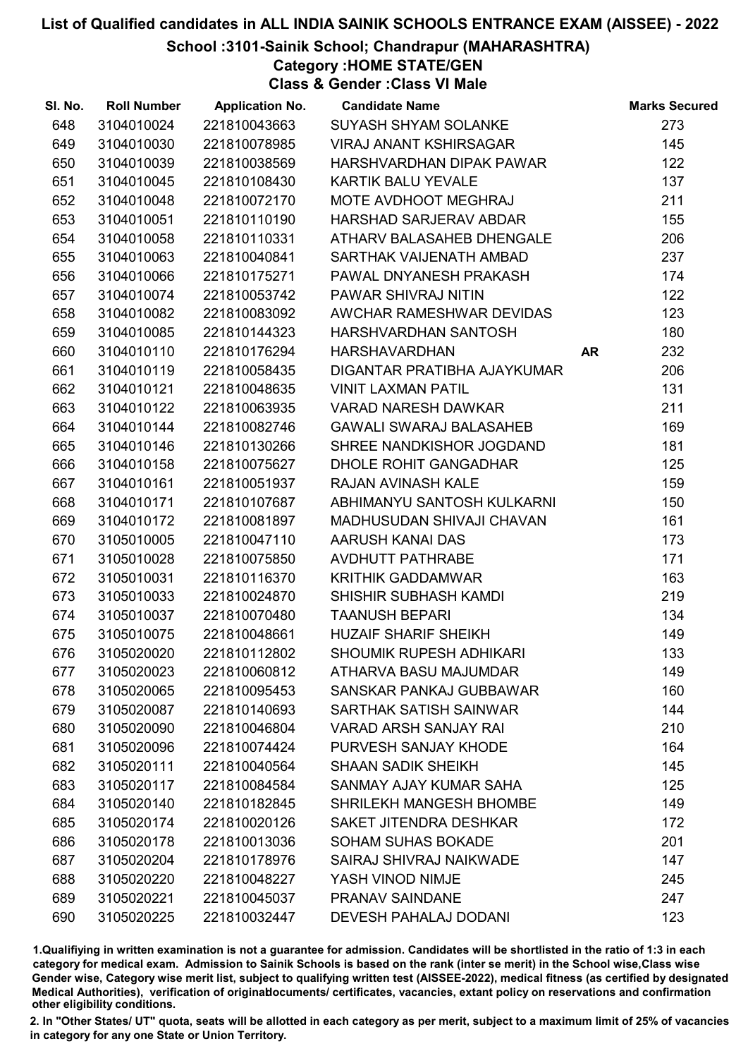School :3101-Sainik School; Chandrapur (MAHARASHTRA)

Category :HOME STATE/GEN

Class & Gender :Class VI Male

| SI. No. | <b>Roll Number</b> | <b>Application No.</b> | <b>Candidate Name</b>          |    | <b>Marks Secured</b> |
|---------|--------------------|------------------------|--------------------------------|----|----------------------|
| 648     | 3104010024         | 221810043663           | SUYASH SHYAM SOLANKE           |    | 273                  |
| 649     | 3104010030         | 221810078985           | <b>VIRAJ ANANT KSHIRSAGAR</b>  |    | 145                  |
| 650     | 3104010039         | 221810038569           | HARSHVARDHAN DIPAK PAWAR       |    | 122                  |
| 651     | 3104010045         | 221810108430           | <b>KARTIK BALU YEVALE</b>      |    | 137                  |
| 652     | 3104010048         | 221810072170           | MOTE AVDHOOT MEGHRAJ           |    | 211                  |
| 653     | 3104010051         | 221810110190           | HARSHAD SARJERAV ABDAR         |    | 155                  |
| 654     | 3104010058         | 221810110331           | ATHARV BALASAHEB DHENGALE      |    | 206                  |
| 655     | 3104010063         | 221810040841           | SARTHAK VAIJENATH AMBAD        |    | 237                  |
| 656     | 3104010066         | 221810175271           | PAWAL DNYANESH PRAKASH         |    | 174                  |
| 657     | 3104010074         | 221810053742           | PAWAR SHIVRAJ NITIN            |    | 122                  |
| 658     | 3104010082         | 221810083092           | AWCHAR RAMESHWAR DEVIDAS       |    | 123                  |
| 659     | 3104010085         | 221810144323           | HARSHVARDHAN SANTOSH           |    | 180                  |
| 660     | 3104010110         | 221810176294           | <b>HARSHAVARDHAN</b>           | AR | 232                  |
| 661     | 3104010119         | 221810058435           | DIGANTAR PRATIBHA AJAYKUMAR    |    | 206                  |
| 662     | 3104010121         | 221810048635           | <b>VINIT LAXMAN PATIL</b>      |    | 131                  |
| 663     | 3104010122         | 221810063935           | <b>VARAD NARESH DAWKAR</b>     |    | 211                  |
| 664     | 3104010144         | 221810082746           | <b>GAWALI SWARAJ BALASAHEB</b> |    | 169                  |
| 665     | 3104010146         | 221810130266           | SHREE NANDKISHOR JOGDAND       |    | 181                  |
| 666     | 3104010158         | 221810075627           | <b>DHOLE ROHIT GANGADHAR</b>   |    | 125                  |
| 667     | 3104010161         | 221810051937           | <b>RAJAN AVINASH KALE</b>      |    | 159                  |
| 668     | 3104010171         | 221810107687           | ABHIMANYU SANTOSH KULKARNI     |    | 150                  |
| 669     | 3104010172         | 221810081897           | MADHUSUDAN SHIVAJI CHAVAN      |    | 161                  |
| 670     | 3105010005         | 221810047110           | AARUSH KANAI DAS               |    | 173                  |
| 671     | 3105010028         | 221810075850           | AVDHUTT PATHRABE               |    | 171                  |
| 672     | 3105010031         | 221810116370           | <b>KRITHIK GADDAMWAR</b>       |    | 163                  |
| 673     | 3105010033         | 221810024870           | SHISHIR SUBHASH KAMDI          |    | 219                  |
| 674     | 3105010037         | 221810070480           | <b>TAANUSH BEPARI</b>          |    | 134                  |
| 675     | 3105010075         | 221810048661           | <b>HUZAIF SHARIF SHEIKH</b>    |    | 149                  |
| 676     | 3105020020         | 221810112802           | <b>SHOUMIK RUPESH ADHIKARI</b> |    | 133                  |
| 677     | 3105020023         | 221810060812           | ATHARVA BASU MAJUMDAR          |    | 149                  |
| 678     | 3105020065         | 221810095453           | SANSKAR PANKAJ GUBBAWAR        |    | 160                  |
| 679     | 3105020087         | 221810140693           | SARTHAK SATISH SAINWAR         |    | 144                  |
| 680     | 3105020090         | 221810046804           | <b>VARAD ARSH SANJAY RAI</b>   |    | 210                  |
| 681     | 3105020096         | 221810074424           | PURVESH SANJAY KHODE           |    | 164                  |
| 682     | 3105020111         | 221810040564           | <b>SHAAN SADIK SHEIKH</b>      |    | 145                  |
| 683     | 3105020117         | 221810084584           | SANMAY AJAY KUMAR SAHA         |    | 125                  |
| 684     | 3105020140         | 221810182845           | SHRILEKH MANGESH BHOMBE        |    | 149                  |
| 685     | 3105020174         | 221810020126           | <b>SAKET JITENDRA DESHKAR</b>  |    | 172                  |
| 686     | 3105020178         | 221810013036           | <b>SOHAM SUHAS BOKADE</b>      |    | 201                  |
| 687     | 3105020204         | 221810178976           | <b>SAIRAJ SHIVRAJ NAIKWADE</b> |    | 147                  |
| 688     | 3105020220         | 221810048227           | YASH VINOD NIMJE               |    | 245                  |
| 689     | 3105020221         | 221810045037           | PRANAV SAINDANE                |    | 247                  |
| 690     | 3105020225         | 221810032447           | <b>DEVESH PAHALAJ DODANI</b>   |    | 123                  |

1.Qualifiying in written examination is not a guarantee for admission. Candidates will be shortlisted in the ratio of 1:3 in each category for medical exam. Admission to Sainik Schools is based on the rank (inter se merit) in the School wise,Class wise Gender wise, Category wise merit list, subject to qualifying written test (AISSEE-2022), medical fitness (as certified by designated Medical Authorities), verification of originablocuments/ certificates, vacancies, extant policy on reservations and confirmation other eligibility conditions.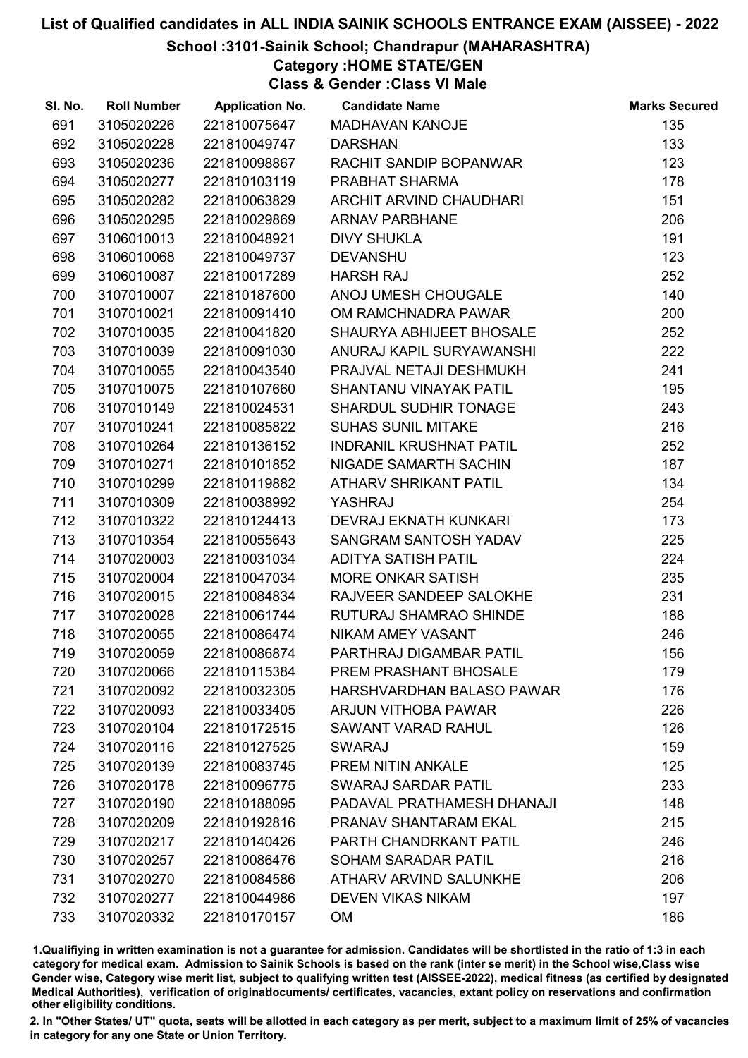#### School :3101-Sainik School; Chandrapur (MAHARASHTRA)

# Category :HOME STATE/GEN

Class & Gender :Class VI Male

| SI. No. | <b>Roll Number</b> | <b>Application No.</b> | <b>Candidate Name</b>          | <b>Marks Secured</b> |
|---------|--------------------|------------------------|--------------------------------|----------------------|
| 691     | 3105020226         | 221810075647           | <b>MADHAVAN KANOJE</b>         | 135                  |
| 692     | 3105020228         | 221810049747           | <b>DARSHAN</b>                 | 133                  |
| 693     | 3105020236         | 221810098867           | RACHIT SANDIP BOPANWAR         | 123                  |
| 694     | 3105020277         | 221810103119           | PRABHAT SHARMA                 | 178                  |
| 695     | 3105020282         | 221810063829           | ARCHIT ARVIND CHAUDHARI        | 151                  |
| 696     | 3105020295         | 221810029869           | <b>ARNAV PARBHANE</b>          | 206                  |
| 697     | 3106010013         | 221810048921           | <b>DIVY SHUKLA</b>             | 191                  |
| 698     | 3106010068         | 221810049737           | <b>DEVANSHU</b>                | 123                  |
| 699     | 3106010087         | 221810017289           | <b>HARSH RAJ</b>               | 252                  |
| 700     | 3107010007         | 221810187600           | ANOJ UMESH CHOUGALE            | 140                  |
| 701     | 3107010021         | 221810091410           | OM RAMCHNADRA PAWAR            | 200                  |
| 702     | 3107010035         | 221810041820           | SHAURYA ABHIJEET BHOSALE       | 252                  |
| 703     | 3107010039         | 221810091030           | ANURAJ KAPIL SURYAWANSHI       | 222                  |
| 704     | 3107010055         | 221810043540           | PRAJVAL NETAJI DESHMUKH        | 241                  |
| 705     | 3107010075         | 221810107660           | SHANTANU VINAYAK PATIL         | 195                  |
| 706     | 3107010149         | 221810024531           | SHARDUL SUDHIR TONAGE          | 243                  |
| 707     | 3107010241         | 221810085822           | <b>SUHAS SUNIL MITAKE</b>      | 216                  |
| 708     | 3107010264         | 221810136152           | <b>INDRANIL KRUSHNAT PATIL</b> | 252                  |
| 709     | 3107010271         | 221810101852           | NIGADE SAMARTH SACHIN          | 187                  |
| 710     | 3107010299         | 221810119882           | <b>ATHARV SHRIKANT PATIL</b>   | 134                  |
| 711     | 3107010309         | 221810038992           | YASHRAJ                        | 254                  |
| 712     | 3107010322         | 221810124413           | <b>DEVRAJ EKNATH KUNKARI</b>   | 173                  |
| 713     | 3107010354         | 221810055643           | SANGRAM SANTOSH YADAV          | 225                  |
| 714     | 3107020003         | 221810031034           | <b>ADITYA SATISH PATIL</b>     | 224                  |
| 715     | 3107020004         | 221810047034           | <b>MORE ONKAR SATISH</b>       | 235                  |
| 716     | 3107020015         | 221810084834           | RAJVEER SANDEEP SALOKHE        | 231                  |
| 717     | 3107020028         | 221810061744           | RUTURAJ SHAMRAO SHINDE         | 188                  |
| 718     | 3107020055         | 221810086474           | NIKAM AMEY VASANT              | 246                  |
| 719     | 3107020059         | 221810086874           | PARTHRAJ DIGAMBAR PATIL        | 156                  |
| 720     | 3107020066         | 221810115384           | PREM PRASHANT BHOSALE          | 179                  |
| 721     | 3107020092         | 221810032305           | HARSHVARDHAN BALASO PAWAR      | 176                  |
| 722     | 3107020093         | 221810033405           | <b>ARJUN VITHOBA PAWAR</b>     | 226                  |
| 723     | 3107020104         | 221810172515           | <b>SAWANT VARAD RAHUL</b>      | 126                  |
| 724     | 3107020116         | 221810127525           | <b>SWARAJ</b>                  | 159                  |
| 725     | 3107020139         | 221810083745           | <b>PREM NITIN ANKALE</b>       | 125                  |
| 726     | 3107020178         | 221810096775           | <b>SWARAJ SARDAR PATIL</b>     | 233                  |
| 727     | 3107020190         | 221810188095           | PADAVAL PRATHAMESH DHANAJI     | 148                  |
| 728     | 3107020209         | 221810192816           | PRANAV SHANTARAM EKAL          | 215                  |
| 729     | 3107020217         | 221810140426           | PARTH CHANDRKANT PATIL         | 246                  |
| 730     | 3107020257         | 221810086476           | <b>SOHAM SARADAR PATIL</b>     | 216                  |
| 731     | 3107020270         | 221810084586           | ATHARV ARVIND SALUNKHE         | 206                  |
| 732     | 3107020277         | 221810044986           | <b>DEVEN VIKAS NIKAM</b>       | 197                  |
| 733     | 3107020332         | 221810170157           | OM                             | 186                  |

1.Qualifiying in written examination is not a guarantee for admission. Candidates will be shortlisted in the ratio of 1:3 in each category for medical exam. Admission to Sainik Schools is based on the rank (inter se merit) in the School wise,Class wise Gender wise, Category wise merit list, subject to qualifying written test (AISSEE-2022), medical fitness (as certified by designated Medical Authorities), verification of originablocuments/ certificates, vacancies, extant policy on reservations and confirmation other eligibility conditions.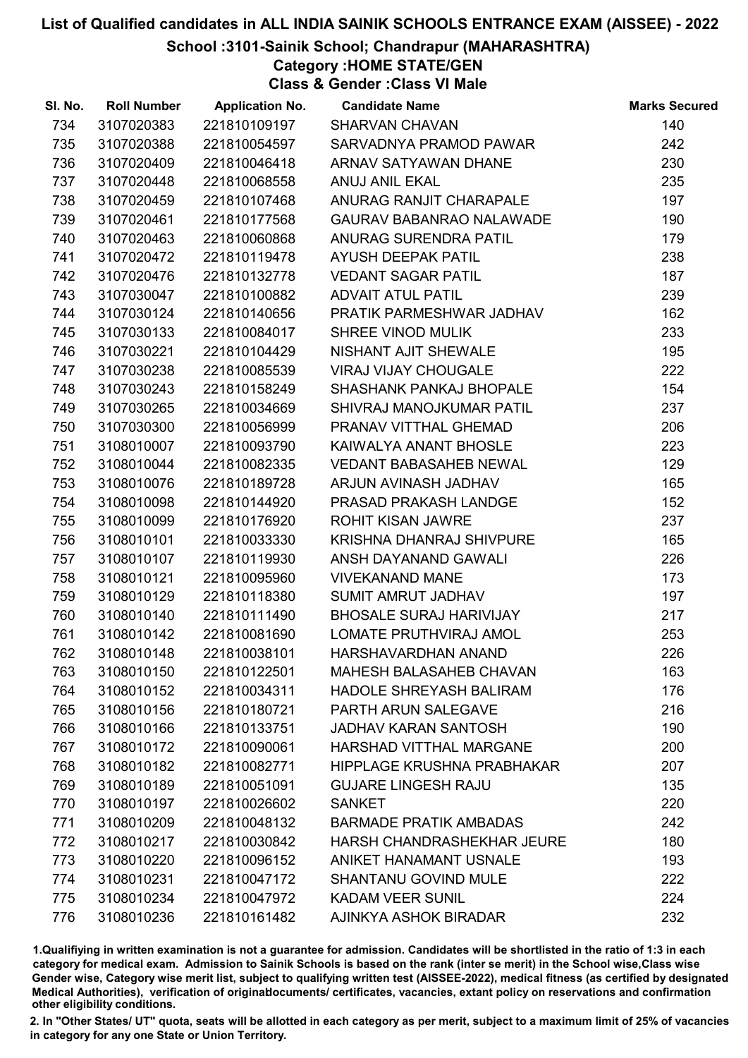#### School :3101-Sainik School; Chandrapur (MAHARASHTRA)

Category :HOME STATE/GEN

Class & Gender :Class VI Male

| SI. No. | <b>Roll Number</b> | <b>Application No.</b> | <b>Candidate Name</b>           | <b>Marks Secured</b> |
|---------|--------------------|------------------------|---------------------------------|----------------------|
| 734     | 3107020383         | 221810109197           | <b>SHARVAN CHAVAN</b>           | 140                  |
| 735     | 3107020388         | 221810054597           | SARVADNYA PRAMOD PAWAR          | 242                  |
| 736     | 3107020409         | 221810046418           | ARNAV SATYAWAN DHANE            | 230                  |
| 737     | 3107020448         | 221810068558           | <b>ANUJ ANIL EKAL</b>           | 235                  |
| 738     | 3107020459         | 221810107468           | ANURAG RANJIT CHARAPALE         | 197                  |
| 739     | 3107020461         | 221810177568           | <b>GAURAV BABANRAO NALAWADE</b> | 190                  |
| 740     | 3107020463         | 221810060868           | ANURAG SURENDRA PATIL           | 179                  |
| 741     | 3107020472         | 221810119478           | AYUSH DEEPAK PATIL              | 238                  |
| 742     | 3107020476         | 221810132778           | <b>VEDANT SAGAR PATIL</b>       | 187                  |
| 743     | 3107030047         | 221810100882           | <b>ADVAIT ATUL PATIL</b>        | 239                  |
| 744     | 3107030124         | 221810140656           | PRATIK PARMESHWAR JADHAV        | 162                  |
| 745     | 3107030133         | 221810084017           | <b>SHREE VINOD MULIK</b>        | 233                  |
| 746     | 3107030221         | 221810104429           | <b>NISHANT AJIT SHEWALE</b>     | 195                  |
| 747     | 3107030238         | 221810085539           | <b>VIRAJ VIJAY CHOUGALE</b>     | 222                  |
| 748     | 3107030243         | 221810158249           | <b>SHASHANK PANKAJ BHOPALE</b>  | 154                  |
| 749     | 3107030265         | 221810034669           | SHIVRAJ MANOJKUMAR PATIL        | 237                  |
| 750     | 3107030300         | 221810056999           | PRANAV VITTHAL GHEMAD           | 206                  |
| 751     | 3108010007         | 221810093790           | KAIWALYA ANANT BHOSLE           | 223                  |
| 752     | 3108010044         | 221810082335           | <b>VEDANT BABASAHEB NEWAL</b>   | 129                  |
| 753     | 3108010076         | 221810189728           | ARJUN AVINASH JADHAV            | 165                  |
| 754     | 3108010098         | 221810144920           | PRASAD PRAKASH LANDGE           | 152                  |
| 755     | 3108010099         | 221810176920           | <b>ROHIT KISAN JAWRE</b>        | 237                  |
| 756     | 3108010101         | 221810033330           | KRISHNA DHANRAJ SHIVPURE        | 165                  |
| 757     | 3108010107         | 221810119930           | ANSH DAYANAND GAWALI            | 226                  |
| 758     | 3108010121         | 221810095960           | <b>VIVEKANAND MANE</b>          | 173                  |
| 759     | 3108010129         | 221810118380           | <b>SUMIT AMRUT JADHAV</b>       | 197                  |
| 760     | 3108010140         | 221810111490           | <b>BHOSALE SURAJ HARIVIJAY</b>  | 217                  |
| 761     | 3108010142         | 221810081690           | LOMATE PRUTHVIRAJ AMOL          | 253                  |
| 762     | 3108010148         | 221810038101           | HARSHAVARDHAN ANAND             | 226                  |
| 763     | 3108010150         | 221810122501           | <b>MAHESH BALASAHEB CHAVAN</b>  | 163                  |
| 764     | 3108010152         | 221810034311           | <b>HADOLE SHREYASH BALIRAM</b>  | 176                  |
| 765     | 3108010156         | 221810180721           | PARTH ARUN SALEGAVE             | 216                  |
| 766     | 3108010166         | 221810133751           | <b>JADHAV KARAN SANTOSH</b>     | 190                  |
| 767     | 3108010172         | 221810090061           | HARSHAD VITTHAL MARGANE         | 200                  |
| 768     | 3108010182         | 221810082771           | HIPPLAGE KRUSHNA PRABHAKAR      | 207                  |
| 769     | 3108010189         | 221810051091           | <b>GUJARE LINGESH RAJU</b>      | 135                  |
| 770     | 3108010197         | 221810026602           | <b>SANKET</b>                   | 220                  |
| 771     | 3108010209         | 221810048132           | <b>BARMADE PRATIK AMBADAS</b>   | 242                  |
| 772     | 3108010217         | 221810030842           | HARSH CHANDRASHEKHAR JEURE      | 180                  |
| 773     | 3108010220         | 221810096152           | ANIKET HANAMANT USNALE          | 193                  |
| 774     | 3108010231         | 221810047172           | <b>SHANTANU GOVIND MULE</b>     | 222                  |
| 775     | 3108010234         | 221810047972           | <b>KADAM VEER SUNIL</b>         | 224                  |
| 776     | 3108010236         | 221810161482           | AJINKYA ASHOK BIRADAR           | 232                  |

1.Qualifiying in written examination is not a guarantee for admission. Candidates will be shortlisted in the ratio of 1:3 in each category for medical exam. Admission to Sainik Schools is based on the rank (inter se merit) in the School wise,Class wise Gender wise, Category wise merit list, subject to qualifying written test (AISSEE-2022), medical fitness (as certified by designated Medical Authorities), verification of originablocuments/ certificates, vacancies, extant policy on reservations and confirmation other eligibility conditions.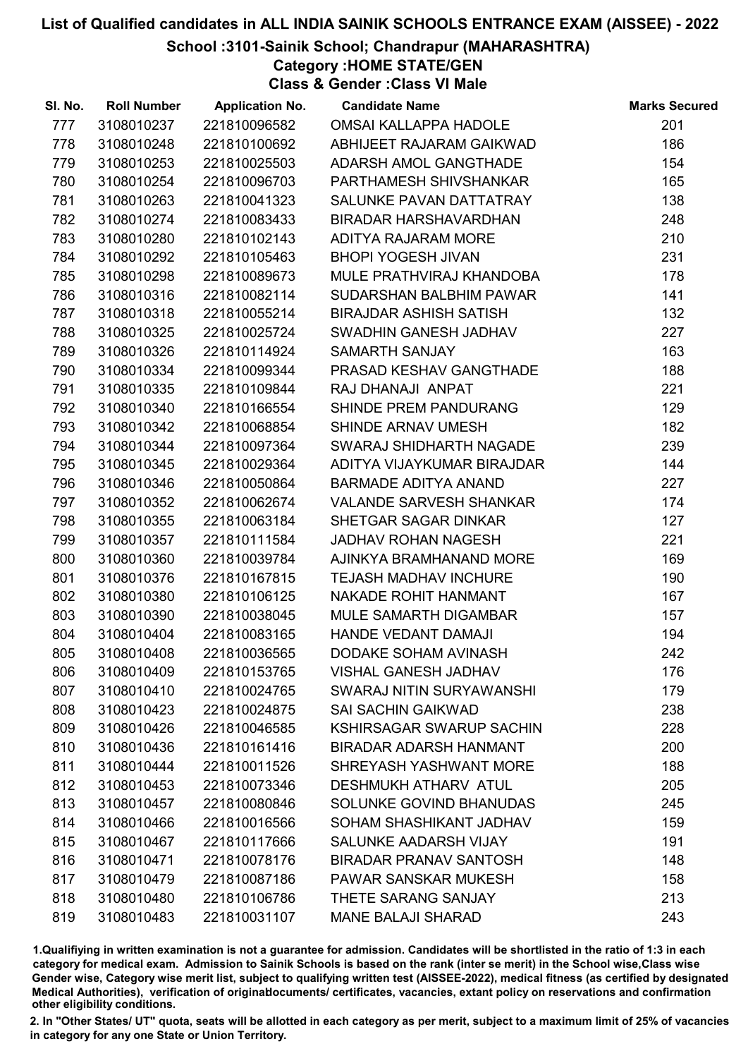#### School :3101-Sainik School; Chandrapur (MAHARASHTRA)

Category :HOME STATE/GEN

Class & Gender :Class VI Male

| SI. No. | <b>Roll Number</b> | <b>Application No.</b> | <b>Candidate Name</b>           | <b>Marks Secured</b> |
|---------|--------------------|------------------------|---------------------------------|----------------------|
| 777     | 3108010237         | 221810096582           | <b>OMSAI KALLAPPA HADOLE</b>    | 201                  |
| 778     | 3108010248         | 221810100692           | ABHIJEET RAJARAM GAIKWAD        | 186                  |
| 779     | 3108010253         | 221810025503           | ADARSH AMOL GANGTHADE           | 154                  |
| 780     | 3108010254         | 221810096703           | PARTHAMESH SHIVSHANKAR          | 165                  |
| 781     | 3108010263         | 221810041323           | SALUNKE PAVAN DATTATRAY         | 138                  |
| 782     | 3108010274         | 221810083433           | <b>BIRADAR HARSHAVARDHAN</b>    | 248                  |
| 783     | 3108010280         | 221810102143           | ADITYA RAJARAM MORE             | 210                  |
| 784     | 3108010292         | 221810105463           | <b>BHOPI YOGESH JIVAN</b>       | 231                  |
| 785     | 3108010298         | 221810089673           | MULE PRATHVIRAJ KHANDOBA        | 178                  |
| 786     | 3108010316         | 221810082114           | SUDARSHAN BALBHIM PAWAR         | 141                  |
| 787     | 3108010318         | 221810055214           | <b>BIRAJDAR ASHISH SATISH</b>   | 132                  |
| 788     | 3108010325         | 221810025724           | SWADHIN GANESH JADHAV           | 227                  |
| 789     | 3108010326         | 221810114924           | SAMARTH SANJAY                  | 163                  |
| 790     | 3108010334         | 221810099344           | PRASAD KESHAV GANGTHADE         | 188                  |
| 791     | 3108010335         | 221810109844           | RAJ DHANAJI ANPAT               | 221                  |
| 792     | 3108010340         | 221810166554           | <b>SHINDE PREM PANDURANG</b>    | 129                  |
| 793     | 3108010342         | 221810068854           | SHINDE ARNAV UMESH              | 182                  |
| 794     | 3108010344         | 221810097364           | SWARAJ SHIDHARTH NAGADE         | 239                  |
| 795     | 3108010345         | 221810029364           | ADITYA VIJAYKUMAR BIRAJDAR      | 144                  |
| 796     | 3108010346         | 221810050864           | <b>BARMADE ADITYA ANAND</b>     | 227                  |
| 797     | 3108010352         | 221810062674           | <b>VALANDE SARVESH SHANKAR</b>  | 174                  |
| 798     | 3108010355         | 221810063184           | SHETGAR SAGAR DINKAR            | 127                  |
| 799     | 3108010357         | 221810111584           | <b>JADHAV ROHAN NAGESH</b>      | 221                  |
| 800     | 3108010360         | 221810039784           | AJINKYA BRAMHANAND MORE         | 169                  |
| 801     | 3108010376         | 221810167815           | <b>TEJASH MADHAV INCHURE</b>    | 190                  |
| 802     | 3108010380         | 221810106125           | <b>NAKADE ROHIT HANMANT</b>     | 167                  |
| 803     | 3108010390         | 221810038045           | MULE SAMARTH DIGAMBAR           | 157                  |
| 804     | 3108010404         | 221810083165           | HANDE VEDANT DAMAJI             | 194                  |
| 805     | 3108010408         | 221810036565           | DODAKE SOHAM AVINASH            | 242                  |
| 806     | 3108010409         | 221810153765           | <b>VISHAL GANESH JADHAV</b>     | 176                  |
| 807     | 3108010410         | 221810024765           | SWARAJ NITIN SURYAWANSHI        | 179                  |
| 808     | 3108010423         | 221810024875           | <b>SAI SACHIN GAIKWAD</b>       | 238                  |
| 809     | 3108010426         | 221810046585           | <b>KSHIRSAGAR SWARUP SACHIN</b> | 228                  |
| 810     | 3108010436         | 221810161416           | <b>BIRADAR ADARSH HANMANT</b>   | 200                  |
| 811     | 3108010444         | 221810011526           | SHREYASH YASHWANT MORE          | 188                  |
| 812     | 3108010453         | 221810073346           | <b>DESHMUKH ATHARV ATUL</b>     | 205                  |
| 813     | 3108010457         | 221810080846           | SOLUNKE GOVIND BHANUDAS         | 245                  |
| 814     | 3108010466         | 221810016566           | SOHAM SHASHIKANT JADHAV         | 159                  |
| 815     | 3108010467         | 221810117666           | SALUNKE AADARSH VIJAY           | 191                  |
| 816     | 3108010471         | 221810078176           | <b>BIRADAR PRANAV SANTOSH</b>   | 148                  |
| 817     | 3108010479         | 221810087186           | PAWAR SANSKAR MUKESH            | 158                  |
| 818     | 3108010480         | 221810106786           | THETE SARANG SANJAY             | 213                  |
| 819     | 3108010483         | 221810031107           | <b>MANE BALAJI SHARAD</b>       | 243                  |

1.Qualifiying in written examination is not a guarantee for admission. Candidates will be shortlisted in the ratio of 1:3 in each category for medical exam. Admission to Sainik Schools is based on the rank (inter se merit) in the School wise,Class wise Gender wise, Category wise merit list, subject to qualifying written test (AISSEE-2022), medical fitness (as certified by designated Medical Authorities), verification of originablocuments/ certificates, vacancies, extant policy on reservations and confirmation other eligibility conditions.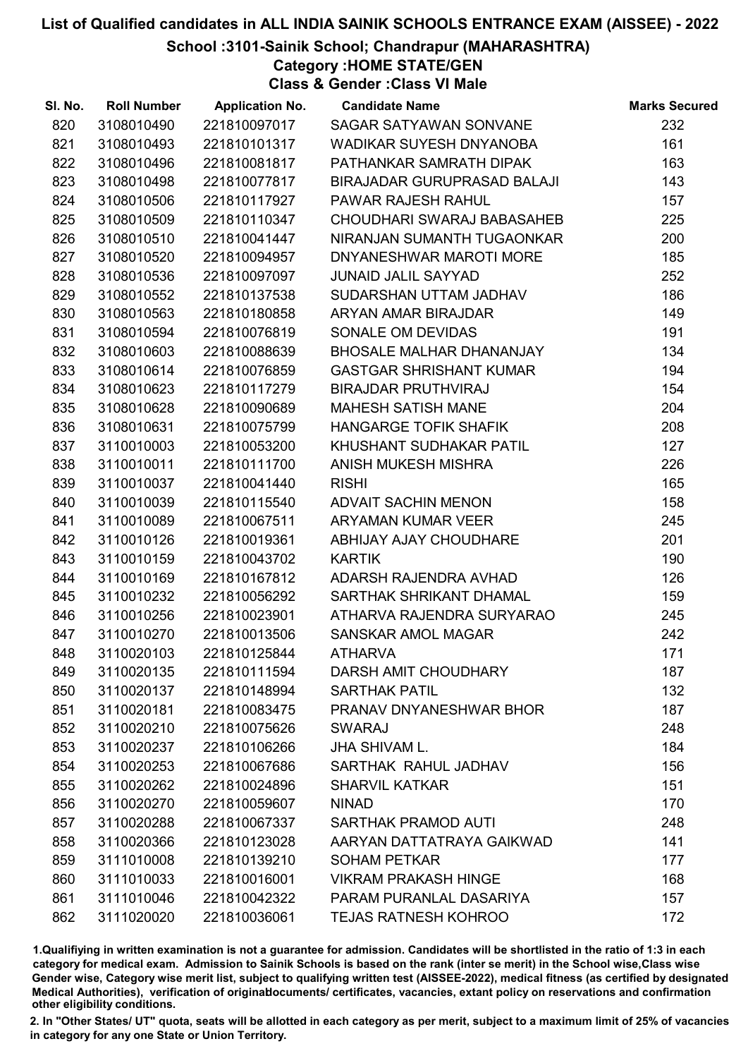#### School :3101-Sainik School; Chandrapur (MAHARASHTRA)

Category :HOME STATE/GEN

Class & Gender :Class VI Male

| SI. No. | <b>Roll Number</b> | <b>Application No.</b> | <b>Candidate Name</b>           | <b>Marks Secured</b> |
|---------|--------------------|------------------------|---------------------------------|----------------------|
| 820     | 3108010490         | 221810097017           | SAGAR SATYAWAN SONVANE          | 232                  |
| 821     | 3108010493         | 221810101317           | WADIKAR SUYESH DNYANOBA         | 161                  |
| 822     | 3108010496         | 221810081817           | PATHANKAR SAMRATH DIPAK         | 163                  |
| 823     | 3108010498         | 221810077817           | BIRAJADAR GURUPRASAD BALAJI     | 143                  |
| 824     | 3108010506         | 221810117927           | PAWAR RAJESH RAHUL              | 157                  |
| 825     | 3108010509         | 221810110347           | CHOUDHARI SWARAJ BABASAHEB      | 225                  |
| 826     | 3108010510         | 221810041447           | NIRANJAN SUMANTH TUGAONKAR      | 200                  |
| 827     | 3108010520         | 221810094957           | DNYANESHWAR MAROTI MORE         | 185                  |
| 828     | 3108010536         | 221810097097           | <b>JUNAID JALIL SAYYAD</b>      | 252                  |
| 829     | 3108010552         | 221810137538           | SUDARSHAN UTTAM JADHAV          | 186                  |
| 830     | 3108010563         | 221810180858           | ARYAN AMAR BIRAJDAR             | 149                  |
| 831     | 3108010594         | 221810076819           | SONALE OM DEVIDAS               | 191                  |
| 832     | 3108010603         | 221810088639           | <b>BHOSALE MALHAR DHANANJAY</b> | 134                  |
| 833     | 3108010614         | 221810076859           | <b>GASTGAR SHRISHANT KUMAR</b>  | 194                  |
| 834     | 3108010623         | 221810117279           | <b>BIRAJDAR PRUTHVIRAJ</b>      | 154                  |
| 835     | 3108010628         | 221810090689           | <b>MAHESH SATISH MANE</b>       | 204                  |
| 836     | 3108010631         | 221810075799           | <b>HANGARGE TOFIK SHAFIK</b>    | 208                  |
| 837     | 3110010003         | 221810053200           | KHUSHANT SUDHAKAR PATIL         | 127                  |
| 838     | 3110010011         | 221810111700           | ANISH MUKESH MISHRA             | 226                  |
| 839     | 3110010037         | 221810041440           | <b>RISHI</b>                    | 165                  |
| 840     | 3110010039         | 221810115540           | <b>ADVAIT SACHIN MENON</b>      | 158                  |
| 841     | 3110010089         | 221810067511           | <b>ARYAMAN KUMAR VEER</b>       | 245                  |
| 842     | 3110010126         | 221810019361           | ABHIJAY AJAY CHOUDHARE          | 201                  |
| 843     | 3110010159         | 221810043702           | <b>KARTIK</b>                   | 190                  |
| 844     | 3110010169         | 221810167812           | ADARSH RAJENDRA AVHAD           | 126                  |
| 845     | 3110010232         | 221810056292           | SARTHAK SHRIKANT DHAMAL         | 159                  |
| 846     | 3110010256         | 221810023901           | ATHARVA RAJENDRA SURYARAO       | 245                  |
| 847     | 3110010270         | 221810013506           | <b>SANSKAR AMOL MAGAR</b>       | 242                  |
| 848     | 3110020103         | 221810125844           | <b>ATHARVA</b>                  | 171                  |
| 849     | 3110020135         | 221810111594           | DARSH AMIT CHOUDHARY            | 187                  |
| 850     | 3110020137         | 221810148994           | <b>SARTHAK PATIL</b>            | 132                  |
| 851     | 3110020181         | 221810083475           | PRANAV DNYANESHWAR BHOR         | 187                  |
| 852     | 3110020210         | 221810075626           | <b>SWARAJ</b>                   | 248                  |
| 853     | 3110020237         | 221810106266           | <b>JHA SHIVAM L.</b>            | 184                  |
| 854     | 3110020253         | 221810067686           | SARTHAK RAHUL JADHAV            | 156                  |
| 855     | 3110020262         | 221810024896           | <b>SHARVIL KATKAR</b>           | 151                  |
| 856     | 3110020270         | 221810059607           | <b>NINAD</b>                    | 170                  |
| 857     | 3110020288         | 221810067337           | <b>SARTHAK PRAMOD AUTI</b>      | 248                  |
| 858     | 3110020366         | 221810123028           | AARYAN DATTATRAYA GAIKWAD       | 141                  |
| 859     | 3111010008         | 221810139210           | <b>SOHAM PETKAR</b>             | 177                  |
| 860     | 3111010033         | 221810016001           | <b>VIKRAM PRAKASH HINGE</b>     | 168                  |
| 861     | 3111010046         | 221810042322           | PARAM PURANLAL DASARIYA         | 157                  |
| 862     | 3111020020         | 221810036061           | <b>TEJAS RATNESH KOHROO</b>     | 172                  |

1.Qualifiying in written examination is not a guarantee for admission. Candidates will be shortlisted in the ratio of 1:3 in each category for medical exam. Admission to Sainik Schools is based on the rank (inter se merit) in the School wise,Class wise Gender wise, Category wise merit list, subject to qualifying written test (AISSEE-2022), medical fitness (as certified by designated Medical Authorities), verification of originablocuments/ certificates, vacancies, extant policy on reservations and confirmation other eligibility conditions.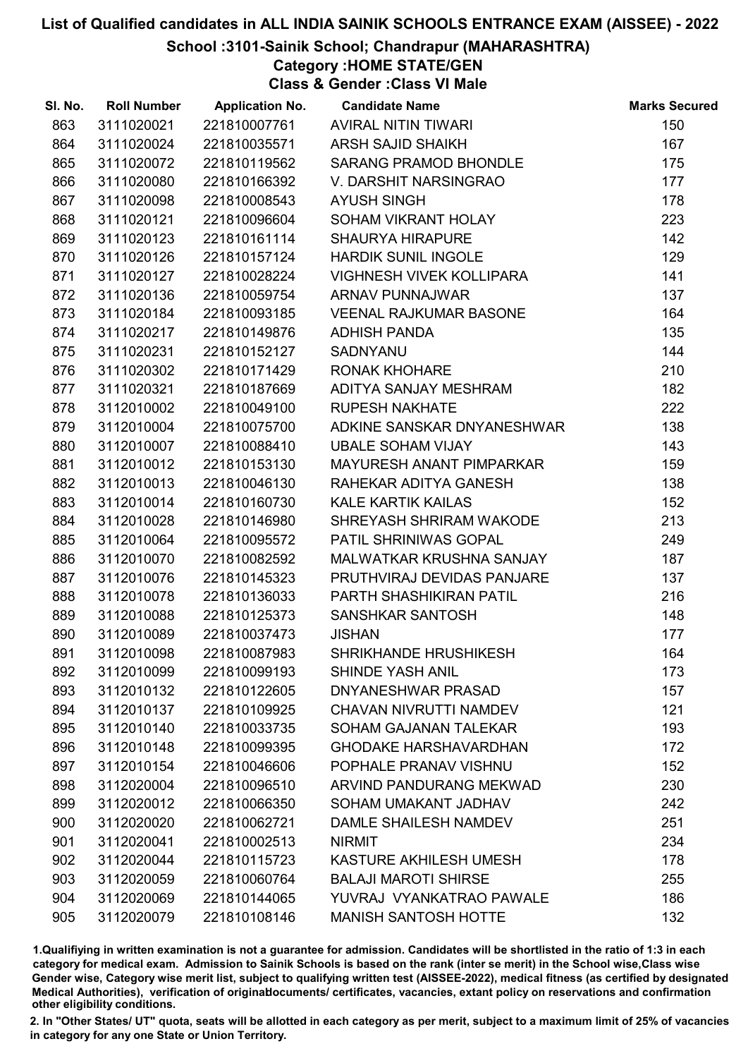#### School :3101-Sainik School; Chandrapur (MAHARASHTRA)

## Category :HOME STATE/GEN

Class & Gender :Class VI Male

| SI. No. | <b>Roll Number</b> |              | <b>Application No. Candidate Name</b> | <b>Marks Secured</b> |
|---------|--------------------|--------------|---------------------------------------|----------------------|
| 863     | 3111020021         | 221810007761 | AVIRAL NITIN TIWARI                   | 150                  |
| 864     | 3111020024         | 221810035571 | <b>ARSH SAJID SHAIKH</b>              | 167                  |
| 865     | 3111020072         | 221810119562 | <b>SARANG PRAMOD BHONDLE</b>          | 175                  |
| 866     | 3111020080         | 221810166392 | V. DARSHIT NARSINGRAO                 | 177                  |
| 867     | 3111020098         | 221810008543 | <b>AYUSH SINGH</b>                    | 178                  |
| 868     | 3111020121         | 221810096604 | SOHAM VIKRANT HOLAY                   | 223                  |
| 869     | 3111020123         | 221810161114 | <b>SHAURYA HIRAPURE</b>               | 142                  |
| 870     | 3111020126         | 221810157124 | <b>HARDIK SUNIL INGOLE</b>            | 129                  |
| 871     | 3111020127         | 221810028224 | VIGHNESH VIVEK KOLLIPARA              | 141                  |
| 872     | 3111020136         | 221810059754 | <b>ARNAV PUNNAJWAR</b>                | 137                  |
| 873     | 3111020184         | 221810093185 | <b>VEENAL RAJKUMAR BASONE</b>         | 164                  |
| 874     | 3111020217         | 221810149876 | <b>ADHISH PANDA</b>                   | 135                  |
| 875     | 3111020231         | 221810152127 | <b>SADNYANU</b>                       | 144                  |
| 876     | 3111020302         | 221810171429 | <b>RONAK KHOHARE</b>                  | 210                  |
| 877     | 3111020321         | 221810187669 | ADITYA SANJAY MESHRAM                 | 182                  |
| 878     | 3112010002         | 221810049100 | <b>RUPESH NAKHATE</b>                 | 222                  |
| 879     | 3112010004         | 221810075700 | ADKINE SANSKAR DNYANESHWAR            | 138                  |
| 880     | 3112010007         | 221810088410 | <b>UBALE SOHAM VIJAY</b>              | 143                  |
| 881     | 3112010012         | 221810153130 | MAYURESH ANANT PIMPARKAR              | 159                  |
| 882     | 3112010013         | 221810046130 | RAHEKAR ADITYA GANESH                 | 138                  |
| 883     | 3112010014         | 221810160730 | <b>KALE KARTIK KAILAS</b>             | 152                  |
| 884     | 3112010028         | 221810146980 | SHREYASH SHRIRAM WAKODE               | 213                  |
| 885     | 3112010064         | 221810095572 | PATIL SHRINIWAS GOPAL                 | 249                  |
| 886     | 3112010070         | 221810082592 | MALWATKAR KRUSHNA SANJAY              | 187                  |
| 887     | 3112010076         | 221810145323 | PRUTHVIRAJ DEVIDAS PANJARE            | 137                  |
| 888     | 3112010078         | 221810136033 | PARTH SHASHIKIRAN PATIL               | 216                  |
| 889     | 3112010088         | 221810125373 | SANSHKAR SANTOSH                      | 148                  |
| 890     | 3112010089         | 221810037473 | <b>JISHAN</b>                         | 177                  |
| 891     | 3112010098         | 221810087983 | <b>SHRIKHANDE HRUSHIKESH</b>          | 164                  |
| 892     | 3112010099         | 221810099193 | <b>SHINDE YASH ANIL</b>               | 173                  |
| 893     | 3112010132         | 221810122605 | <b>DNYANESHWAR PRASAD</b>             | 157                  |
| 894     | 3112010137         | 221810109925 | <b>CHAVAN NIVRUTTI NAMDEV</b>         | 121                  |
| 895     | 3112010140         | 221810033735 | <b>SOHAM GAJANAN TALEKAR</b>          | 193                  |
| 896     | 3112010148         | 221810099395 | <b>GHODAKE HARSHAVARDHAN</b>          | 172                  |
| 897     | 3112010154         | 221810046606 | POPHALE PRANAV VISHNU                 | 152                  |
| 898     | 3112020004         | 221810096510 | ARVIND PANDURANG MEKWAD               | 230                  |
| 899     | 3112020012         | 221810066350 | SOHAM UMAKANT JADHAV                  | 242                  |
| 900     | 3112020020         | 221810062721 | <b>DAMLE SHAILESH NAMDEV</b>          | 251                  |
| 901     | 3112020041         | 221810002513 | <b>NIRMIT</b>                         | 234                  |
| 902     | 3112020044         | 221810115723 | KASTURE AKHILESH UMESH                | 178                  |
| 903     | 3112020059         | 221810060764 | <b>BALAJI MAROTI SHIRSE</b>           | 255                  |
| 904     | 3112020069         | 221810144065 | YUVRAJ VYANKATRAO PAWALE              | 186                  |
| 905     | 3112020079         | 221810108146 | <b>MANISH SANTOSH HOTTE</b>           | 132                  |

1.Qualifiying in written examination is not a guarantee for admission. Candidates will be shortlisted in the ratio of 1:3 in each category for medical exam. Admission to Sainik Schools is based on the rank (inter se merit) in the School wise,Class wise Gender wise, Category wise merit list, subject to qualifying written test (AISSEE-2022), medical fitness (as certified by designated Medical Authorities), verification of originablocuments/ certificates, vacancies, extant policy on reservations and confirmation other eligibility conditions.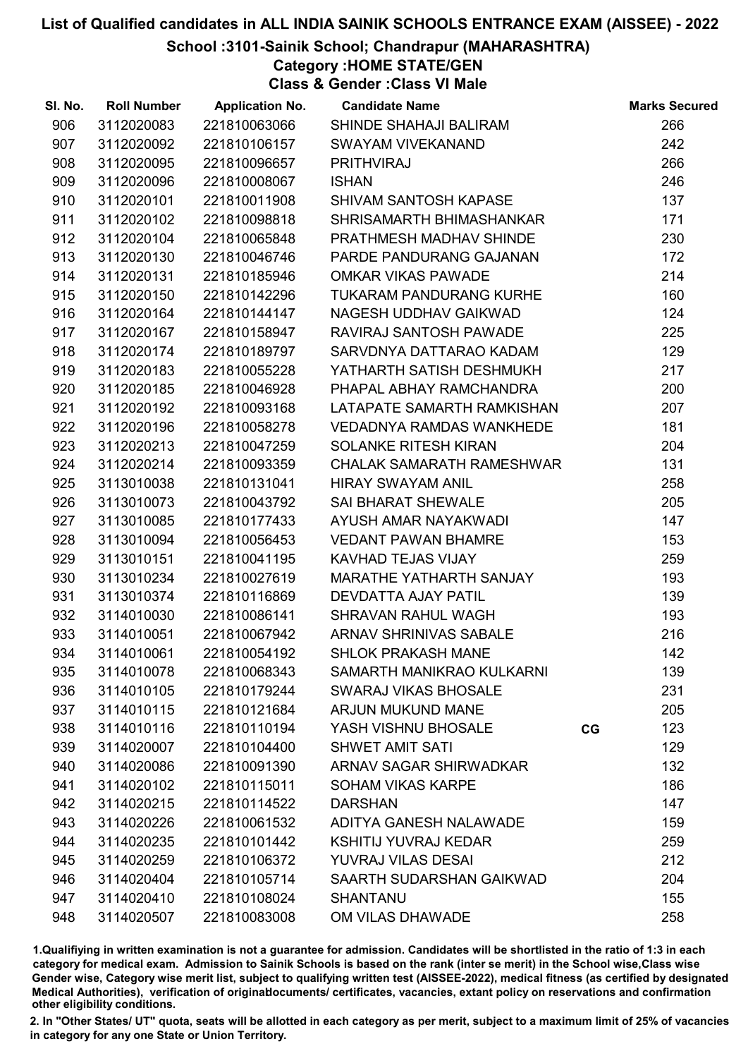#### School :3101-Sainik School; Chandrapur (MAHARASHTRA)

# Category :HOME STATE/GEN

Class & Gender :Class VI Male

| SI. No. | <b>Roll Number</b> | <b>Application No.</b> | <b>Candidate Name</b>            |    | <b>Marks Secured</b> |
|---------|--------------------|------------------------|----------------------------------|----|----------------------|
| 906     | 3112020083         | 221810063066           | SHINDE SHAHAJI BALIRAM           |    | 266                  |
| 907     | 3112020092         | 221810106157           | <b>SWAYAM VIVEKANAND</b>         |    | 242                  |
| 908     | 3112020095         | 221810096657           | <b>PRITHVIRAJ</b>                |    | 266                  |
| 909     | 3112020096         | 221810008067           | <b>ISHAN</b>                     |    | 246                  |
| 910     | 3112020101         | 221810011908           | SHIVAM SANTOSH KAPASE            |    | 137                  |
| 911     | 3112020102         | 221810098818           | SHRISAMARTH BHIMASHANKAR         |    | 171                  |
| 912     | 3112020104         | 221810065848           | PRATHMESH MADHAV SHINDE          |    | 230                  |
| 913     | 3112020130         | 221810046746           | PARDE PANDURANG GAJANAN          |    | 172                  |
| 914     | 3112020131         | 221810185946           | <b>OMKAR VIKAS PAWADE</b>        |    | 214                  |
| 915     | 3112020150         | 221810142296           | TUKARAM PANDURANG KURHE          |    | 160                  |
| 916     | 3112020164         | 221810144147           | NAGESH UDDHAV GAIKWAD            |    | 124                  |
| 917     | 3112020167         | 221810158947           | RAVIRAJ SANTOSH PAWADE           |    | 225                  |
| 918     | 3112020174         | 221810189797           | SARVDNYA DATTARAO KADAM          |    | 129                  |
| 919     | 3112020183         | 221810055228           | YATHARTH SATISH DESHMUKH         |    | 217                  |
| 920     | 3112020185         | 221810046928           | PHAPAL ABHAY RAMCHANDRA          |    | 200                  |
| 921     | 3112020192         | 221810093168           | LATAPATE SAMARTH RAMKISHAN       |    | 207                  |
| 922     | 3112020196         | 221810058278           | <b>VEDADNYA RAMDAS WANKHEDE</b>  |    | 181                  |
| 923     | 3112020213         | 221810047259           | <b>SOLANKE RITESH KIRAN</b>      |    | 204                  |
| 924     | 3112020214         | 221810093359           | <b>CHALAK SAMARATH RAMESHWAR</b> |    | 131                  |
| 925     | 3113010038         | 221810131041           | <b>HIRAY SWAYAM ANIL</b>         |    | 258                  |
| 926     | 3113010073         | 221810043792           | <b>SAI BHARAT SHEWALE</b>        |    | 205                  |
| 927     | 3113010085         | 221810177433           | AYUSH AMAR NAYAKWADI             |    | 147                  |
| 928     | 3113010094         | 221810056453           | <b>VEDANT PAWAN BHAMRE</b>       |    | 153                  |
| 929     | 3113010151         | 221810041195           | KAVHAD TEJAS VIJAY               |    | 259                  |
| 930     | 3113010234         | 221810027619           | MARATHE YATHARTH SANJAY          |    | 193                  |
| 931     | 3113010374         | 221810116869           | DEVDATTA AJAY PATIL              |    | 139                  |
| 932     | 3114010030         | 221810086141           | SHRAVAN RAHUL WAGH               |    | 193                  |
| 933     | 3114010051         | 221810067942           | ARNAV SHRINIVAS SABALE           |    | 216                  |
| 934     | 3114010061         | 221810054192           | <b>SHLOK PRAKASH MANE</b>        |    | 142                  |
| 935     | 3114010078         | 221810068343           | SAMARTH MANIKRAO KULKARNI        |    | 139                  |
| 936     | 3114010105         | 221810179244           | <b>SWARAJ VIKAS BHOSALE</b>      |    | 231                  |
| 937     | 3114010115         | 221810121684           | <b>ARJUN MUKUND MANE</b>         |    | 205                  |
| 938     | 3114010116         | 221810110194           | YASH VISHNU BHOSALE              | CG | 123                  |
| 939     | 3114020007         | 221810104400           | <b>SHWET AMIT SATI</b>           |    | 129                  |
| 940     | 3114020086         | 221810091390           | ARNAV SAGAR SHIRWADKAR           |    | 132                  |
| 941     | 3114020102         | 221810115011           | <b>SOHAM VIKAS KARPE</b>         |    | 186                  |
| 942     | 3114020215         | 221810114522           | <b>DARSHAN</b>                   |    | 147                  |
| 943     | 3114020226         | 221810061532           | ADITYA GANESH NALAWADE           |    | 159                  |
| 944     | 3114020235         | 221810101442           | <b>KSHITIJ YUVRAJ KEDAR</b>      |    | 259                  |
| 945     | 3114020259         | 221810106372           | <b>YUVRAJ VILAS DESAI</b>        |    | 212                  |
| 946     | 3114020404         | 221810105714           | SAARTH SUDARSHAN GAIKWAD         |    | 204                  |
| 947     | 3114020410         | 221810108024           | <b>SHANTANU</b>                  |    | 155                  |
| 948     | 3114020507         | 221810083008           | OM VILAS DHAWADE                 |    | 258                  |

1.Qualifiying in written examination is not a guarantee for admission. Candidates will be shortlisted in the ratio of 1:3 in each category for medical exam. Admission to Sainik Schools is based on the rank (inter se merit) in the School wise,Class wise Gender wise, Category wise merit list, subject to qualifying written test (AISSEE-2022), medical fitness (as certified by designated Medical Authorities), verification of originablocuments/ certificates, vacancies, extant policy on reservations and confirmation other eligibility conditions.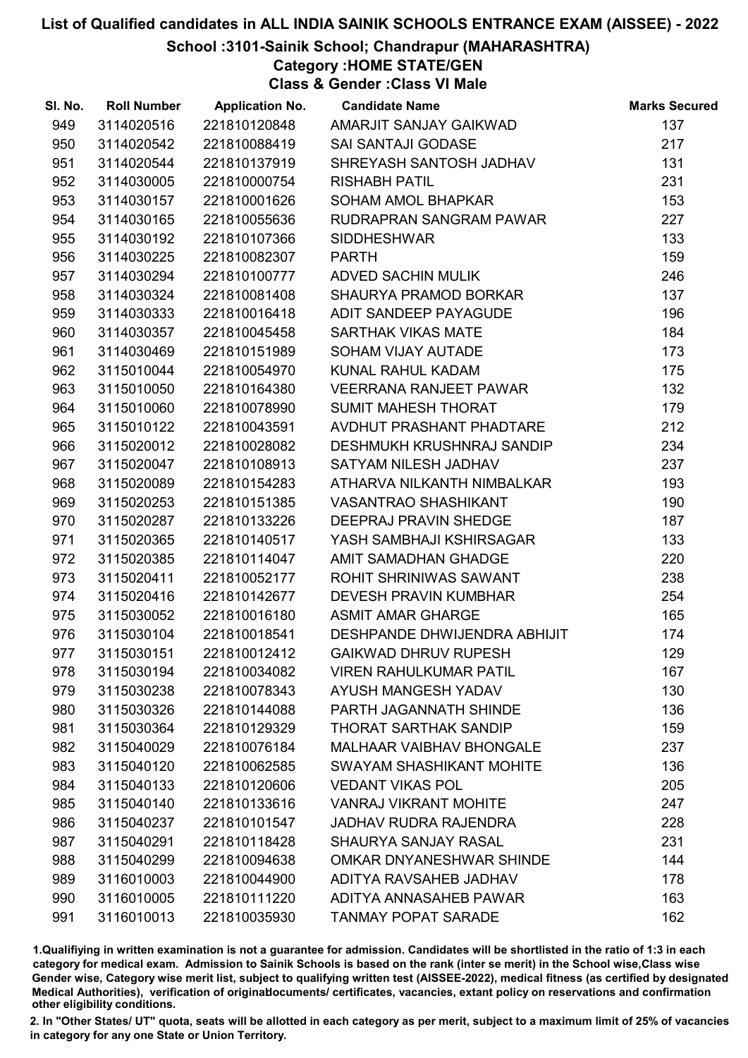#### School :3101-Sainik School; Chandrapur (MAHARASHTRA)

## Category :HOME STATE/GEN

Class & Gender :Class VI Male

| SI. No. | <b>Roll Number</b> | <b>Application No.</b> | <b>Candidate Name</b>           | <b>Marks Secured</b> |
|---------|--------------------|------------------------|---------------------------------|----------------------|
| 949     | 3114020516         | 221810120848           | AMARJIT SANJAY GAIKWAD          | 137                  |
| 950     | 3114020542         | 221810088419           | SAI SANTAJI GODASE              | 217                  |
| 951     | 3114020544         | 221810137919           | SHREYASH SANTOSH JADHAV         | 131                  |
| 952     | 3114030005         | 221810000754           | <b>RISHABH PATIL</b>            | 231                  |
| 953     | 3114030157         | 221810001626           | SOHAM AMOL BHAPKAR              | 153                  |
| 954     | 3114030165         | 221810055636           | RUDRAPRAN SANGRAM PAWAR         | 227                  |
| 955     | 3114030192         | 221810107366           | <b>SIDDHESHWAR</b>              | 133                  |
| 956     | 3114030225         | 221810082307           | <b>PARTH</b>                    | 159                  |
| 957     | 3114030294         | 221810100777           | ADVED SACHIN MULIK              | 246                  |
| 958     | 3114030324         | 221810081408           | SHAURYA PRAMOD BORKAR           | 137                  |
| 959     | 3114030333         | 221810016418           | ADIT SANDEEP PAYAGUDE           | 196                  |
| 960     | 3114030357         | 221810045458           | <b>SARTHAK VIKAS MATE</b>       | 184                  |
| 961     | 3114030469         | 221810151989           | SOHAM VIJAY AUTADE              | 173                  |
| 962     | 3115010044         | 221810054970           | KUNAL RAHUL KADAM               | 175                  |
| 963     | 3115010050         | 221810164380           | VEERRANA RANJEET PAWAR          | 132                  |
| 964     | 3115010060         | 221810078990           | <b>SUMIT MAHESH THORAT</b>      | 179                  |
| 965     | 3115010122         | 221810043591           | AVDHUT PRASHANT PHADTARE        | 212                  |
| 966     | 3115020012         | 221810028082           | DESHMUKH KRUSHNRAJ SANDIP       | 234                  |
| 967     | 3115020047         | 221810108913           | SATYAM NILESH JADHAV            | 237                  |
| 968     | 3115020089         | 221810154283           | ATHARVA NILKANTH NIMBALKAR      | 193                  |
| 969     | 3115020253         | 221810151385           | <b>VASANTRAO SHASHIKANT</b>     | 190                  |
| 970     | 3115020287         | 221810133226           | DEEPRAJ PRAVIN SHEDGE           | 187                  |
| 971     | 3115020365         | 221810140517           | YASH SAMBHAJI KSHIRSAGAR        | 133                  |
| 972     | 3115020385         | 221810114047           | AMIT SAMADHAN GHADGE            | 220                  |
| 973     | 3115020411         | 221810052177           | ROHIT SHRINIWAS SAWANT          | 238                  |
| 974     | 3115020416         | 221810142677           | <b>DEVESH PRAVIN KUMBHAR</b>    | 254                  |
| 975     | 3115030052         | 221810016180           | <b>ASMIT AMAR GHARGE</b>        | 165                  |
| 976     | 3115030104         | 221810018541           | DESHPANDE DHWIJENDRA ABHIJIT    | 174                  |
| 977     | 3115030151         | 221810012412           | <b>GAIKWAD DHRUV RUPESH</b>     | 129                  |
| 978     | 3115030194         | 221810034082           | <b>VIREN RAHULKUMAR PATIL</b>   | 167                  |
| 979     | 3115030238         | 221810078343           | AYUSH MANGESH YADAV             | 130                  |
| 980     | 3115030326         | 221810144088           | PARTH JAGANNATH SHINDE          | 136                  |
| 981     | 3115030364         | 221810129329           | <b>THORAT SARTHAK SANDIP</b>    | 159                  |
| 982     | 3115040029         | 221810076184           | <b>MALHAAR VAIBHAV BHONGALE</b> | 237                  |
| 983     | 3115040120         | 221810062585           | <b>SWAYAM SHASHIKANT MOHITE</b> | 136                  |
| 984     | 3115040133         | 221810120606           | <b>VEDANT VIKAS POL</b>         | 205                  |
| 985     | 3115040140         | 221810133616           | <b>VANRAJ VIKRANT MOHITE</b>    | 247                  |
| 986     | 3115040237         | 221810101547           | <b>JADHAV RUDRA RAJENDRA</b>    | 228                  |
| 987     | 3115040291         | 221810118428           | SHAURYA SANJAY RASAL            | 231                  |
| 988     | 3115040299         | 221810094638           | OMKAR DNYANESHWAR SHINDE        | 144                  |
| 989     | 3116010003         | 221810044900           | ADITYA RAVSAHEB JADHAV          | 178                  |
| 990     | 3116010005         | 221810111220           | ADITYA ANNASAHEB PAWAR          | 163                  |
| 991     | 3116010013         | 221810035930           | <b>TANMAY POPAT SARADE</b>      | 162                  |

1.Qualifiying in written examination is not a guarantee for admission. Candidates will be shortlisted in the ratio of 1:3 in each category for medical exam. Admission to Sainik Schools is based on the rank (inter se merit) in the School wise,Class wise Gender wise, Category wise merit list, subject to qualifying written test (AISSEE-2022), medical fitness (as certified by designated Medical Authorities), verification of originablocuments/ certificates, vacancies, extant policy on reservations and confirmation other eligibility conditions.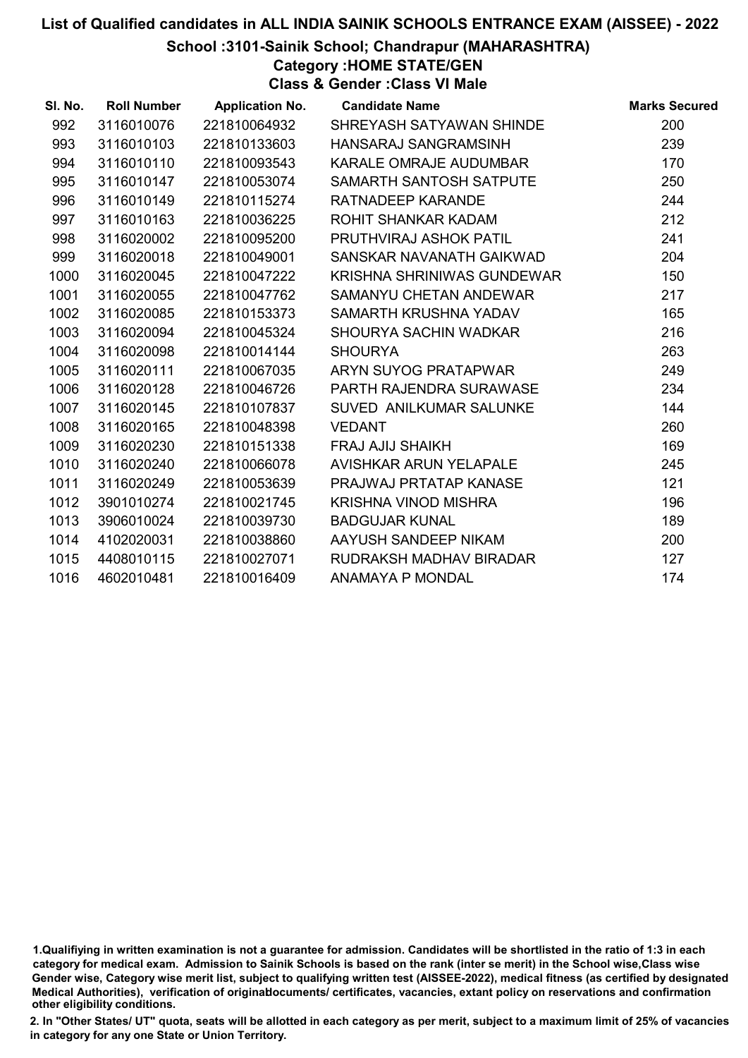School :3101-Sainik School; Chandrapur (MAHARASHTRA)

Category :HOME STATE/GEN

Class & Gender :Class VI Male

| SI. No. | <b>Roll Number</b> | <b>Application No.</b> | <b>Candidate Name</b>       | <b>Marks Secured</b> |
|---------|--------------------|------------------------|-----------------------------|----------------------|
| 992     | 3116010076         | 221810064932           | SHREYASH SATYAWAN SHINDE    | 200                  |
| 993     | 3116010103         | 221810133603           | HANSARAJ SANGRAMSINH        | 239                  |
| 994     | 3116010110         | 221810093543           | KARALE OMRAJE AUDUMBAR      | 170                  |
| 995     | 3116010147         | 221810053074           | SAMARTH SANTOSH SATPUTE     | 250                  |
| 996     | 3116010149         | 221810115274           | RATNADEEP KARANDE           | 244                  |
| 997     | 3116010163         | 221810036225           | ROHIT SHANKAR KADAM         | 212                  |
| 998     | 3116020002         | 221810095200           | PRUTHVIRAJ ASHOK PATIL      | 241                  |
| 999     | 3116020018         | 221810049001           | SANSKAR NAVANATH GAIKWAD    | 204                  |
| 1000    | 3116020045         | 221810047222           | KRISHNA SHRINIWAS GUNDEWAR  | 150                  |
| 1001    | 3116020055         | 221810047762           | SAMANYU CHETAN ANDEWAR      | 217                  |
| 1002    | 3116020085         | 221810153373           | SAMARTH KRUSHNA YADAV       | 165                  |
| 1003    | 3116020094         | 221810045324           | SHOURYA SACHIN WADKAR       | 216                  |
| 1004    | 3116020098         | 221810014144           | <b>SHOURYA</b>              | 263                  |
| 1005    | 3116020111         | 221810067035           | ARYN SUYOG PRATAPWAR        | 249                  |
| 1006    | 3116020128         | 221810046726           | PARTH RAJENDRA SURAWASE     | 234                  |
| 1007    | 3116020145         | 221810107837           | SUVED ANILKUMAR SALUNKE     | 144                  |
| 1008    | 3116020165         | 221810048398           | <b>VEDANT</b>               | 260                  |
| 1009    | 3116020230         | 221810151338           | <b>FRAJ AJIJ SHAIKH</b>     | 169                  |
| 1010    | 3116020240         | 221810066078           | AVISHKAR ARUN YELAPALE      | 245                  |
| 1011    | 3116020249         | 221810053639           | PRAJWAJ PRTATAP KANASE      | 121                  |
| 1012    | 3901010274         | 221810021745           | <b>KRISHNA VINOD MISHRA</b> | 196                  |
| 1013    | 3906010024         | 221810039730           | <b>BADGUJAR KUNAL</b>       | 189                  |
| 1014    | 4102020031         | 221810038860           | AAYUSH SANDEEP NIKAM        | 200                  |
| 1015    | 4408010115         | 221810027071           | RUDRAKSH MADHAV BIRADAR     | 127                  |
| 1016    | 4602010481         | 221810016409           | <b>ANAMAYA P MONDAL</b>     | 174                  |

<sup>1.</sup>Qualifiying in written examination is not a guarantee for admission. Candidates will be shortlisted in the ratio of 1:3 in each category for medical exam. Admission to Sainik Schools is based on the rank (inter se merit) in the School wise,Class wise Gender wise, Category wise merit list, subject to qualifying written test (AISSEE-2022), medical fitness (as certified by designated Medical Authorities), verification of originablocuments/ certificates, vacancies, extant policy on reservations and confirmation other eligibility conditions.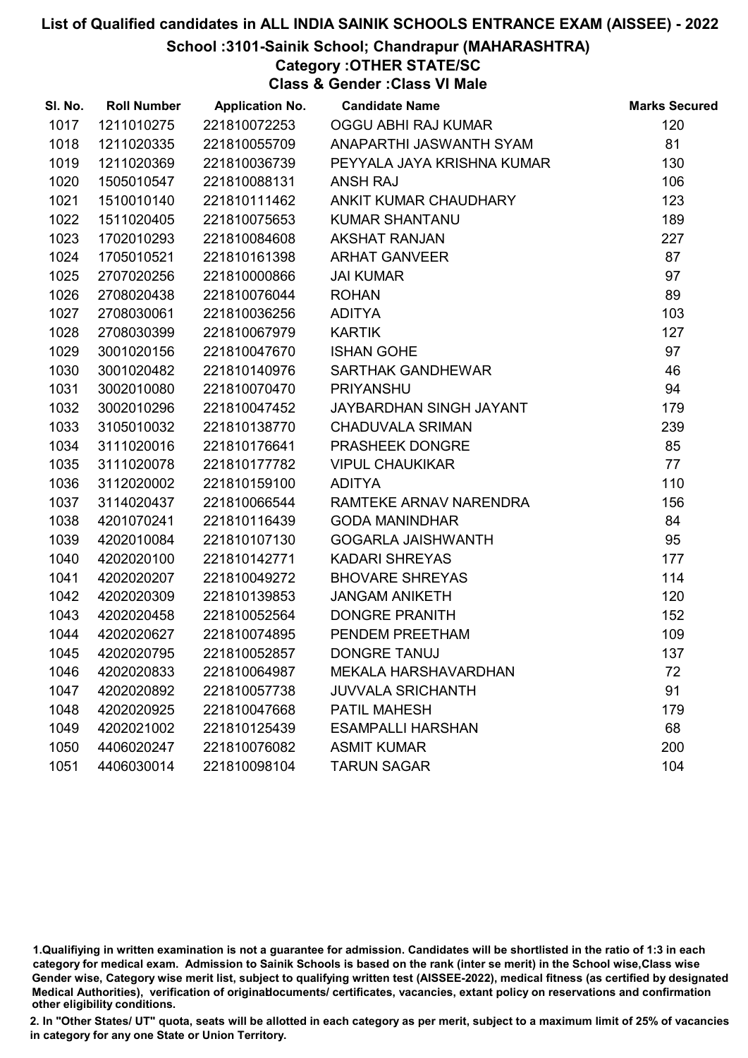#### School :3101-Sainik School; Chandrapur (MAHARASHTRA)

Category :OTHER STATE/SC

Class & Gender :Class VI Male

| SI. No. | <b>Roll Number</b> | <b>Application No.</b> | <b>Candidate Name</b>      | <b>Marks Secured</b> |
|---------|--------------------|------------------------|----------------------------|----------------------|
| 1017    | 1211010275         | 221810072253           | OGGU ABHI RAJ KUMAR        | 120                  |
| 1018    | 1211020335         | 221810055709           | ANAPARTHI JASWANTH SYAM    | 81                   |
| 1019    | 1211020369         | 221810036739           | PEYYALA JAYA KRISHNA KUMAR | 130                  |
| 1020    | 1505010547         | 221810088131           | <b>ANSH RAJ</b>            | 106                  |
| 1021    | 1510010140         | 221810111462           | ANKIT KUMAR CHAUDHARY      | 123                  |
| 1022    | 1511020405         | 221810075653           | <b>KUMAR SHANTANU</b>      | 189                  |
| 1023    | 1702010293         | 221810084608           | <b>AKSHAT RANJAN</b>       | 227                  |
| 1024    | 1705010521         | 221810161398           | <b>ARHAT GANVEER</b>       | 87                   |
| 1025    | 2707020256         | 221810000866           | <b>JAI KUMAR</b>           | 97                   |
| 1026    | 2708020438         | 221810076044           | <b>ROHAN</b>               | 89                   |
| 1027    | 2708030061         | 221810036256           | <b>ADITYA</b>              | 103                  |
| 1028    | 2708030399         | 221810067979           | <b>KARTIK</b>              | 127                  |
| 1029    | 3001020156         | 221810047670           | <b>ISHAN GOHE</b>          | 97                   |
| 1030    | 3001020482         | 221810140976           | <b>SARTHAK GANDHEWAR</b>   | 46                   |
| 1031    | 3002010080         | 221810070470           | <b>PRIYANSHU</b>           | 94                   |
| 1032    | 3002010296         | 221810047452           | JAYBARDHAN SINGH JAYANT    | 179                  |
| 1033    | 3105010032         | 221810138770           | <b>CHADUVALA SRIMAN</b>    | 239                  |
| 1034    | 3111020016         | 221810176641           | PRASHEEK DONGRE            | 85                   |
| 1035    | 3111020078         | 221810177782           | <b>VIPUL CHAUKIKAR</b>     | 77                   |
| 1036    | 3112020002         | 221810159100           | <b>ADITYA</b>              | 110                  |
| 1037    | 3114020437         | 221810066544           | RAMTEKE ARNAV NARENDRA     | 156                  |
| 1038    | 4201070241         | 221810116439           | <b>GODA MANINDHAR</b>      | 84                   |
| 1039    | 4202010084         | 221810107130           | <b>GOGARLA JAISHWANTH</b>  | 95                   |
| 1040    | 4202020100         | 221810142771           | <b>KADARI SHREYAS</b>      | 177                  |
| 1041    | 4202020207         | 221810049272           | <b>BHOVARE SHREYAS</b>     | 114                  |
| 1042    | 4202020309         | 221810139853           | <b>JANGAM ANIKETH</b>      | 120                  |
| 1043    | 4202020458         | 221810052564           | <b>DONGRE PRANITH</b>      | 152                  |
| 1044    | 4202020627         | 221810074895           | PENDEM PREETHAM            | 109                  |
| 1045    | 4202020795         | 221810052857           | <b>DONGRE TANUJ</b>        | 137                  |
| 1046    | 4202020833         | 221810064987           | MEKALA HARSHAVARDHAN       | 72                   |
| 1047    | 4202020892         | 221810057738           | <b>JUVVALA SRICHANTH</b>   | 91                   |
| 1048    | 4202020925         | 221810047668           | <b>PATIL MAHESH</b>        | 179                  |
| 1049    | 4202021002         | 221810125439           | <b>ESAMPALLI HARSHAN</b>   | 68                   |
| 1050    | 4406020247         | 221810076082           | <b>ASMIT KUMAR</b>         | 200                  |
| 1051    | 4406030014         | 221810098104           | <b>TARUN SAGAR</b>         | 104                  |

<sup>1.</sup>Qualifiying in written examination is not a guarantee for admission. Candidates will be shortlisted in the ratio of 1:3 in each category for medical exam. Admission to Sainik Schools is based on the rank (inter se merit) in the School wise,Class wise Gender wise, Category wise merit list, subject to qualifying written test (AISSEE-2022), medical fitness (as certified by designated Medical Authorities), verification of originablocuments/ certificates, vacancies, extant policy on reservations and confirmation other eligibility conditions.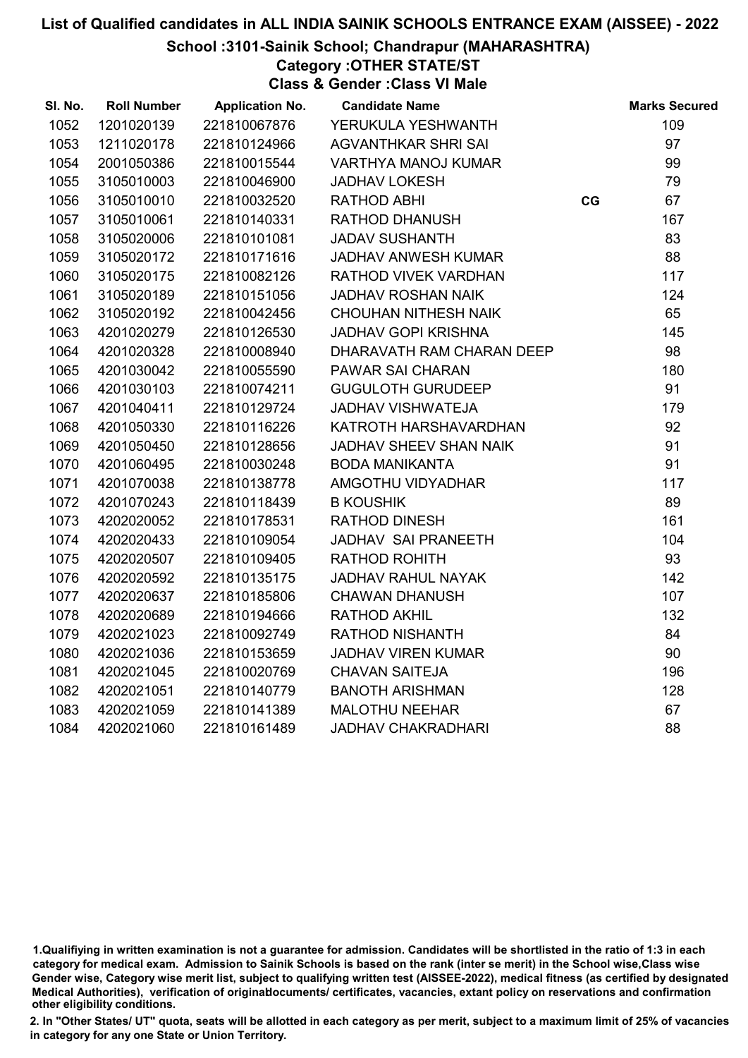#### School :3101-Sainik School; Chandrapur (MAHARASHTRA)

Category :OTHER STATE/ST

Class & Gender :Class VI Male

| SI. No. | <b>Roll Number</b> | <b>Application No.</b> | <b>Candidate Name</b>         |    | <b>Marks Secured</b> |
|---------|--------------------|------------------------|-------------------------------|----|----------------------|
| 1052    | 1201020139         | 221810067876           | YERUKULA YESHWANTH            |    | 109                  |
| 1053    | 1211020178         | 221810124966           | <b>AGVANTHKAR SHRI SAI</b>    |    | 97                   |
| 1054    | 2001050386         | 221810015544           | <b>VARTHYA MANOJ KUMAR</b>    |    | 99                   |
| 1055    | 3105010003         | 221810046900           | <b>JADHAV LOKESH</b>          |    | 79                   |
| 1056    | 3105010010         | 221810032520           | RATHOD ABHI                   | CG | 67                   |
| 1057    | 3105010061         | 221810140331           | RATHOD DHANUSH                |    | 167                  |
| 1058    | 3105020006         | 221810101081           | <b>JADAV SUSHANTH</b>         |    | 83                   |
| 1059    | 3105020172         | 221810171616           | <b>JADHAV ANWESH KUMAR</b>    |    | 88                   |
| 1060    | 3105020175         | 221810082126           | RATHOD VIVEK VARDHAN          |    | 117                  |
| 1061    | 3105020189         | 221810151056           | <b>JADHAV ROSHAN NAIK</b>     |    | 124                  |
| 1062    | 3105020192         | 221810042456           | <b>CHOUHAN NITHESH NAIK</b>   |    | 65                   |
| 1063    | 4201020279         | 221810126530           | <b>JADHAV GOPI KRISHNA</b>    |    | 145                  |
| 1064    | 4201020328         | 221810008940           | DHARAVATH RAM CHARAN DEEP     |    | 98                   |
| 1065    | 4201030042         | 221810055590           | PAWAR SAI CHARAN              |    | 180                  |
| 1066    | 4201030103         | 221810074211           | <b>GUGULOTH GURUDEEP</b>      |    | 91                   |
| 1067    | 4201040411         | 221810129724           | JADHAV VISHWATEJA             |    | 179                  |
| 1068    | 4201050330         | 221810116226           | KATROTH HARSHAVARDHAN         |    | 92                   |
| 1069    | 4201050450         | 221810128656           | <b>JADHAV SHEEV SHAN NAIK</b> |    | 91                   |
| 1070    | 4201060495         | 221810030248           | <b>BODA MANIKANTA</b>         |    | 91                   |
| 1071    | 4201070038         | 221810138778           | AMGOTHU VIDYADHAR             |    | 117                  |
| 1072    | 4201070243         | 221810118439           | <b>B KOUSHIK</b>              |    | 89                   |
| 1073    | 4202020052         | 221810178531           | RATHOD DINESH                 |    | 161                  |
| 1074    | 4202020433         | 221810109054           | JADHAV SAI PRANEETH           |    | 104                  |
| 1075    | 4202020507         | 221810109405           | <b>RATHOD ROHITH</b>          |    | 93                   |
| 1076    | 4202020592         | 221810135175           | <b>JADHAV RAHUL NAYAK</b>     |    | 142                  |
| 1077    | 4202020637         | 221810185806           | <b>CHAWAN DHANUSH</b>         |    | 107                  |
| 1078    | 4202020689         | 221810194666           | <b>RATHOD AKHIL</b>           |    | 132                  |
| 1079    | 4202021023         | 221810092749           | RATHOD NISHANTH               |    | 84                   |
| 1080    | 4202021036         | 221810153659           | <b>JADHAV VIREN KUMAR</b>     |    | 90                   |
| 1081    | 4202021045         | 221810020769           | <b>CHAVAN SAITEJA</b>         |    | 196                  |
| 1082    | 4202021051         | 221810140779           | <b>BANOTH ARISHMAN</b>        |    | 128                  |
| 1083    | 4202021059         | 221810141389           | <b>MALOTHU NEEHAR</b>         |    | 67                   |
| 1084    | 4202021060         | 221810161489           | <b>JADHAV CHAKRADHARI</b>     |    | 88                   |

<sup>1.</sup>Qualifiying in written examination is not a guarantee for admission. Candidates will be shortlisted in the ratio of 1:3 in each category for medical exam. Admission to Sainik Schools is based on the rank (inter se merit) in the School wise,Class wise Gender wise, Category wise merit list, subject to qualifying written test (AISSEE-2022), medical fitness (as certified by designated Medical Authorities), verification of originablocuments/ certificates, vacancies, extant policy on reservations and confirmation other eligibility conditions.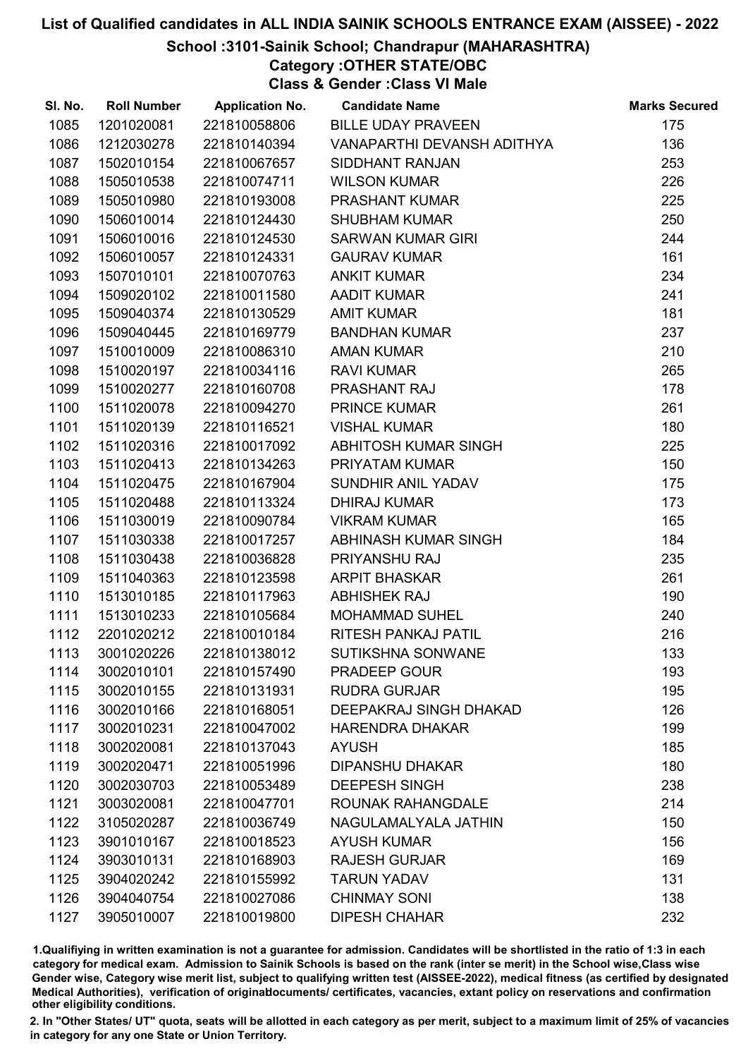#### School :3101-Sainik School; Chandrapur (MAHARASHTRA)

Category :OTHER STATE/OBC

Class & Gender :Class VI Male

| SI. No. | <b>Roll Number</b> | <b>Application No.</b> | <b>Candidate Name</b>      | <b>Marks Secured</b> |
|---------|--------------------|------------------------|----------------------------|----------------------|
| 1085    | 1201020081         | 221810058806           | <b>BILLE UDAY PRAVEEN</b>  | 175                  |
| 1086    | 1212030278         | 221810140394           | VANAPARTHI DEVANSH ADITHYA | 136                  |
| 1087    | 1502010154         | 221810067657           | <b>SIDDHANT RANJAN</b>     | 253                  |
| 1088    | 1505010538         | 221810074711           | <b>WILSON KUMAR</b>        | 226                  |
| 1089    | 1505010980         | 221810193008           | <b>PRASHANT KUMAR</b>      | 225                  |
| 1090    | 1506010014         | 221810124430           | <b>SHUBHAM KUMAR</b>       | 250                  |
| 1091    | 1506010016         | 221810124530           | SARWAN KUMAR GIRI          | 244                  |
| 1092    | 1506010057         | 221810124331           | <b>GAURAV KUMAR</b>        | 161                  |
| 1093    | 1507010101         | 221810070763           | <b>ANKIT KUMAR</b>         | 234                  |
| 1094    | 1509020102         | 221810011580           | <b>AADIT KUMAR</b>         | 241                  |
| 1095    | 1509040374         | 221810130529           | <b>AMIT KUMAR</b>          | 181                  |
| 1096    | 1509040445         | 221810169779           | <b>BANDHAN KUMAR</b>       | 237                  |
| 1097    | 1510010009         | 221810086310           | <b>AMAN KUMAR</b>          | 210                  |
| 1098    | 1510020197         | 221810034116           | <b>RAVI KUMAR</b>          | 265                  |
| 1099    | 1510020277         | 221810160708           | <b>PRASHANT RAJ</b>        | 178                  |
| 1100    | 1511020078         | 221810094270           | <b>PRINCE KUMAR</b>        | 261                  |
| 1101    | 1511020139         | 221810116521           | <b>VISHAL KUMAR</b>        | 180                  |
| 1102    | 1511020316         | 221810017092           | ABHITOSH KUMAR SINGH       | 225                  |
| 1103    | 1511020413         | 221810134263           | PRIYATAM KUMAR             | 150                  |
| 1104    | 1511020475         | 221810167904           | SUNDHIR ANIL YADAV         | 175                  |
| 1105    | 1511020488         | 221810113324           | <b>DHIRAJ KUMAR</b>        | 173                  |
| 1106    | 1511030019         | 221810090784           | <b>VIKRAM KUMAR</b>        | 165                  |
| 1107    | 1511030338         | 221810017257           | ABHINASH KUMAR SINGH       | 184                  |
| 1108    | 1511030438         | 221810036828           | PRIYANSHU RAJ              | 235                  |
| 1109    | 1511040363         | 221810123598           | <b>ARPIT BHASKAR</b>       | 261                  |
| 1110    | 1513010185         | 221810117963           | <b>ABHISHEK RAJ</b>        | 190                  |
| 1111    | 1513010233         | 221810105684           | <b>MOHAMMAD SUHEL</b>      | 240                  |
| 1112    | 2201020212         | 221810010184           | RITESH PANKAJ PATIL        | 216                  |
| 1113    | 3001020226         | 221810138012           | <b>SUTIKSHNA SONWANE</b>   | 133                  |
| 1114    | 3002010101         | 221810157490           | <b>PRADEEP GOUR</b>        | 193                  |
| 1115    | 3002010155         | 221810131931           | <b>RUDRA GURJAR</b>        | 195                  |
| 1116    | 3002010166         | 221810168051           | DEEPAKRAJ SINGH DHAKAD     | 126                  |
| 1117    | 3002010231         | 221810047002           | <b>HARENDRA DHAKAR</b>     | 199                  |
| 1118    | 3002020081         | 221810137043           | <b>AYUSH</b>               | 185                  |
| 1119    | 3002020471         | 221810051996           | <b>DIPANSHU DHAKAR</b>     | 180                  |
| 1120    | 3002030703         | 221810053489           | <b>DEEPESH SINGH</b>       | 238                  |
| 1121    | 3003020081         | 221810047701           | ROUNAK RAHANGDALE          | 214                  |
| 1122    | 3105020287         | 221810036749           | NAGULAMALYALA JATHIN       | 150                  |
| 1123    | 3901010167         | 221810018523           | <b>AYUSH KUMAR</b>         | 156                  |
| 1124    | 3903010131         | 221810168903           | <b>RAJESH GURJAR</b>       | 169                  |
| 1125    | 3904020242         | 221810155992           | <b>TARUN YADAV</b>         | 131                  |
| 1126    | 3904040754         | 221810027086           | <b>CHINMAY SONI</b>        | 138                  |
| 1127    | 3905010007         | 221810019800           | <b>DIPESH CHAHAR</b>       | 232                  |

1.Qualifiying in written examination is not a guarantee for admission. Candidates will be shortlisted in the ratio of 1:3 in each category for medical exam. Admission to Sainik Schools is based on the rank (inter se merit) in the School wise,Class wise Gender wise, Category wise merit list, subject to qualifying written test (AISSEE-2022), medical fitness (as certified by designated Medical Authorities), verification of originablocuments/ certificates, vacancies, extant policy on reservations and confirmation other eligibility conditions.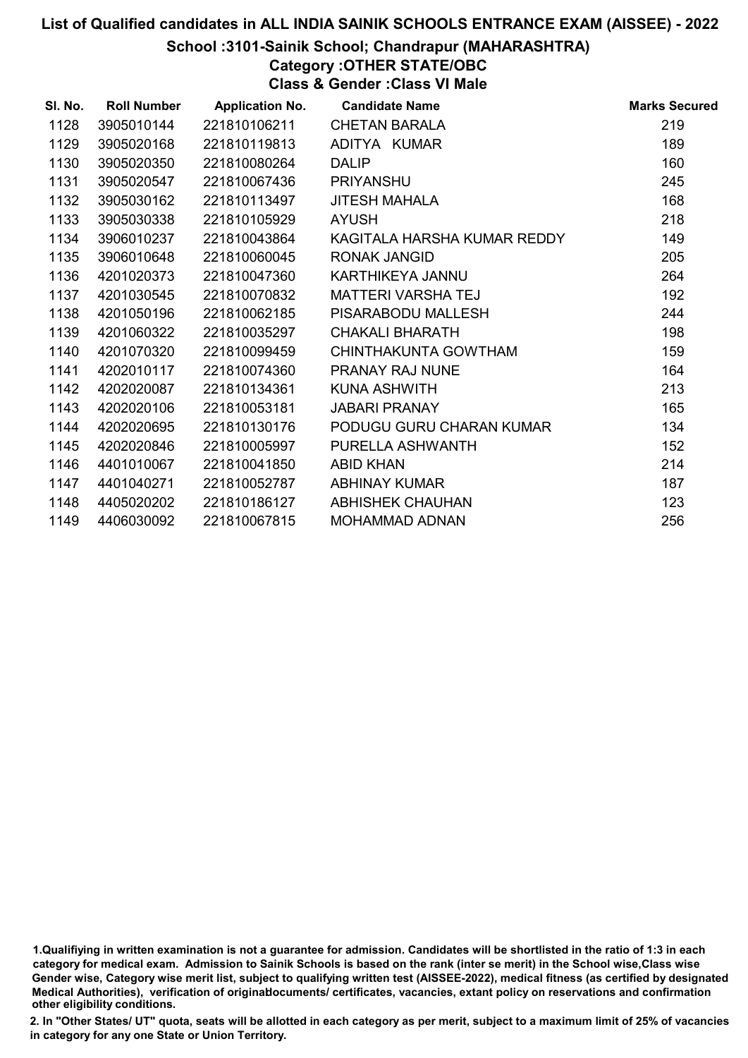#### School :3101-Sainik School; Chandrapur (MAHARASHTRA)

# Category :OTHER STATE/OBC

Class & Gender :Class VI Male

| SI. No. | <b>Roll Number</b> | <b>Application No.</b> | <b>Candidate Name</b>       | <b>Marks Secured</b> |
|---------|--------------------|------------------------|-----------------------------|----------------------|
| 1128    | 3905010144         | 221810106211           | <b>CHETAN BARALA</b>        | 219                  |
| 1129    | 3905020168         | 221810119813           | ADITYA KUMAR                | 189                  |
| 1130    | 3905020350         | 221810080264           | <b>DALIP</b>                | 160                  |
| 1131    | 3905020547         | 221810067436           | <b>PRIYANSHU</b>            | 245                  |
| 1132    | 3905030162         | 221810113497           | <b>JITESH MAHALA</b>        | 168                  |
| 1133    | 3905030338         | 221810105929           | <b>AYUSH</b>                | 218                  |
| 1134    | 3906010237         | 221810043864           | KAGITALA HARSHA KUMAR REDDY | 149                  |
| 1135    | 3906010648         | 221810060045           | <b>RONAK JANGID</b>         | 205                  |
| 1136    | 4201020373         | 221810047360           | KARTHIKEYA JANNU            | 264                  |
| 1137    | 4201030545         | 221810070832           | MATTERI VARSHA TEJ          | 192                  |
| 1138    | 4201050196         | 221810062185           | PISARABODU MALLESH          | 244                  |
| 1139    | 4201060322         | 221810035297           | <b>CHAKALI BHARATH</b>      | 198                  |
| 1140    | 4201070320         | 221810099459           | CHINTHAKUNTA GOWTHAM        | 159                  |
| 1141    | 4202010117         | 221810074360           | PRANAY RAJ NUNE             | 164                  |
| 1142    | 4202020087         | 221810134361           | KUNA ASHWITH                | 213                  |
| 1143    | 4202020106         | 221810053181           | <b>JABARI PRANAY</b>        | 165                  |
| 1144    | 4202020695         | 221810130176           | PODUGU GURU CHARAN KUMAR    | 134                  |
| 1145    | 4202020846         | 221810005997           | PURELLA ASHWANTH            | 152                  |
| 1146    | 4401010067         | 221810041850           | <b>ABID KHAN</b>            | 214                  |
| 1147    | 4401040271         | 221810052787           | <b>ABHINAY KUMAR</b>        | 187                  |
| 1148    | 4405020202         | 221810186127           | <b>ABHISHEK CHAUHAN</b>     | 123                  |
| 1149    | 4406030092         | 221810067815           | MOHAMMAD ADNAN              | 256                  |
|         |                    |                        |                             |                      |

<sup>1.</sup>Qualifiying in written examination is not a guarantee for admission. Candidates will be shortlisted in the ratio of 1:3 in each category for medical exam. Admission to Sainik Schools is based on the rank (inter se merit) in the School wise,Class wise Gender wise, Category wise merit list, subject to qualifying written test (AISSEE-2022), medical fitness (as certified by designated Medical Authorities), verification of originablocuments/ certificates, vacancies, extant policy on reservations and confirmation other eligibility conditions.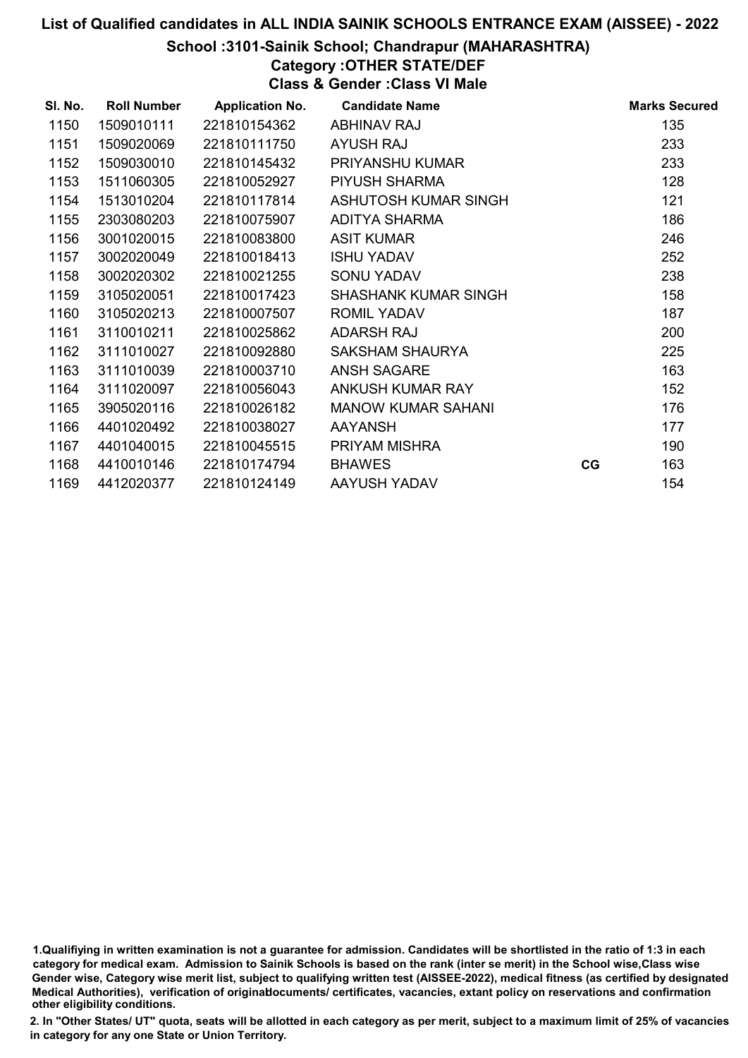#### School :3101-Sainik School; Chandrapur (MAHARASHTRA)

# Category :OTHER STATE/DEF

Class & Gender :Class VI Male

| SI. No. | <b>Roll Number</b> | <b>Application No.</b> | <b>Candidate Name</b>       |    | <b>Marks Secured</b> |
|---------|--------------------|------------------------|-----------------------------|----|----------------------|
| 1150    | 1509010111         | 221810154362           | <b>ABHINAV RAJ</b>          |    | 135                  |
| 1151    | 1509020069         | 221810111750           | <b>AYUSH RAJ</b>            |    | 233                  |
| 1152    | 1509030010         | 221810145432           | <b>PRIYANSHU KUMAR</b>      |    | 233                  |
| 1153    | 1511060305         | 221810052927           | <b>PIYUSH SHARMA</b>        |    | 128                  |
| 1154    | 1513010204         | 221810117814           | ASHUTOSH KUMAR SINGH        |    | 121                  |
| 1155    | 2303080203         | 221810075907           | <b>ADITYA SHARMA</b>        |    | 186                  |
| 1156    | 3001020015         | 221810083800           | <b>ASIT KUMAR</b>           |    | 246                  |
| 1157    | 3002020049         | 221810018413           | <b>ISHU YADAV</b>           |    | 252                  |
| 1158    | 3002020302         | 221810021255           | <b>SONU YADAV</b>           |    | 238                  |
| 1159    | 3105020051         | 221810017423           | <b>SHASHANK KUMAR SINGH</b> |    | 158                  |
| 1160    | 3105020213         | 221810007507           | <b>ROMIL YADAV</b>          |    | 187                  |
| 1161    | 3110010211         | 221810025862           | <b>ADARSH RAJ</b>           |    | 200                  |
| 1162    | 3111010027         | 221810092880           | <b>SAKSHAM SHAURYA</b>      |    | 225                  |
| 1163    | 3111010039         | 221810003710           | <b>ANSH SAGARE</b>          |    | 163                  |
| 1164    | 3111020097         | 221810056043           | ANKUSH KUMAR RAY            |    | 152                  |
| 1165    | 3905020116         | 221810026182           | <b>MANOW KUMAR SAHANI</b>   |    | 176                  |
| 1166    | 4401020492         | 221810038027           | <b>AAYANSH</b>              |    | 177                  |
| 1167    | 4401040015         | 221810045515           | PRIYAM MISHRA               |    | 190                  |
| 1168    | 4410010146         | 221810174794           | <b>BHAWES</b>               | CG | 163                  |
| 1169    | 4412020377         | 221810124149           | AAYUSH YADAV                |    | 154                  |

1.Qualifiying in written examination is not a guarantee for admission. Candidates will be shortlisted in the ratio of 1:3 in each category for medical exam. Admission to Sainik Schools is based on the rank (inter se merit) in the School wise,Class wise Gender wise, Category wise merit list, subject to qualifying written test (AISSEE-2022), medical fitness (as certified by designated Medical Authorities), verification of originablocuments/ certificates, vacancies, extant policy on reservations and confirmation other eligibility conditions.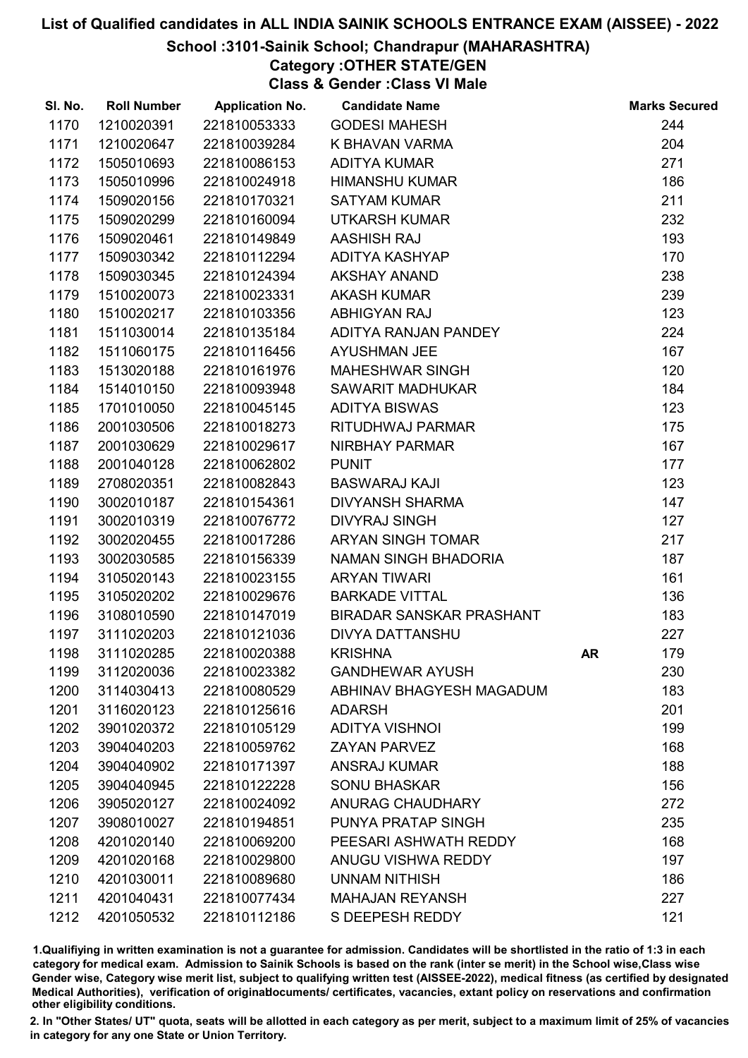#### School :3101-Sainik School; Chandrapur (MAHARASHTRA)

Category :OTHER STATE/GEN

Class & Gender :Class VI Male

| SI. No. | <b>Roll Number</b> | <b>Application No.</b> | <b>Candidate Name</b>           |    | <b>Marks Secured</b> |
|---------|--------------------|------------------------|---------------------------------|----|----------------------|
| 1170    | 1210020391         | 221810053333           | <b>GODESI MAHESH</b>            |    | 244                  |
| 1171    | 1210020647         | 221810039284           | K BHAVAN VARMA                  |    | 204                  |
| 1172    | 1505010693         | 221810086153           | <b>ADITYA KUMAR</b>             |    | 271                  |
| 1173    | 1505010996         | 221810024918           | <b>HIMANSHU KUMAR</b>           |    | 186                  |
| 1174    | 1509020156         | 221810170321           | <b>SATYAM KUMAR</b>             |    | 211                  |
| 1175    | 1509020299         | 221810160094           | <b>UTKARSH KUMAR</b>            |    | 232                  |
| 1176    | 1509020461         | 221810149849           | <b>AASHISH RAJ</b>              |    | 193                  |
| 1177    | 1509030342         | 221810112294           | ADITYA KASHYAP                  |    | 170                  |
| 1178    | 1509030345         | 221810124394           | <b>AKSHAY ANAND</b>             |    | 238                  |
| 1179    | 1510020073         | 221810023331           | <b>AKASH KUMAR</b>              |    | 239                  |
| 1180    | 1510020217         | 221810103356           | <b>ABHIGYAN RAJ</b>             |    | 123                  |
| 1181    | 1511030014         | 221810135184           | ADITYA RANJAN PANDEY            |    | 224                  |
| 1182    | 1511060175         | 221810116456           | <b>AYUSHMAN JEE</b>             |    | 167                  |
| 1183    | 1513020188         | 221810161976           | <b>MAHESHWAR SINGH</b>          |    | 120                  |
| 1184    | 1514010150         | 221810093948           | SAWARIT MADHUKAR                |    | 184                  |
| 1185    | 1701010050         | 221810045145           | <b>ADITYA BISWAS</b>            |    | 123                  |
| 1186    | 2001030506         | 221810018273           | RITUDHWAJ PARMAR                |    | 175                  |
| 1187    | 2001030629         | 221810029617           | NIRBHAY PARMAR                  |    | 167                  |
| 1188    | 2001040128         | 221810062802           | <b>PUNIT</b>                    |    | 177                  |
| 1189    | 2708020351         | 221810082843           | <b>BASWARAJ KAJI</b>            |    | 123                  |
| 1190    | 3002010187         | 221810154361           | <b>DIVYANSH SHARMA</b>          |    | 147                  |
| 1191    | 3002010319         | 221810076772           | <b>DIVYRAJ SINGH</b>            |    | 127                  |
| 1192    | 3002020455         | 221810017286           | ARYAN SINGH TOMAR               |    | 217                  |
| 1193    | 3002030585         | 221810156339           | NAMAN SINGH BHADORIA            |    | 187                  |
| 1194    | 3105020143         | 221810023155           | <b>ARYAN TIWARI</b>             |    | 161                  |
| 1195    | 3105020202         | 221810029676           | <b>BARKADE VITTAL</b>           |    | 136                  |
| 1196    | 3108010590         | 221810147019           | <b>BIRADAR SANSKAR PRASHANT</b> |    | 183                  |
| 1197    | 3111020203         | 221810121036           | <b>DIVYA DATTANSHU</b>          |    | 227                  |
| 1198    | 3111020285         | 221810020388           | <b>KRISHNA</b>                  | AR | 179                  |
| 1199    | 3112020036         | 221810023382           | <b>GANDHEWAR AYUSH</b>          |    | 230                  |
| 1200    | 3114030413         | 221810080529           | ABHINAV BHAGYESH MAGADUM        |    | 183                  |
| 1201    | 3116020123         | 221810125616           | <b>ADARSH</b>                   |    | 201                  |
| 1202    | 3901020372         | 221810105129           | <b>ADITYA VISHNOI</b>           |    | 199                  |
| 1203    | 3904040203         | 221810059762           | <b>ZAYAN PARVEZ</b>             |    | 168                  |
| 1204    | 3904040902         | 221810171397           | <b>ANSRAJ KUMAR</b>             |    | 188                  |
| 1205    | 3904040945         | 221810122228           | <b>SONU BHASKAR</b>             |    | 156                  |
| 1206    | 3905020127         | 221810024092           | ANURAG CHAUDHARY                |    | 272                  |
| 1207    | 3908010027         | 221810194851           | PUNYA PRATAP SINGH              |    | 235                  |
| 1208    | 4201020140         | 221810069200           | PEESARI ASHWATH REDDY           |    | 168                  |
| 1209    | 4201020168         | 221810029800           | <b>ANUGU VISHWA REDDY</b>       |    | 197                  |
| 1210    | 4201030011         | 221810089680           | <b>UNNAM NITHISH</b>            |    | 186                  |
| 1211    | 4201040431         | 221810077434           | <b>MAHAJAN REYANSH</b>          |    | 227                  |
| 1212    | 4201050532         | 221810112186           | S DEEPESH REDDY                 |    | 121                  |

1.Qualifiying in written examination is not a guarantee for admission. Candidates will be shortlisted in the ratio of 1:3 in each category for medical exam. Admission to Sainik Schools is based on the rank (inter se merit) in the School wise,Class wise Gender wise, Category wise merit list, subject to qualifying written test (AISSEE-2022), medical fitness (as certified by designated Medical Authorities), verification of originablocuments/ certificates, vacancies, extant policy on reservations and confirmation other eligibility conditions.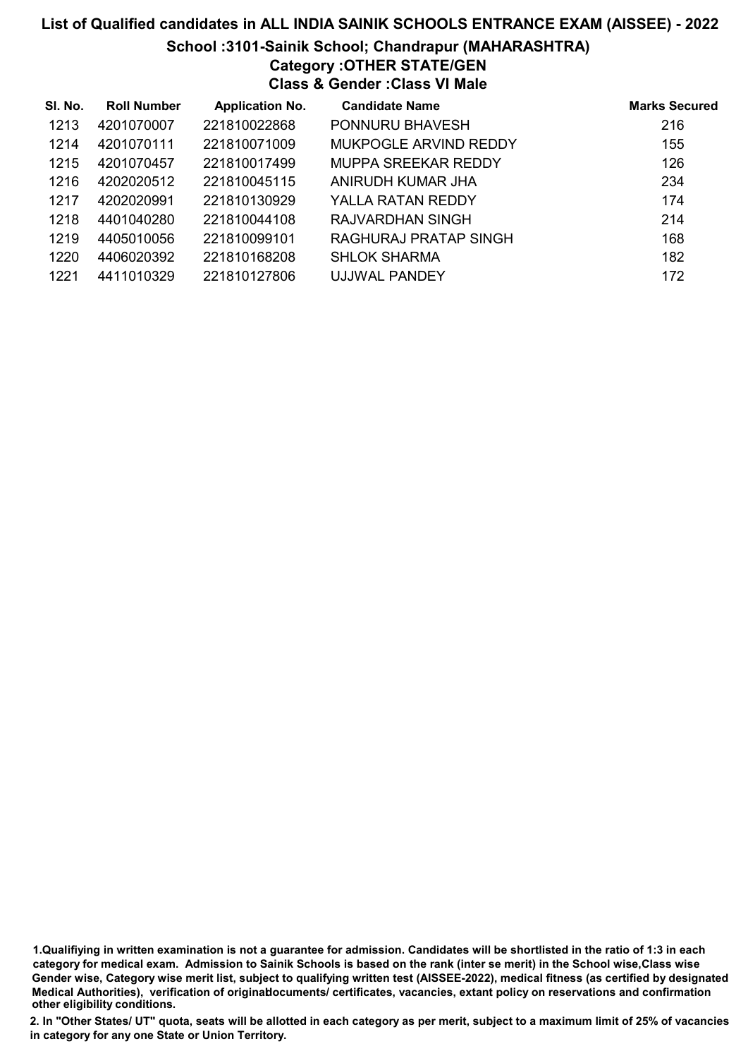#### School :3101-Sainik School; Chandrapur (MAHARASHTRA)

# Category :OTHER STATE/GEN

Class & Gender :Class VI Male

| SI. No. | <b>Roll Number</b> | <b>Application No.</b> | <b>Candidate Name</b>      | <b>Marks Secured</b> |
|---------|--------------------|------------------------|----------------------------|----------------------|
| 1213    | 4201070007         | 221810022868           | PONNURU BHAVESH            | 216                  |
| 1214    | 4201070111         | 221810071009           | MUKPOGLE ARVIND REDDY      | 155                  |
| 1215    | 4201070457         | 221810017499           | <b>MUPPA SREEKAR REDDY</b> | 126                  |
| 1216    | 4202020512         | 221810045115           | ANIRUDH KUMAR JHA          | 234                  |
| 1217    | 4202020991         | 221810130929           | YALLA RATAN REDDY          | 174                  |
| 1218    | 4401040280         | 221810044108           | RAJVARDHAN SINGH           | 214                  |
| 1219    | 4405010056         | 221810099101           | RAGHURAJ PRATAP SINGH      | 168                  |
| 1220    | 4406020392         | 221810168208           | <b>SHLOK SHARMA</b>        | 182                  |
| 1221    | 4411010329         | 221810127806           | UJJWAL PANDEY              | 172                  |

1.Qualifiying in written examination is not a guarantee for admission. Candidates will be shortlisted in the ratio of 1:3 in each category for medical exam. Admission to Sainik Schools is based on the rank (inter se merit) in the School wise,Class wise Gender wise, Category wise merit list, subject to qualifying written test (AISSEE-2022), medical fitness (as certified by designated Medical Authorities), verification of originablocuments/ certificates, vacancies, extant policy on reservations and confirmation other eligibility conditions.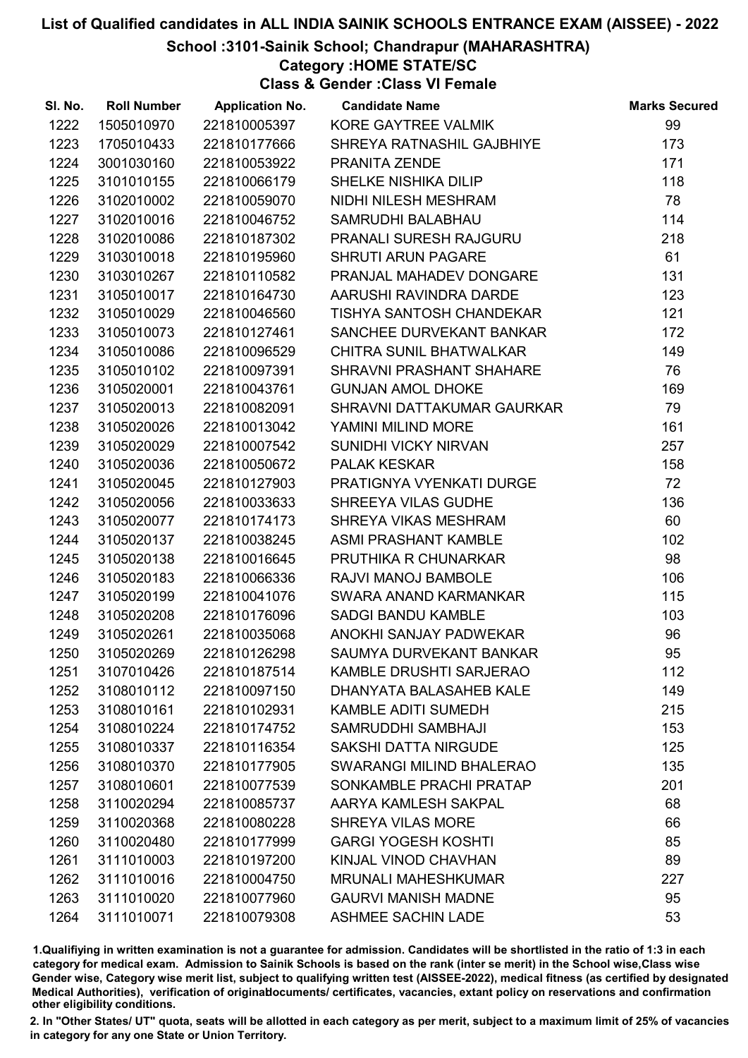#### School :3101-Sainik School; Chandrapur (MAHARASHTRA)

Category :HOME STATE/SC

Class & Gender :Class VI Female

| SI. No. | <b>Roll Number</b> | <b>Application No.</b> | <b>Candidate Name</b>           | <b>Marks Secured</b> |
|---------|--------------------|------------------------|---------------------------------|----------------------|
| 1222    | 1505010970         | 221810005397           | KORE GAYTREE VALMIK             | 99                   |
| 1223    | 1705010433         | 221810177666           | SHREYA RATNASHIL GAJBHIYE       | 173                  |
| 1224    | 3001030160         | 221810053922           | PRANITA ZENDE                   | 171                  |
| 1225    | 3101010155         | 221810066179           | SHELKE NISHIKA DILIP            | 118                  |
| 1226    | 3102010002         | 221810059070           | NIDHI NILESH MESHRAM            | 78                   |
| 1227    | 3102010016         | 221810046752           | SAMRUDHI BALABHAU               | 114                  |
| 1228    | 3102010086         | 221810187302           | <b>PRANALI SURESH RAJGURU</b>   | 218                  |
| 1229    | 3103010018         | 221810195960           | <b>SHRUTI ARUN PAGARE</b>       | 61                   |
| 1230    | 3103010267         | 221810110582           | PRANJAL MAHADEV DONGARE         | 131                  |
| 1231    | 3105010017         | 221810164730           | AARUSHI RAVINDRA DARDE          | 123                  |
| 1232    | 3105010029         | 221810046560           | TISHYA SANTOSH CHANDEKAR        | 121                  |
| 1233    | 3105010073         | 221810127461           | SANCHEE DURVEKANT BANKAR        | 172                  |
| 1234    | 3105010086         | 221810096529           | CHITRA SUNIL BHATWALKAR         | 149                  |
| 1235    | 3105010102         | 221810097391           | SHRAVNI PRASHANT SHAHARE        | 76                   |
| 1236    | 3105020001         | 221810043761           | <b>GUNJAN AMOL DHOKE</b>        | 169                  |
| 1237    | 3105020013         | 221810082091           | SHRAVNI DATTAKUMAR GAURKAR      | 79                   |
| 1238    | 3105020026         | 221810013042           | YAMINI MILIND MORE              | 161                  |
| 1239    | 3105020029         | 221810007542           | <b>SUNIDHI VICKY NIRVAN</b>     | 257                  |
| 1240    | 3105020036         | 221810050672           | PALAK KESKAR                    | 158                  |
| 1241    | 3105020045         | 221810127903           | PRATIGNYA VYENKATI DURGE        | 72                   |
| 1242    | 3105020056         | 221810033633           | SHREEYA VILAS GUDHE             | 136                  |
| 1243    | 3105020077         | 221810174173           | SHREYA VIKAS MESHRAM            | 60                   |
| 1244    | 3105020137         | 221810038245           | <b>ASMI PRASHANT KAMBLE</b>     | 102                  |
| 1245    | 3105020138         | 221810016645           | PRUTHIKA R CHUNARKAR            | 98                   |
| 1246    | 3105020183         | 221810066336           | RAJVI MANOJ BAMBOLE             | 106                  |
| 1247    | 3105020199         | 221810041076           | SWARA ANAND KARMANKAR           | 115                  |
| 1248    | 3105020208         | 221810176096           | <b>SADGI BANDU KAMBLE</b>       | 103                  |
| 1249    | 3105020261         | 221810035068           | ANOKHI SANJAY PADWEKAR          | 96                   |
| 1250    | 3105020269         | 221810126298           | SAUMYA DURVEKANT BANKAR         | 95                   |
| 1251    | 3107010426         | 221810187514           | <b>KAMBLE DRUSHTI SARJERAO</b>  | 112                  |
| 1252    | 3108010112         | 221810097150           | DHANYATA BALASAHEB KALE         | 149                  |
| 1253    | 3108010161         | 221810102931           | <b>KAMBLE ADITI SUMEDH</b>      | 215                  |
| 1254    | 3108010224         | 221810174752           | SAMRUDDHI SAMBHAJI              | 153                  |
| 1255    | 3108010337         | 221810116354           | <b>SAKSHI DATTA NIRGUDE</b>     | 125                  |
| 1256    | 3108010370         | 221810177905           | <b>SWARANGI MILIND BHALERAO</b> | 135                  |
| 1257    | 3108010601         | 221810077539           | SONKAMBLE PRACHI PRATAP         | 201                  |
| 1258    | 3110020294         | 221810085737           | AARYA KAMLESH SAKPAL            | 68                   |
| 1259    | 3110020368         | 221810080228           | <b>SHREYA VILAS MORE</b>        | 66                   |
| 1260    | 3110020480         | 221810177999           | <b>GARGI YOGESH KOSHTI</b>      | 85                   |
| 1261    | 3111010003         | 221810197200           | KINJAL VINOD CHAVHAN            | 89                   |
| 1262    | 3111010016         | 221810004750           | <b>MRUNALI MAHESHKUMAR</b>      | 227                  |
| 1263    | 3111010020         | 221810077960           | <b>GAURVI MANISH MADNE</b>      | 95                   |
| 1264    | 3111010071         | 221810079308           | <b>ASHMEE SACHIN LADE</b>       | 53                   |

1.Qualifiying in written examination is not a guarantee for admission. Candidates will be shortlisted in the ratio of 1:3 in each category for medical exam. Admission to Sainik Schools is based on the rank (inter se merit) in the School wise,Class wise Gender wise, Category wise merit list, subject to qualifying written test (AISSEE-2022), medical fitness (as certified by designated Medical Authorities), verification of originablocuments/ certificates, vacancies, extant policy on reservations and confirmation other eligibility conditions.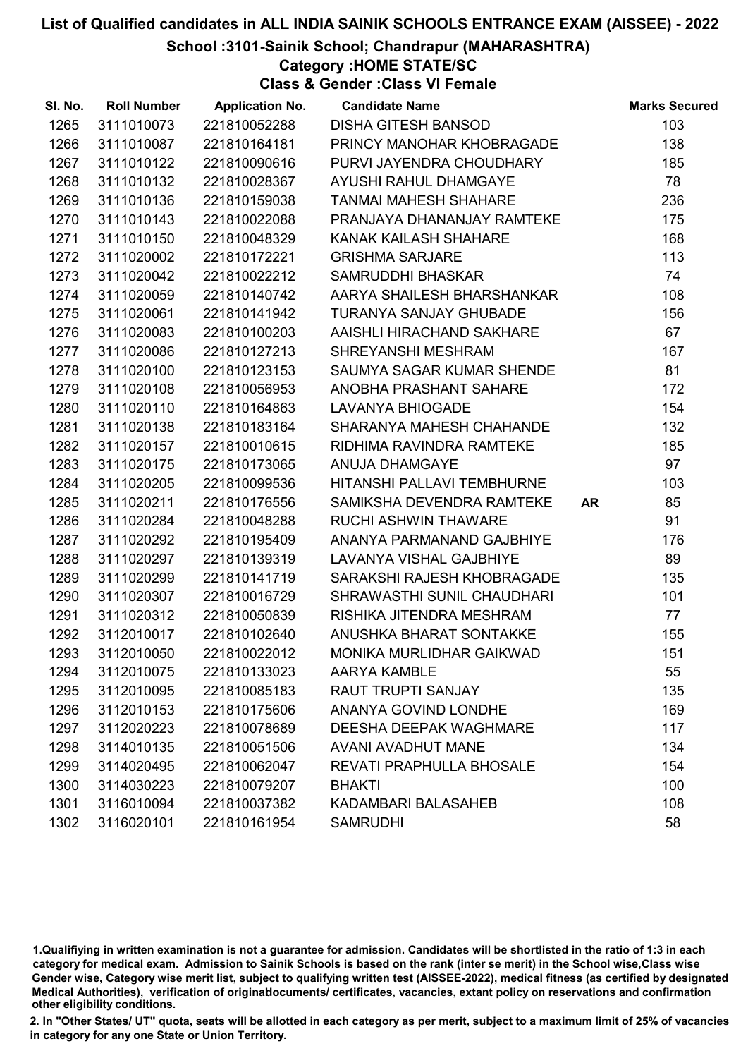School :3101-Sainik School; Chandrapur (MAHARASHTRA)

Category :HOME STATE/SC

Class & Gender :Class VI Female

| SI. No. | <b>Roll Number</b> | <b>Application No.</b> | <b>Candidate Name</b>           |           | <b>Marks Secured</b> |
|---------|--------------------|------------------------|---------------------------------|-----------|----------------------|
| 1265    | 3111010073         | 221810052288           | <b>DISHA GITESH BANSOD</b>      |           | 103                  |
| 1266    | 3111010087         | 221810164181           | PRINCY MANOHAR KHOBRAGADE       |           | 138                  |
| 1267    | 3111010122         | 221810090616           | PURVI JAYENDRA CHOUDHARY        |           | 185                  |
| 1268    | 3111010132         | 221810028367           | AYUSHI RAHUL DHAMGAYE           |           | 78                   |
| 1269    | 3111010136         | 221810159038           | <b>TANMAI MAHESH SHAHARE</b>    |           | 236                  |
| 1270    | 3111010143         | 221810022088           | PRANJAYA DHANANJAY RAMTEKE      |           | 175                  |
| 1271    | 3111010150         | 221810048329           | KANAK KAILASH SHAHARE           |           | 168                  |
| 1272    | 3111020002         | 221810172221           | <b>GRISHMA SARJARE</b>          |           | 113                  |
| 1273    | 3111020042         | 221810022212           | SAMRUDDHI BHASKAR               |           | 74                   |
| 1274    | 3111020059         | 221810140742           | AARYA SHAILESH BHARSHANKAR      |           | 108                  |
| 1275    | 3111020061         | 221810141942           | TURANYA SANJAY GHUBADE          |           | 156                  |
| 1276    | 3111020083         | 221810100203           | AAISHLI HIRACHAND SAKHARE       |           | 67                   |
| 1277    | 3111020086         | 221810127213           | SHREYANSHI MESHRAM              |           | 167                  |
| 1278    | 3111020100         | 221810123153           | SAUMYA SAGAR KUMAR SHENDE       |           | 81                   |
| 1279    | 3111020108         | 221810056953           | ANOBHA PRASHANT SAHARE          |           | 172                  |
| 1280    | 3111020110         | 221810164863           | <b>LAVANYA BHIOGADE</b>         |           | 154                  |
| 1281    | 3111020138         | 221810183164           | SHARANYA MAHESH CHAHANDE        |           | 132                  |
| 1282    | 3111020157         | 221810010615           | RIDHIMA RAVINDRA RAMTEKE        |           | 185                  |
| 1283    | 3111020175         | 221810173065           | ANUJA DHAMGAYE                  |           | 97                   |
| 1284    | 3111020205         | 221810099536           | HITANSHI PALLAVI TEMBHURNE      |           | 103                  |
| 1285    | 3111020211         | 221810176556           | SAMIKSHA DEVENDRA RAMTEKE       | <b>AR</b> | 85                   |
| 1286    | 3111020284         | 221810048288           | RUCHI ASHWIN THAWARE            |           | 91                   |
| 1287    | 3111020292         | 221810195409           | ANANYA PARMANAND GAJBHIYE       |           | 176                  |
| 1288    | 3111020297         | 221810139319           | <b>LAVANYA VISHAL GAJBHIYE</b>  |           | 89                   |
| 1289    | 3111020299         | 221810141719           | SARAKSHI RAJESH KHOBRAGADE      |           | 135                  |
| 1290    | 3111020307         | 221810016729           | SHRAWASTHI SUNIL CHAUDHARI      |           | 101                  |
| 1291    | 3111020312         | 221810050839           | RISHIKA JITENDRA MESHRAM        |           | 77                   |
| 1292    | 3112010017         | 221810102640           | ANUSHKA BHARAT SONTAKKE         |           | 155                  |
| 1293    | 3112010050         | 221810022012           | <b>MONIKA MURLIDHAR GAIKWAD</b> |           | 151                  |
| 1294    | 3112010075         | 221810133023           | <b>AARYA KAMBLE</b>             |           | 55                   |
| 1295    | 3112010095         | 221810085183           | <b>RAUT TRUPTI SANJAY</b>       |           | 135                  |
| 1296    | 3112010153         | 221810175606           | <b>ANANYA GOVIND LONDHE</b>     |           | 169                  |
| 1297    | 3112020223         | 221810078689           | DEESHA DEEPAK WAGHMARE          |           | 117                  |
| 1298    | 3114010135         | 221810051506           | <b>AVANI AVADHUT MANE</b>       |           | 134                  |
| 1299    | 3114020495         | 221810062047           | <b>REVATI PRAPHULLA BHOSALE</b> |           | 154                  |
| 1300    | 3114030223         | 221810079207           | <b>BHAKTI</b>                   |           | 100                  |
| 1301    | 3116010094         | 221810037382           | KADAMBARI BALASAHEB             |           | 108                  |
| 1302    | 3116020101         | 221810161954           | <b>SAMRUDHI</b>                 |           | 58                   |

1.Qualifiying in written examination is not a guarantee for admission. Candidates will be shortlisted in the ratio of 1:3 in each category for medical exam. Admission to Sainik Schools is based on the rank (inter se merit) in the School wise,Class wise Gender wise, Category wise merit list, subject to qualifying written test (AISSEE-2022), medical fitness (as certified by designated Medical Authorities), verification of originablocuments/ certificates, vacancies, extant policy on reservations and confirmation other eligibility conditions.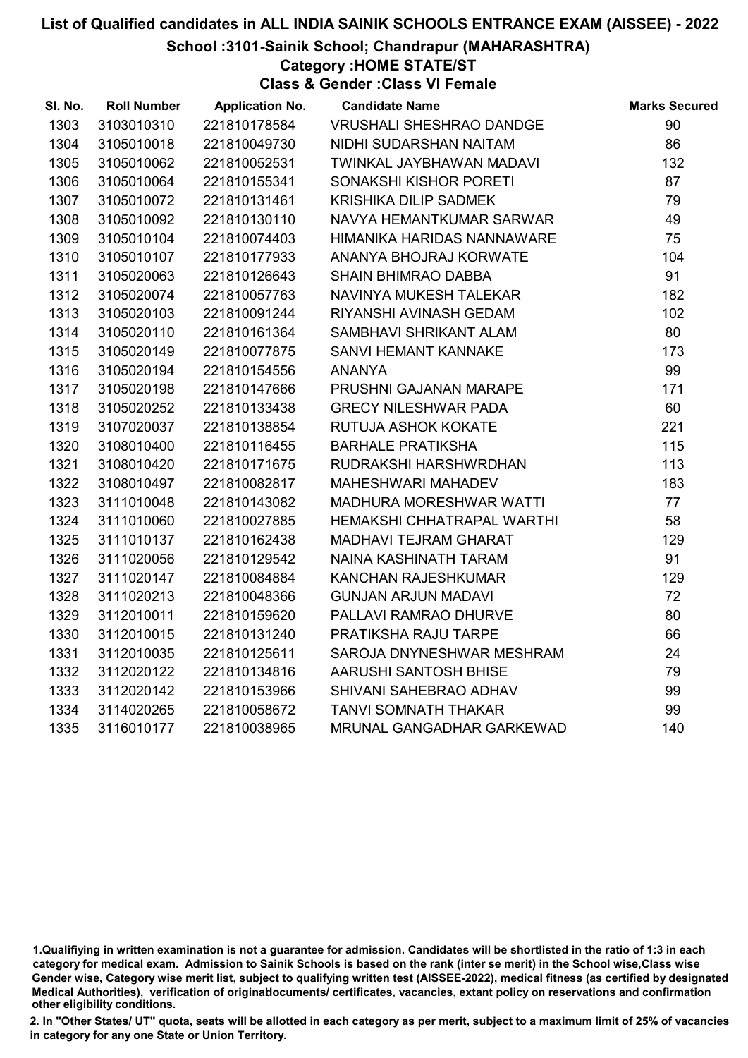#### School :3101-Sainik School; Chandrapur (MAHARASHTRA)

Category :HOME STATE/ST

Class & Gender :Class VI Female

| SI. No. | <b>Roll Number</b> | <b>Application No.</b> | <b>Candidate Name</b>           | <b>Marks Secured</b> |
|---------|--------------------|------------------------|---------------------------------|----------------------|
| 1303    | 3103010310         | 221810178584           | <b>VRUSHALI SHESHRAO DANDGE</b> | 90                   |
| 1304    | 3105010018         | 221810049730           | NIDHI SUDARSHAN NAITAM          | 86                   |
| 1305    | 3105010062         | 221810052531           | TWINKAL JAYBHAWAN MADAVI        | 132                  |
| 1306    | 3105010064         | 221810155341           | SONAKSHI KISHOR PORETI          | 87                   |
| 1307    | 3105010072         | 221810131461           | <b>KRISHIKA DILIP SADMEK</b>    | 79                   |
| 1308    | 3105010092         | 221810130110           | NAVYA HEMANTKUMAR SARWAR        | 49                   |
| 1309    | 3105010104         | 221810074403           | HIMANIKA HARIDAS NANNAWARE      | 75                   |
| 1310    | 3105010107         | 221810177933           | ANANYA BHOJRAJ KORWATE          | 104                  |
| 1311    | 3105020063         | 221810126643           | <b>SHAIN BHIMRAO DABBA</b>      | 91                   |
| 1312    | 3105020074         | 221810057763           | NAVINYA MUKESH TALEKAR          | 182                  |
| 1313    | 3105020103         | 221810091244           | RIYANSHI AVINASH GEDAM          | 102                  |
| 1314    | 3105020110         | 221810161364           | SAMBHAVI SHRIKANT ALAM          | 80                   |
| 1315    | 3105020149         | 221810077875           | SANVI HEMANT KANNAKE            | 173                  |
| 1316    | 3105020194         | 221810154556           | <b>ANANYA</b>                   | 99                   |
| 1317    | 3105020198         | 221810147666           | PRUSHNI GAJANAN MARAPE          | 171                  |
| 1318    | 3105020252         | 221810133438           | <b>GRECY NILESHWAR PADA</b>     | 60                   |
| 1319    | 3107020037         | 221810138854           | RUTUJA ASHOK KOKATE             | 221                  |
| 1320    | 3108010400         | 221810116455           | <b>BARHALE PRATIKSHA</b>        | 115                  |
| 1321    | 3108010420         | 221810171675           | RUDRAKSHI HARSHWRDHAN           | 113                  |
| 1322    | 3108010497         | 221810082817           | <b>MAHESHWARI MAHADEV</b>       | 183                  |
| 1323    | 3111010048         | 221810143082           | <b>MADHURA MORESHWAR WATTI</b>  | 77                   |
| 1324    | 3111010060         | 221810027885           | HEMAKSHI CHHATRAPAL WARTHI      | 58                   |
| 1325    | 3111010137         | 221810162438           | MADHAVI TEJRAM GHARAT           | 129                  |
| 1326    | 3111020056         | 221810129542           | NAINA KASHINATH TARAM           | 91                   |
| 1327    | 3111020147         | 221810084884           | KANCHAN RAJESHKUMAR             | 129                  |
| 1328    | 3111020213         | 221810048366           | <b>GUNJAN ARJUN MADAVI</b>      | 72                   |
| 1329    | 3112010011         | 221810159620           | PALLAVI RAMRAO DHURVE           | 80                   |
| 1330    | 3112010015         | 221810131240           | PRATIKSHA RAJU TARPE            | 66                   |
| 1331    | 3112010035         | 221810125611           | SAROJA DNYNESHWAR MESHRAM       | 24                   |
| 1332    | 3112020122         | 221810134816           | AARUSHI SANTOSH BHISE           | 79                   |
| 1333    | 3112020142         | 221810153966           | SHIVANI SAHEBRAO ADHAV          | 99                   |
| 1334    | 3114020265         | 221810058672           | <b>TANVI SOMNATH THAKAR</b>     | 99                   |
| 1335    | 3116010177         | 221810038965           | MRUNAL GANGADHAR GARKEWAD       | 140                  |

<sup>1.</sup>Qualifiying in written examination is not a guarantee for admission. Candidates will be shortlisted in the ratio of 1:3 in each category for medical exam. Admission to Sainik Schools is based on the rank (inter se merit) in the School wise,Class wise Gender wise, Category wise merit list, subject to qualifying written test (AISSEE-2022), medical fitness (as certified by designated Medical Authorities), verification of originablocuments/ certificates, vacancies, extant policy on reservations and confirmation other eligibility conditions.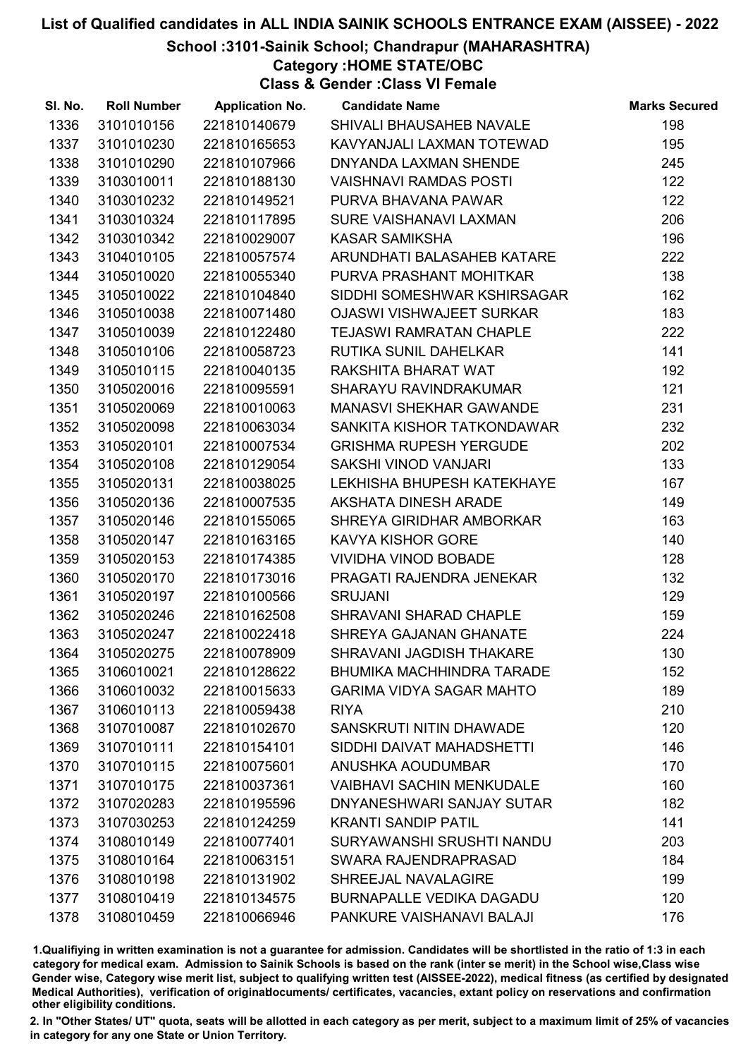School :3101-Sainik School; Chandrapur (MAHARASHTRA)

Category :HOME STATE/OBC

Class & Gender :Class VI Female

| SI. No. | <b>Roll Number</b> | <b>Application No.</b> | <b>Candidate Name</b>            | <b>Marks Secured</b> |
|---------|--------------------|------------------------|----------------------------------|----------------------|
| 1336    | 3101010156         | 221810140679           | SHIVALI BHAUSAHEB NAVALE         | 198                  |
| 1337    | 3101010230         | 221810165653           | KAVYANJALI LAXMAN TOTEWAD        | 195                  |
| 1338    | 3101010290         | 221810107966           | DNYANDA LAXMAN SHENDE            | 245                  |
| 1339    | 3103010011         | 221810188130           | <b>VAISHNAVI RAMDAS POSTI</b>    | 122                  |
| 1340    | 3103010232         | 221810149521           | PURVA BHAVANA PAWAR              | 122                  |
| 1341    | 3103010324         | 221810117895           | SURE VAISHANAVI LAXMAN           | 206                  |
| 1342    | 3103010342         | 221810029007           | <b>KASAR SAMIKSHA</b>            | 196                  |
| 1343    | 3104010105         | 221810057574           | ARUNDHATI BALASAHEB KATARE       | 222                  |
| 1344    | 3105010020         | 221810055340           | PURVA PRASHANT MOHITKAR          | 138                  |
| 1345    | 3105010022         | 221810104840           | SIDDHI SOMESHWAR KSHIRSAGAR      | 162                  |
| 1346    | 3105010038         | 221810071480           | <b>OJASWI VISHWAJEET SURKAR</b>  | 183                  |
| 1347    | 3105010039         | 221810122480           | <b>TEJASWI RAMRATAN CHAPLE</b>   | 222                  |
| 1348    | 3105010106         | 221810058723           | RUTIKA SUNIL DAHELKAR            | 141                  |
| 1349    | 3105010115         | 221810040135           | RAKSHITA BHARAT WAT              | 192                  |
| 1350    | 3105020016         | 221810095591           | <b>SHARAYU RAVINDRAKUMAR</b>     | 121                  |
| 1351    | 3105020069         | 221810010063           | <b>MANASVI SHEKHAR GAWANDE</b>   | 231                  |
| 1352    | 3105020098         | 221810063034           | SANKITA KISHOR TATKONDAWAR       | 232                  |
| 1353    | 3105020101         | 221810007534           | <b>GRISHMA RUPESH YERGUDE</b>    | 202                  |
| 1354    | 3105020108         | 221810129054           | SAKSHI VINOD VANJARI             | 133                  |
| 1355    | 3105020131         | 221810038025           | LEKHISHA BHUPESH KATEKHAYE       | 167                  |
| 1356    | 3105020136         | 221810007535           | AKSHATA DINESH ARADE             | 149                  |
| 1357    | 3105020146         | 221810155065           | SHREYA GIRIDHAR AMBORKAR         | 163                  |
| 1358    | 3105020147         | 221810163165           | KAVYA KISHOR GORE                | 140                  |
| 1359    | 3105020153         | 221810174385           | <b>VIVIDHA VINOD BOBADE</b>      | 128                  |
| 1360    | 3105020170         | 221810173016           | PRAGATI RAJENDRA JENEKAR         | 132                  |
| 1361    | 3105020197         | 221810100566           | <b>SRUJANI</b>                   | 129                  |
| 1362    | 3105020246         | 221810162508           | SHRAVANI SHARAD CHAPLE           | 159                  |
| 1363    | 3105020247         | 221810022418           | SHREYA GAJANAN GHANATE           | 224                  |
| 1364    | 3105020275         | 221810078909           | SHRAVANI JAGDISH THAKARE         | 130                  |
| 1365    | 3106010021         | 221810128622           | <b>BHUMIKA MACHHINDRA TARADE</b> | 152                  |
| 1366    | 3106010032         | 221810015633           | <b>GARIMA VIDYA SAGAR MAHTO</b>  | 189                  |
| 1367    | 3106010113         | 221810059438           | <b>RIYA</b>                      | 210                  |
| 1368    | 3107010087         | 221810102670           | SANSKRUTI NITIN DHAWADE          | 120                  |
| 1369    | 3107010111         | 221810154101           | SIDDHI DAIVAT MAHADSHETTI        | 146                  |
| 1370    | 3107010115         | 221810075601           | ANUSHKA AOUDUMBAR                | 170                  |
| 1371    | 3107010175         | 221810037361           | <b>VAIBHAVI SACHIN MENKUDALE</b> | 160                  |
| 1372    | 3107020283         | 221810195596           | DNYANESHWARI SANJAY SUTAR        | 182                  |
| 1373    | 3107030253         | 221810124259           | <b>KRANTI SANDIP PATIL</b>       | 141                  |
| 1374    | 3108010149         | 221810077401           | SURYAWANSHI SRUSHTI NANDU        | 203                  |
| 1375    | 3108010164         | 221810063151           | SWARA RAJENDRAPRASAD             | 184                  |
| 1376    | 3108010198         | 221810131902           | SHREEJAL NAVALAGIRE              | 199                  |
| 1377    | 3108010419         | 221810134575           | <b>BURNAPALLE VEDIKA DAGADU</b>  | 120                  |
| 1378    | 3108010459         | 221810066946           | PANKURE VAISHANAVI BALAJI        | 176                  |

1.Qualifiying in written examination is not a guarantee for admission. Candidates will be shortlisted in the ratio of 1:3 in each category for medical exam. Admission to Sainik Schools is based on the rank (inter se merit) in the School wise,Class wise Gender wise, Category wise merit list, subject to qualifying written test (AISSEE-2022), medical fitness (as certified by designated Medical Authorities), verification of originablocuments/ certificates, vacancies, extant policy on reservations and confirmation other eligibility conditions.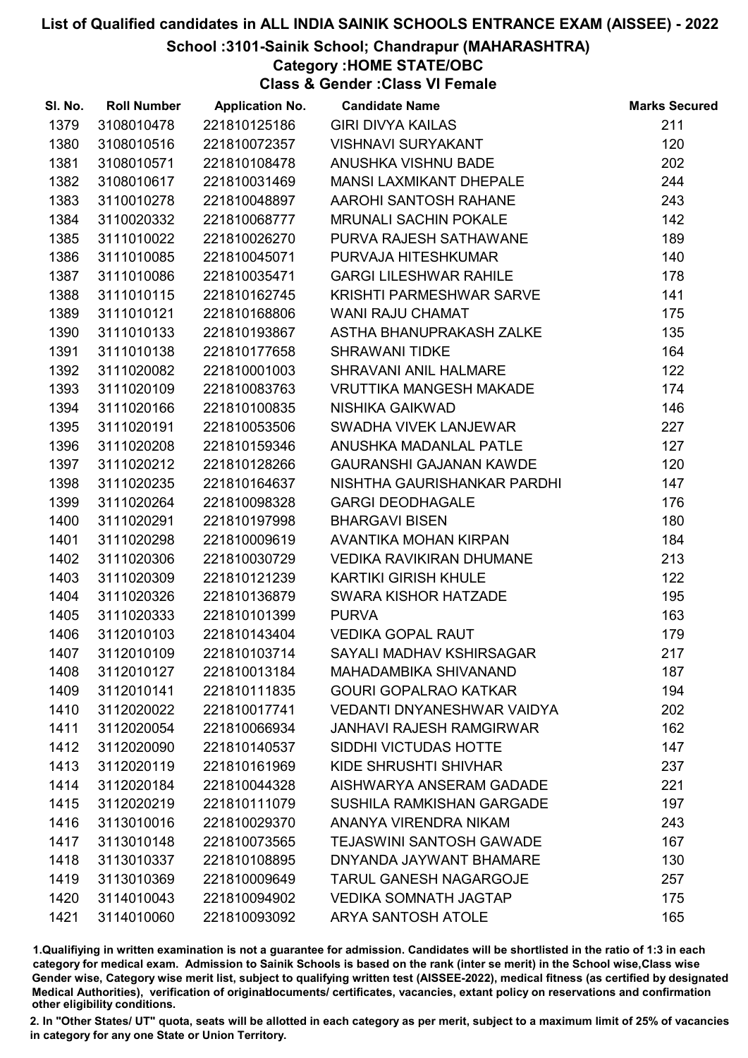#### School :3101-Sainik School; Chandrapur (MAHARASHTRA)

Category :HOME STATE/OBC

Class & Gender :Class VI Female

| SI. No. | <b>Roll Number</b> | <b>Application No.</b> | <b>Candidate Name</b>             | <b>Marks Secured</b> |
|---------|--------------------|------------------------|-----------------------------------|----------------------|
| 1379    | 3108010478         | 221810125186           | <b>GIRI DIVYA KAILAS</b>          | 211                  |
| 1380    | 3108010516         | 221810072357           | <b>VISHNAVI SURYAKANT</b>         | 120                  |
| 1381    | 3108010571         | 221810108478           | ANUSHKA VISHNU BADE               | 202                  |
| 1382    | 3108010617         | 221810031469           | <b>MANSI LAXMIKANT DHEPALE</b>    | 244                  |
| 1383    | 3110010278         | 221810048897           | AAROHI SANTOSH RAHANE             | 243                  |
| 1384    | 3110020332         | 221810068777           | <b>MRUNALI SACHIN POKALE</b>      | 142                  |
| 1385    | 3111010022         | 221810026270           | PURVA RAJESH SATHAWANE            | 189                  |
| 1386    | 3111010085         | 221810045071           | PURVAJA HITESHKUMAR               | 140                  |
| 1387    | 3111010086         | 221810035471           | <b>GARGI LILESHWAR RAHILE</b>     | 178                  |
| 1388    | 3111010115         | 221810162745           | <b>KRISHTI PARMESHWAR SARVE</b>   | 141                  |
| 1389    | 3111010121         | 221810168806           | <b>WANI RAJU CHAMAT</b>           | 175                  |
| 1390    | 3111010133         | 221810193867           | ASTHA BHANUPRAKASH ZALKE          | 135                  |
| 1391    | 3111010138         | 221810177658           | <b>SHRAWANI TIDKE</b>             | 164                  |
| 1392    | 3111020082         | 221810001003           | SHRAVANI ANIL HALMARE             | 122                  |
| 1393    | 3111020109         | 221810083763           | <b>VRUTTIKA MANGESH MAKADE</b>    | 174                  |
| 1394    | 3111020166         | 221810100835           | NISHIKA GAIKWAD                   | 146                  |
| 1395    | 3111020191         | 221810053506           | SWADHA VIVEK LANJEWAR             | 227                  |
| 1396    | 3111020208         | 221810159346           | ANUSHKA MADANLAL PATLE            | 127                  |
| 1397    | 3111020212         | 221810128266           | <b>GAURANSHI GAJANAN KAWDE</b>    | 120                  |
| 1398    | 3111020235         | 221810164637           | NISHTHA GAURISHANKAR PARDHI       | 147                  |
| 1399    | 3111020264         | 221810098328           | <b>GARGI DEODHAGALE</b>           | 176                  |
| 1400    | 3111020291         | 221810197998           | <b>BHARGAVI BISEN</b>             | 180                  |
| 1401    | 3111020298         | 221810009619           | AVANTIKA MOHAN KIRPAN             | 184                  |
| 1402    | 3111020306         | 221810030729           | VEDIKA RAVIKIRAN DHUMANE          | 213                  |
| 1403    | 3111020309         | 221810121239           | <b>KARTIKI GIRISH KHULE</b>       | 122                  |
| 1404    | 3111020326         | 221810136879           | SWARA KISHOR HATZADE              | 195                  |
| 1405    | 3111020333         | 221810101399           | <b>PURVA</b>                      | 163                  |
| 1406    | 3112010103         | 221810143404           | <b>VEDIKA GOPAL RAUT</b>          | 179                  |
| 1407    | 3112010109         | 221810103714           | SAYALI MADHAV KSHIRSAGAR          | 217                  |
| 1408    | 3112010127         | 221810013184           | MAHADAMBIKA SHIVANAND             | 187                  |
| 1409    | 3112010141         | 221810111835           | <b>GOURI GOPALRAO KATKAR</b>      | 194                  |
| 1410    | 3112020022         | 221810017741           | <b>VEDANTI DNYANESHWAR VAIDYA</b> | 202                  |
| 1411    | 3112020054         | 221810066934           | <b>JANHAVI RAJESH RAMGIRWAR</b>   | 162                  |
| 1412    | 3112020090         | 221810140537           | SIDDHI VICTUDAS HOTTE             | 147                  |
| 1413    | 3112020119         | 221810161969           | KIDE SHRUSHTI SHIVHAR             | 237                  |
| 1414    | 3112020184         | 221810044328           | AISHWARYA ANSERAM GADADE          | 221                  |
| 1415    | 3112020219         | 221810111079           | SUSHILA RAMKISHAN GARGADE         | 197                  |
| 1416    | 3113010016         | 221810029370           | ANANYA VIRENDRA NIKAM             | 243                  |
| 1417    | 3113010148         | 221810073565           | <b>TEJASWINI SANTOSH GAWADE</b>   | 167                  |
| 1418    | 3113010337         | 221810108895           | DNYANDA JAYWANT BHAMARE           | 130                  |
| 1419    | 3113010369         | 221810009649           | <b>TARUL GANESH NAGARGOJE</b>     | 257                  |
| 1420    | 3114010043         | 221810094902           | <b>VEDIKA SOMNATH JAGTAP</b>      | 175                  |
| 1421    | 3114010060         | 221810093092           | ARYA SANTOSH ATOLE                | 165                  |

1.Qualifiying in written examination is not a guarantee for admission. Candidates will be shortlisted in the ratio of 1:3 in each category for medical exam. Admission to Sainik Schools is based on the rank (inter se merit) in the School wise,Class wise Gender wise, Category wise merit list, subject to qualifying written test (AISSEE-2022), medical fitness (as certified by designated Medical Authorities), verification of originablocuments/ certificates, vacancies, extant policy on reservations and confirmation other eligibility conditions.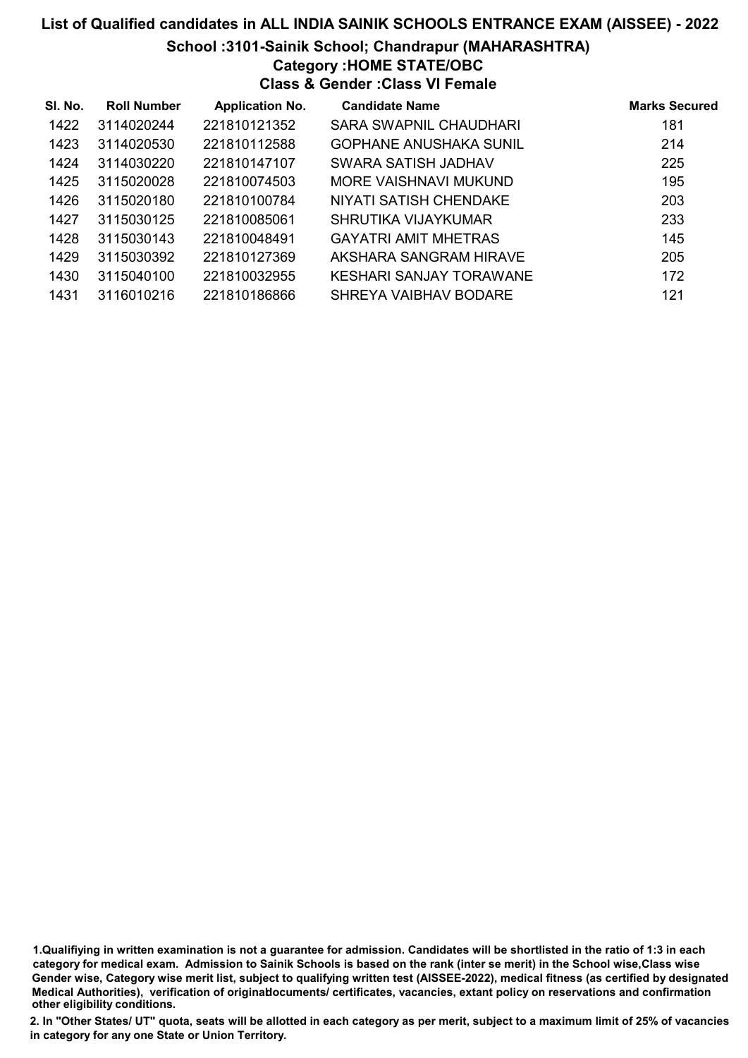#### School :3101-Sainik School; Chandrapur (MAHARASHTRA)

#### Category :HOME STATE/OBC

#### Class & Gender :Class VI Female

| SI. No. | <b>Roll Number</b> | <b>Application No.</b> | <b>Candidate Name</b>       | <b>Marks Secured</b> |
|---------|--------------------|------------------------|-----------------------------|----------------------|
| 1422    | 3114020244         | 221810121352           | SARA SWAPNIL CHAUDHARI      | 181                  |
| 1423    | 3114020530         | 221810112588           | GOPHANE ANUSHAKA SUNIL      | 214                  |
| 1424    | 3114030220         | 221810147107           | SWARA SATISH JADHAV         | 225                  |
| 1425    | 3115020028         | 221810074503           | MORE VAISHNAVI MUKUND       | 195                  |
| 1426    | 3115020180         | 221810100784           | NIYATI SATISH CHENDAKE      | 203                  |
| 1427    | 3115030125         | 221810085061           | SHRUTIKA VIJAYKUMAR         | 233                  |
| 1428    | 3115030143         | 221810048491           | <b>GAYATRI AMIT MHETRAS</b> | 145                  |
| 1429    | 3115030392         | 221810127369           | AKSHARA SANGRAM HIRAVE      | 205                  |
| 1430    | 3115040100         | 221810032955           | KESHARI SANJAY TORAWANE     | 172                  |
| 1431    | 3116010216         | 221810186866           | SHREYA VAIBHAV BODARE       | 121                  |

1.Qualifiying in written examination is not a guarantee for admission. Candidates will be shortlisted in the ratio of 1:3 in each category for medical exam. Admission to Sainik Schools is based on the rank (inter se merit) in the School wise,Class wise Gender wise, Category wise merit list, subject to qualifying written test (AISSEE-2022), medical fitness (as certified by designated Medical Authorities), verification of originablocuments/ certificates, vacancies, extant policy on reservations and confirmation other eligibility conditions.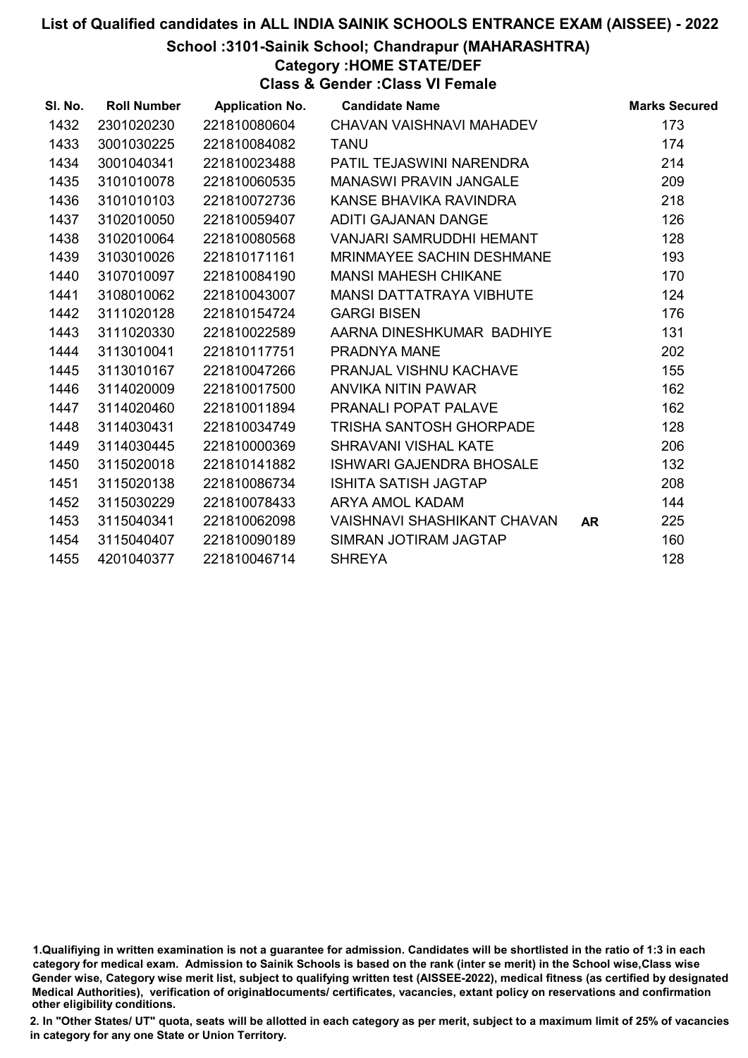#### School :3101-Sainik School; Chandrapur (MAHARASHTRA)

## Category :HOME STATE/DEF

Class & Gender :Class VI Female

| SI. No. | <b>Roll Number</b> | <b>Application No.</b> | <b>Candidate Name</b>            |           | <b>Marks Secured</b> |
|---------|--------------------|------------------------|----------------------------------|-----------|----------------------|
| 1432    | 2301020230         | 221810080604           | CHAVAN VAISHNAVI MAHADEV         |           | 173                  |
| 1433    | 3001030225         | 221810084082           | <b>TANU</b>                      |           | 174                  |
| 1434    | 3001040341         | 221810023488           | PATIL TEJASWINI NARENDRA         |           | 214                  |
| 1435    | 3101010078         | 221810060535           | <b>MANASWI PRAVIN JANGALE</b>    |           | 209                  |
| 1436    | 3101010103         | 221810072736           | KANSE BHAVIKA RAVINDRA           |           | 218                  |
| 1437    | 3102010050         | 221810059407           | <b>ADITI GAJANAN DANGE</b>       |           | 126                  |
| 1438    | 3102010064         | 221810080568           | <b>VANJARI SAMRUDDHI HEMANT</b>  |           | 128                  |
| 1439    | 3103010026         | 221810171161           | <b>MRINMAYEE SACHIN DESHMANE</b> |           | 193                  |
| 1440    | 3107010097         | 221810084190           | <b>MANSI MAHESH CHIKANE</b>      |           | 170                  |
| 1441    | 3108010062         | 221810043007           | <b>MANSI DATTATRAYA VIBHUTE</b>  |           | 124                  |
| 1442    | 3111020128         | 221810154724           | <b>GARGI BISEN</b>               |           | 176                  |
| 1443    | 3111020330         | 221810022589           | AARNA DINESHKUMAR BADHIYE        |           | 131                  |
| 1444    | 3113010041         | 221810117751           | PRADNYA MANE                     |           | 202                  |
| 1445    | 3113010167         | 221810047266           | PRANJAL VISHNU KACHAVE           |           | 155                  |
| 1446    | 3114020009         | 221810017500           | ANVIKA NITIN PAWAR               |           | 162                  |
| 1447    | 3114020460         | 221810011894           | PRANALI POPAT PALAVE             |           | 162                  |
| 1448    | 3114030431         | 221810034749           | <b>TRISHA SANTOSH GHORPADE</b>   |           | 128                  |
| 1449    | 3114030445         | 221810000369           | <b>SHRAVANI VISHAL KATE</b>      |           | 206                  |
| 1450    | 3115020018         | 221810141882           | <b>ISHWARI GAJENDRA BHOSALE</b>  |           | 132                  |
| 1451    | 3115020138         | 221810086734           | <b>ISHITA SATISH JAGTAP</b>      |           | 208                  |
| 1452    | 3115030229         | 221810078433           | <b>ARYA AMOL KADAM</b>           |           | 144                  |
| 1453    | 3115040341         | 221810062098           | VAISHNAVI SHASHIKANT CHAVAN      | <b>AR</b> | 225                  |
| 1454    | 3115040407         | 221810090189           | SIMRAN JOTIRAM JAGTAP            |           | 160                  |
| 1455    | 4201040377         | 221810046714           | <b>SHREYA</b>                    |           | 128                  |

<sup>1.</sup>Qualifiying in written examination is not a guarantee for admission. Candidates will be shortlisted in the ratio of 1:3 in each category for medical exam. Admission to Sainik Schools is based on the rank (inter se merit) in the School wise,Class wise Gender wise, Category wise merit list, subject to qualifying written test (AISSEE-2022), medical fitness (as certified by designated Medical Authorities), verification of originablocuments/ certificates, vacancies, extant policy on reservations and confirmation other eligibility conditions.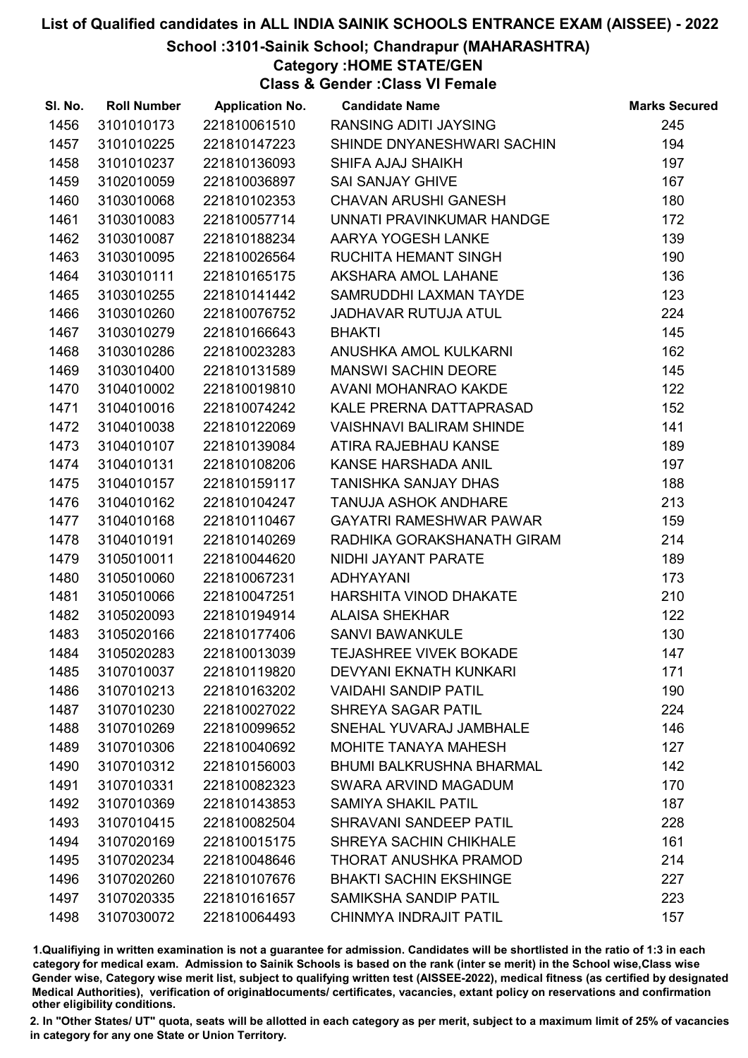#### School :3101-Sainik School; Chandrapur (MAHARASHTRA)

Category :HOME STATE/GEN

Class & Gender :Class VI Female

| SI. No. | <b>Roll Number</b> | <b>Application No.</b> | <b>Candidate Name</b>           | <b>Marks Secured</b> |
|---------|--------------------|------------------------|---------------------------------|----------------------|
| 1456    | 3101010173         | 221810061510           | RANSING ADITI JAYSING           | 245                  |
| 1457    | 3101010225         | 221810147223           | SHINDE DNYANESHWARI SACHIN      | 194                  |
| 1458    | 3101010237         | 221810136093           | SHIFA AJAJ SHAIKH               | 197                  |
| 1459    | 3102010059         | 221810036897           | <b>SAI SANJAY GHIVE</b>         | 167                  |
| 1460    | 3103010068         | 221810102353           | CHAVAN ARUSHI GANESH            | 180                  |
| 1461    | 3103010083         | 221810057714           | UNNATI PRAVINKUMAR HANDGE       | 172                  |
| 1462    | 3103010087         | 221810188234           | AARYA YOGESH LANKE              | 139                  |
| 1463    | 3103010095         | 221810026564           | RUCHITA HEMANT SINGH            | 190                  |
| 1464    | 3103010111         | 221810165175           | AKSHARA AMOL LAHANE             | 136                  |
| 1465    | 3103010255         | 221810141442           | SAMRUDDHI LAXMAN TAYDE          | 123                  |
| 1466    | 3103010260         | 221810076752           | <b>JADHAVAR RUTUJA ATUL</b>     | 224                  |
| 1467    | 3103010279         | 221810166643           | <b>BHAKTI</b>                   | 145                  |
| 1468    | 3103010286         | 221810023283           | ANUSHKA AMOL KULKARNI           | 162                  |
| 1469    | 3103010400         | 221810131589           | <b>MANSWI SACHIN DEORE</b>      | 145                  |
| 1470    | 3104010002         | 221810019810           | AVANI MOHANRAO KAKDE            | 122                  |
| 1471    | 3104010016         | 221810074242           | KALE PRERNA DATTAPRASAD         | 152                  |
| 1472    | 3104010038         | 221810122069           | <b>VAISHNAVI BALIRAM SHINDE</b> | 141                  |
| 1473    | 3104010107         | 221810139084           | ATIRA RAJEBHAU KANSE            | 189                  |
| 1474    | 3104010131         | 221810108206           | KANSE HARSHADA ANIL             | 197                  |
| 1475    | 3104010157         | 221810159117           | TANISHKA SANJAY DHAS            | 188                  |
| 1476    | 3104010162         | 221810104247           | <b>TANUJA ASHOK ANDHARE</b>     | 213                  |
| 1477    | 3104010168         | 221810110467           | <b>GAYATRI RAMESHWAR PAWAR</b>  | 159                  |
| 1478    | 3104010191         | 221810140269           | RADHIKA GORAKSHANATH GIRAM      | 214                  |
| 1479    | 3105010011         | 221810044620           | NIDHI JAYANT PARATE             | 189                  |
| 1480    | 3105010060         | 221810067231           | ADHYAYANI                       | 173                  |
| 1481    | 3105010066         | 221810047251           | HARSHITA VINOD DHAKATE          | 210                  |
| 1482    | 3105020093         | 221810194914           | <b>ALAISA SHEKHAR</b>           | 122                  |
| 1483    | 3105020166         | 221810177406           | <b>SANVI BAWANKULE</b>          | 130                  |
| 1484    | 3105020283         | 221810013039           | <b>TEJASHREE VIVEK BOKADE</b>   | 147                  |
| 1485    | 3107010037         | 221810119820           | <b>DEVYANI EKNATH KUNKARI</b>   | 171                  |
| 1486    | 3107010213         | 221810163202           | <b>VAIDAHI SANDIP PATIL</b>     | 190                  |
| 1487    | 3107010230         | 221810027022           | <b>SHREYA SAGAR PATIL</b>       | 224                  |
| 1488    | 3107010269         | 221810099652           | SNEHAL YUVARAJ JAMBHALE         | 146                  |
| 1489    | 3107010306         | 221810040692           | <b>MOHITE TANAYA MAHESH</b>     | 127                  |
| 1490    | 3107010312         | 221810156003           | <b>BHUMI BALKRUSHNA BHARMAL</b> | 142                  |
| 1491    | 3107010331         | 221810082323           | SWARA ARVIND MAGADUM            | 170                  |
| 1492    | 3107010369         | 221810143853           | <b>SAMIYA SHAKIL PATIL</b>      | 187                  |
| 1493    | 3107010415         | 221810082504           | SHRAVANI SANDEEP PATIL          | 228                  |
| 1494    | 3107020169         | 221810015175           | SHREYA SACHIN CHIKHALE          | 161                  |
| 1495    | 3107020234         | 221810048646           | THORAT ANUSHKA PRAMOD           | 214                  |
| 1496    | 3107020260         | 221810107676           | <b>BHAKTI SACHIN EKSHINGE</b>   | 227                  |
| 1497    | 3107020335         | 221810161657           | <b>SAMIKSHA SANDIP PATIL</b>    | 223                  |
| 1498    | 3107030072         | 221810064493           | CHINMYA INDRAJIT PATIL          | 157                  |

1.Qualifiying in written examination is not a guarantee for admission. Candidates will be shortlisted in the ratio of 1:3 in each category for medical exam. Admission to Sainik Schools is based on the rank (inter se merit) in the School wise,Class wise Gender wise, Category wise merit list, subject to qualifying written test (AISSEE-2022), medical fitness (as certified by designated Medical Authorities), verification of originablocuments/ certificates, vacancies, extant policy on reservations and confirmation other eligibility conditions.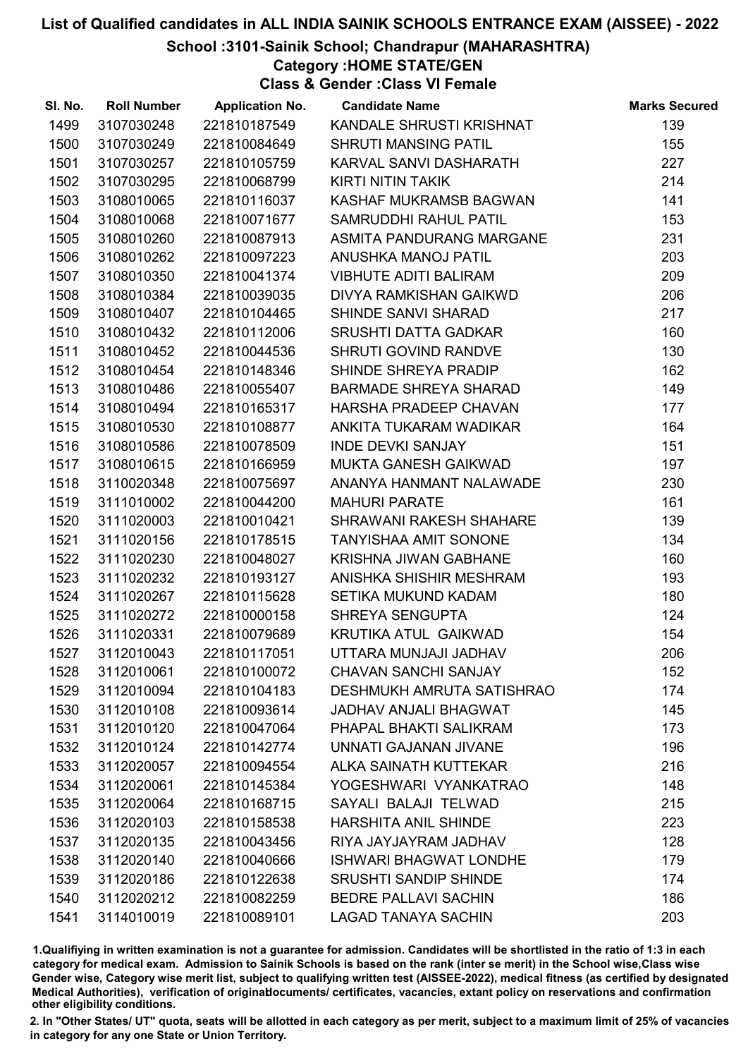#### School :3101-Sainik School; Chandrapur (MAHARASHTRA)

Category :HOME STATE/GEN

Class & Gender :Class VI Female

| SI. No. | <b>Roll Number</b> | <b>Application No.</b> | <b>Candidate Name</b>          | <b>Marks Secured</b> |
|---------|--------------------|------------------------|--------------------------------|----------------------|
| 1499    | 3107030248         | 221810187549           | KANDALE SHRUSTI KRISHNAT       | 139                  |
| 1500    | 3107030249         | 221810084649           | <b>SHRUTI MANSING PATIL</b>    | 155                  |
| 1501    | 3107030257         | 221810105759           | KARVAL SANVI DASHARATH         | 227                  |
| 1502    | 3107030295         | 221810068799           | <b>KIRTI NITIN TAKIK</b>       | 214                  |
| 1503    | 3108010065         | 221810116037           | KASHAF MUKRAMSB BAGWAN         | 141                  |
| 1504    | 3108010068         | 221810071677           | SAMRUDDHI RAHUL PATIL          | 153                  |
| 1505    | 3108010260         | 221810087913           | ASMITA PANDURANG MARGANE       | 231                  |
| 1506    | 3108010262         | 221810097223           | ANUSHKA MANOJ PATIL            | 203                  |
| 1507    | 3108010350         | 221810041374           | <b>VIBHUTE ADITI BALIRAM</b>   | 209                  |
| 1508    | 3108010384         | 221810039035           | DIVYA RAMKISHAN GAIKWD         | 206                  |
| 1509    | 3108010407         | 221810104465           | SHINDE SANVI SHARAD            | 217                  |
| 1510    | 3108010432         | 221810112006           | <b>SRUSHTI DATTA GADKAR</b>    | 160                  |
| 1511    | 3108010452         | 221810044536           | SHRUTI GOVIND RANDVE           | 130                  |
| 1512    | 3108010454         | 221810148346           | SHINDE SHREYA PRADIP           | 162                  |
| 1513    | 3108010486         | 221810055407           | <b>BARMADE SHREYA SHARAD</b>   | 149                  |
| 1514    | 3108010494         | 221810165317           | HARSHA PRADEEP CHAVAN          | 177                  |
| 1515    | 3108010530         | 221810108877           | ANKITA TUKARAM WADIKAR         | 164                  |
| 1516    | 3108010586         | 221810078509           | <b>INDE DEVKI SANJAY</b>       | 151                  |
| 1517    | 3108010615         | 221810166959           | <b>MUKTA GANESH GAIKWAD</b>    | 197                  |
| 1518    | 3110020348         | 221810075697           | ANANYA HANMANT NALAWADE        | 230                  |
| 1519    | 3111010002         | 221810044200           | <b>MAHURI PARATE</b>           | 161                  |
| 1520    | 3111020003         | 221810010421           | <b>SHRAWANI RAKESH SHAHARE</b> | 139                  |
| 1521    | 3111020156         | 221810178515           | <b>TANYISHAA AMIT SONONE</b>   | 134                  |
| 1522    | 3111020230         | 221810048027           | <b>KRISHNA JIWAN GABHANE</b>   | 160                  |
| 1523    | 3111020232         | 221810193127           | ANISHKA SHISHIR MESHRAM        | 193                  |
| 1524    | 3111020267         | 221810115628           | SETIKA MUKUND KADAM            | 180                  |
| 1525    | 3111020272         | 221810000158           | SHREYA SENGUPTA                | 124                  |
| 1526    | 3111020331         | 221810079689           | KRUTIKA ATUL GAIKWAD           | 154                  |
| 1527    | 3112010043         | 221810117051           | UTTARA MUNJAJI JADHAV          | 206                  |
| 1528    | 3112010061         | 221810100072           | <b>CHAVAN SANCHI SANJAY</b>    | 152                  |
| 1529    | 3112010094         | 221810104183           | DESHMUKH AMRUTA SATISHRAO      | 174                  |
| 1530    | 3112010108         | 221810093614           | <b>JADHAV ANJALI BHAGWAT</b>   | 145                  |
| 1531    | 3112010120         | 221810047064           | PHAPAL BHAKTI SALIKRAM         | 173                  |
| 1532    | 3112010124         | 221810142774           | UNNATI GAJANAN JIVANE          | 196                  |
| 1533    | 3112020057         | 221810094554           | ALKA SAINATH KUTTEKAR          | 216                  |
| 1534    | 3112020061         | 221810145384           | YOGESHWARI VYANKATRAO          | 148                  |
| 1535    | 3112020064         | 221810168715           | SAYALI BALAJI TELWAD           | 215                  |
| 1536    | 3112020103         | 221810158538           | <b>HARSHITA ANIL SHINDE</b>    | 223                  |
| 1537    | 3112020135         | 221810043456           | RIYA JAYJAYRAM JADHAV          | 128                  |
| 1538    | 3112020140         | 221810040666           | <b>ISHWARI BHAGWAT LONDHE</b>  | 179                  |
| 1539    | 3112020186         | 221810122638           | <b>SRUSHTI SANDIP SHINDE</b>   | 174                  |
| 1540    | 3112020212         | 221810082259           | <b>BEDRE PALLAVI SACHIN</b>    | 186                  |
| 1541    | 3114010019         | 221810089101           | <b>LAGAD TANAYA SACHIN</b>     | 203                  |

1.Qualifiying in written examination is not a guarantee for admission. Candidates will be shortlisted in the ratio of 1:3 in each category for medical exam. Admission to Sainik Schools is based on the rank (inter se merit) in the School wise,Class wise Gender wise, Category wise merit list, subject to qualifying written test (AISSEE-2022), medical fitness (as certified by designated Medical Authorities), verification of originablocuments/ certificates, vacancies, extant policy on reservations and confirmation other eligibility conditions.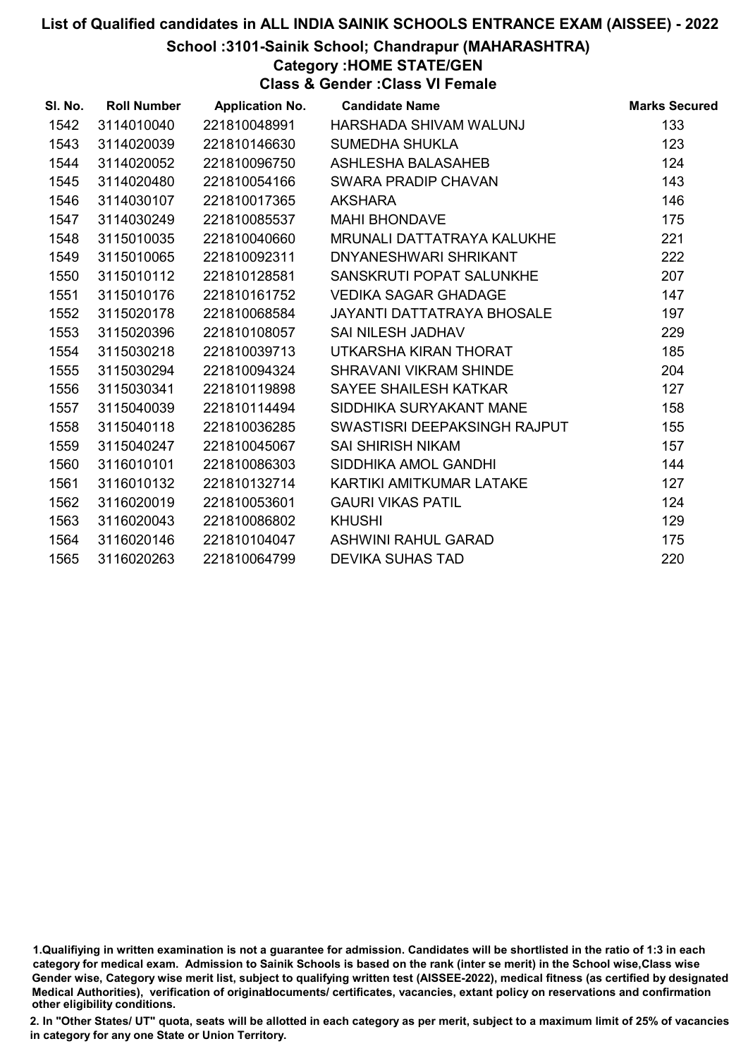#### School :3101-Sainik School; Chandrapur (MAHARASHTRA)

## Category :HOME STATE/GEN

Class & Gender :Class VI Female

| SI. No. | <b>Roll Number</b> | <b>Application No.</b> | <b>Candidate Name</b>             | <b>Marks Secured</b> |
|---------|--------------------|------------------------|-----------------------------------|----------------------|
| 1542    | 3114010040         | 221810048991           | HARSHADA SHIVAM WALUNJ            | 133                  |
| 1543    | 3114020039         | 221810146630           | <b>SUMEDHA SHUKLA</b>             | 123                  |
| 1544    | 3114020052         | 221810096750           | <b>ASHLESHA BALASAHEB</b>         | 124                  |
| 1545    | 3114020480         | 221810054166           | SWARA PRADIP CHAVAN               | 143                  |
| 1546    | 3114030107         | 221810017365           | <b>AKSHARA</b>                    | 146                  |
| 1547    | 3114030249         | 221810085537           | <b>MAHI BHONDAVE</b>              | 175                  |
| 1548    | 3115010035         | 221810040660           | <b>MRUNALI DATTATRAYA KALUKHE</b> | 221                  |
| 1549    | 3115010065         | 221810092311           | DNYANESHWARI SHRIKANT             | 222                  |
| 1550    | 3115010112         | 221810128581           | SANSKRUTI POPAT SALUNKHE          | 207                  |
| 1551    | 3115010176         | 221810161752           | <b>VEDIKA SAGAR GHADAGE</b>       | 147                  |
| 1552    | 3115020178         | 221810068584           | <b>JAYANTI DATTATRAYA BHOSALE</b> | 197                  |
| 1553    | 3115020396         | 221810108057           | <b>SAI NILESH JADHAV</b>          | 229                  |
| 1554    | 3115030218         | 221810039713           | UTKARSHA KIRAN THORAT             | 185                  |
| 1555    | 3115030294         | 221810094324           | <b>SHRAVANI VIKRAM SHINDE</b>     | 204                  |
| 1556    | 3115030341         | 221810119898           | SAYEE SHAILESH KATKAR             | 127                  |
| 1557    | 3115040039         | 221810114494           | SIDDHIKA SURYAKANT MANE           | 158                  |
| 1558    | 3115040118         | 221810036285           | SWASTISRI DEEPAKSINGH RAJPUT      | 155                  |
| 1559    | 3115040247         | 221810045067           | <b>SAI SHIRISH NIKAM</b>          | 157                  |
| 1560    | 3116010101         | 221810086303           | SIDDHIKA AMOL GANDHI              | 144                  |
| 1561    | 3116010132         | 221810132714           | KARTIKI AMITKUMAR LATAKE          | 127                  |
| 1562    | 3116020019         | 221810053601           | <b>GAURI VIKAS PATIL</b>          | 124                  |
| 1563    | 3116020043         | 221810086802           | <b>KHUSHI</b>                     | 129                  |
| 1564    | 3116020146         | 221810104047           | ASHWINI RAHUL GARAD               | 175                  |
| 1565    | 3116020263         | 221810064799           | <b>DEVIKA SUHAS TAD</b>           | 220                  |

<sup>1.</sup>Qualifiying in written examination is not a guarantee for admission. Candidates will be shortlisted in the ratio of 1:3 in each category for medical exam. Admission to Sainik Schools is based on the rank (inter se merit) in the School wise,Class wise Gender wise, Category wise merit list, subject to qualifying written test (AISSEE-2022), medical fitness (as certified by designated Medical Authorities), verification of originablocuments/ certificates, vacancies, extant policy on reservations and confirmation other eligibility conditions.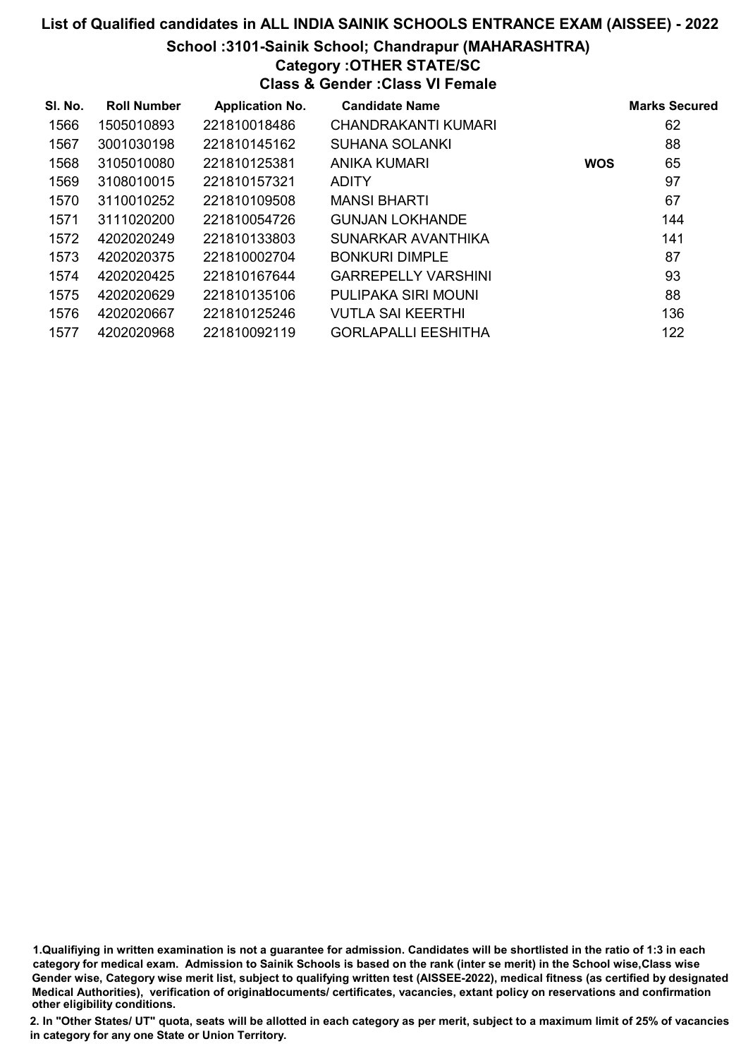#### School :3101-Sainik School; Chandrapur (MAHARASHTRA)

## Category :OTHER STATE/SC

Class & Gender :Class VI Female

| SI. No. | <b>Roll Number</b> | <b>Application No.</b> | <b>Candidate Name</b>      |            | <b>Marks Secured</b> |
|---------|--------------------|------------------------|----------------------------|------------|----------------------|
| 1566    | 1505010893         | 221810018486           | CHANDRAKANTI KUMARI        |            | 62                   |
| 1567    | 3001030198         | 221810145162           | <b>SUHANA SOLANKI</b>      |            | 88                   |
| 1568    | 3105010080         | 221810125381           | <b>ANIKA KUMARI</b>        | <b>WOS</b> | 65                   |
| 1569    | 3108010015         | 221810157321           | <b>ADITY</b>               |            | 97                   |
| 1570    | 3110010252         | 221810109508           | <b>MANSI BHARTI</b>        |            | 67                   |
| 1571    | 3111020200         | 221810054726           | <b>GUNJAN LOKHANDE</b>     |            | 144                  |
| 1572    | 4202020249         | 221810133803           | SUNARKAR AVANTHIKA         |            | 141                  |
| 1573    | 4202020375         | 221810002704           | <b>BONKURI DIMPLE</b>      |            | 87                   |
| 1574    | 4202020425         | 221810167644           | <b>GARREPELLY VARSHINI</b> |            | 93                   |
| 1575    | 4202020629         | 221810135106           | PULIPAKA SIRI MOUNI        |            | 88                   |
| 1576    | 4202020667         | 221810125246           | <b>VUTLA SAI KEERTHI</b>   |            | 136                  |
| 1577    | 4202020968         | 221810092119           | <b>GORLAPALLI EESHITHA</b> |            | 122                  |

1.Qualifiying in written examination is not a guarantee for admission. Candidates will be shortlisted in the ratio of 1:3 in each category for medical exam. Admission to Sainik Schools is based on the rank (inter se merit) in the School wise,Class wise Gender wise, Category wise merit list, subject to qualifying written test (AISSEE-2022), medical fitness (as certified by designated Medical Authorities), verification of originablocuments/ certificates, vacancies, extant policy on reservations and confirmation other eligibility conditions.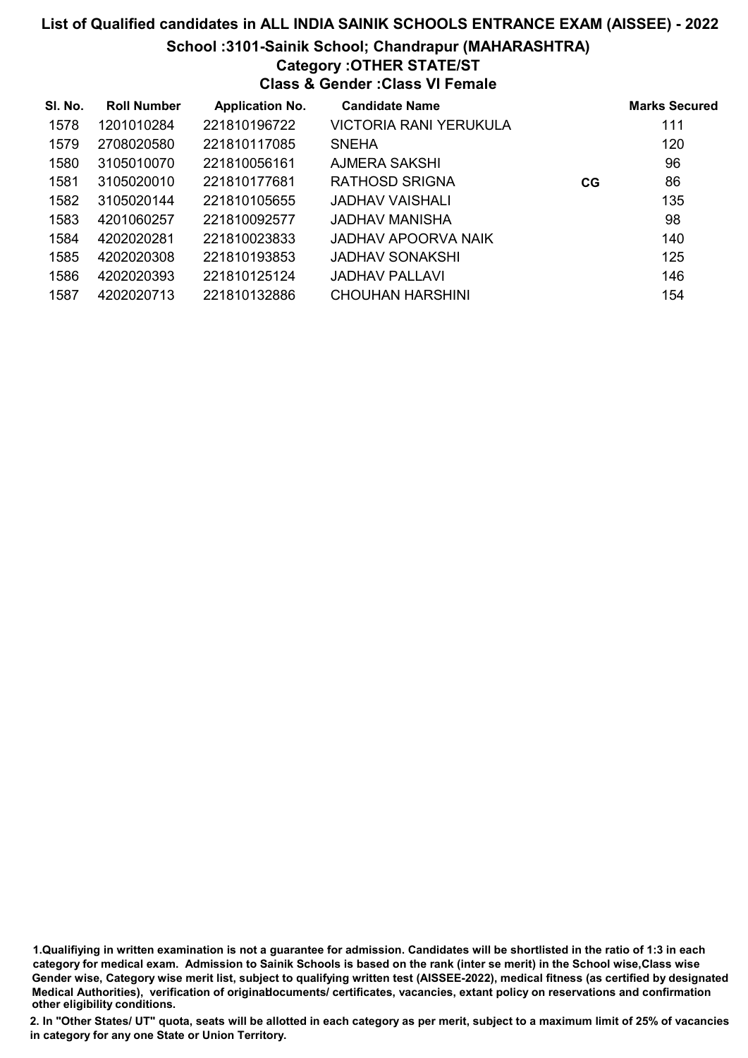#### School :3101-Sainik School; Chandrapur (MAHARASHTRA)

### Category :OTHER STATE/ST

Class & Gender :Class VI Female

| SI. No. | <b>Roll Number</b> | <b>Application No.</b> | <b>Candidate Name</b>  |    | <b>Marks Secured</b> |
|---------|--------------------|------------------------|------------------------|----|----------------------|
| 1578    | 1201010284         | 221810196722           | VICTORIA RANI YERUKULA |    | 111                  |
| 1579    | 2708020580         | 221810117085           | <b>SNEHA</b>           |    | 120                  |
| 1580    | 3105010070         | 221810056161           | AJMERA SAKSHI          |    | 96                   |
| 1581    | 3105020010         | 221810177681           | <b>RATHOSD SRIGNA</b>  | CG | 86                   |
| 1582    | 3105020144         | 221810105655           | JADHAV VAISHALI        |    | 135                  |
| 1583    | 4201060257         | 221810092577           | JADHAV MANISHA         |    | 98                   |
| 1584    | 4202020281         | 221810023833           | JADHAV APOORVA NAIK    |    | 140                  |
| 1585    | 4202020308         | 221810193853           | JADHAV SONAKSHI        |    | 125                  |
| 1586    | 4202020393         | 221810125124           | JADHAV PALLAVI         |    | 146                  |
| 1587    | 4202020713         | 221810132886           | CHOUHAN HARSHINI       |    | 154                  |

1.Qualifiying in written examination is not a guarantee for admission. Candidates will be shortlisted in the ratio of 1:3 in each category for medical exam. Admission to Sainik Schools is based on the rank (inter se merit) in the School wise,Class wise Gender wise, Category wise merit list, subject to qualifying written test (AISSEE-2022), medical fitness (as certified by designated Medical Authorities), verification of originablocuments/ certificates, vacancies, extant policy on reservations and confirmation other eligibility conditions.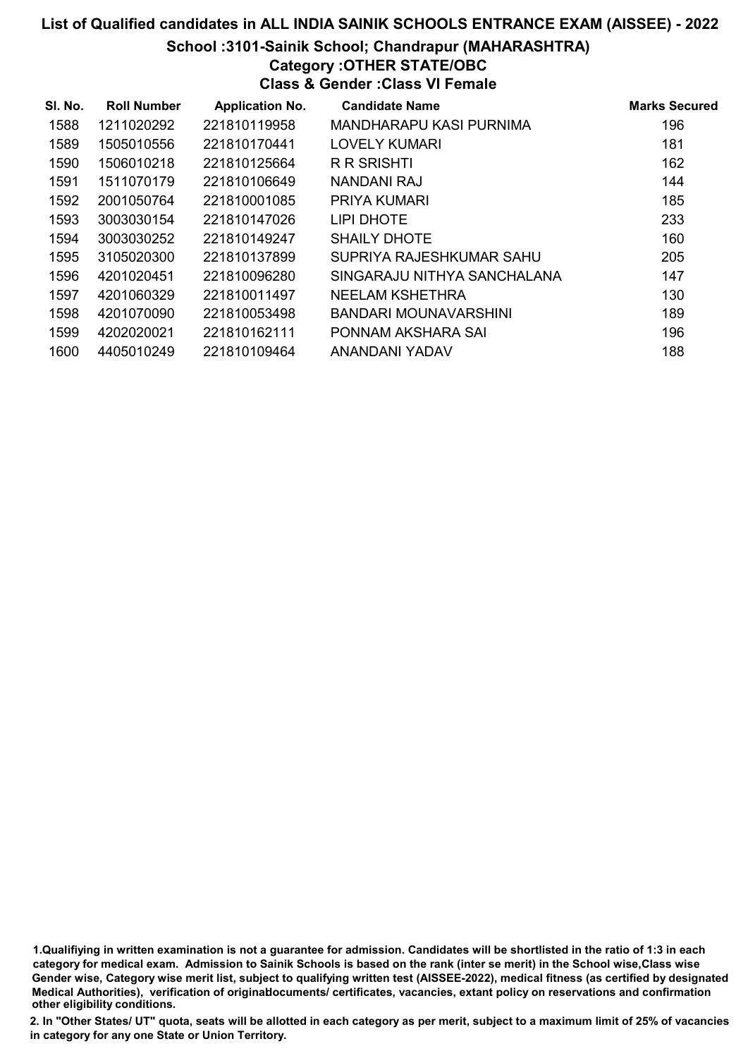#### School :3101-Sainik School; Chandrapur (MAHARASHTRA)

# Category :OTHER STATE/OBC

Class & Gender :Class VI Female

| SI. No. | <b>Roll Number</b> | <b>Application No.</b> | <b>Candidate Name</b>       | <b>Marks Secured</b> |
|---------|--------------------|------------------------|-----------------------------|----------------------|
| 1588    | 1211020292         | 221810119958           | MANDHARAPU KASI PURNIMA     | 196                  |
| 1589    | 1505010556         | 221810170441           | LOVELY KUMARI               | 181                  |
| 1590    | 1506010218         | 221810125664           | <b>R R SRISHTI</b>          | 162                  |
| 1591    | 1511070179         | 221810106649           | NANDANI RAJ                 | 144                  |
| 1592    | 2001050764         | 221810001085           | <b>PRIYA KUMARI</b>         | 185                  |
| 1593    | 3003030154         | 221810147026           | LIPI DHOTE                  | 233                  |
| 1594    | 3003030252         | 221810149247           | <b>SHAILY DHOTE</b>         | 160                  |
| 1595    | 3105020300         | 221810137899           | SUPRIYA RAJESHKUMAR SAHU    | 205                  |
| 1596    | 4201020451         | 221810096280           | SINGARAJU NITHYA SANCHALANA | 147                  |
| 1597    | 4201060329         | 221810011497           | <b>NEELAM KSHETHRA</b>      | 130                  |
| 1598    | 4201070090         | 221810053498           | BANDARI MOUNAVARSHINI       | 189                  |
| 1599    | 4202020021         | 221810162111           | PONNAM AKSHARA SAI          | 196                  |
| 1600    | 4405010249         | 221810109464           | ANANDANI YADAV              | 188                  |

1.Qualifiying in written examination is not a guarantee for admission. Candidates will be shortlisted in the ratio of 1:3 in each category for medical exam. Admission to Sainik Schools is based on the rank (inter se merit) in the School wise,Class wise Gender wise, Category wise merit list, subject to qualifying written test (AISSEE-2022), medical fitness (as certified by designated Medical Authorities), verification of originablocuments/ certificates, vacancies, extant policy on reservations and confirmation other eligibility conditions.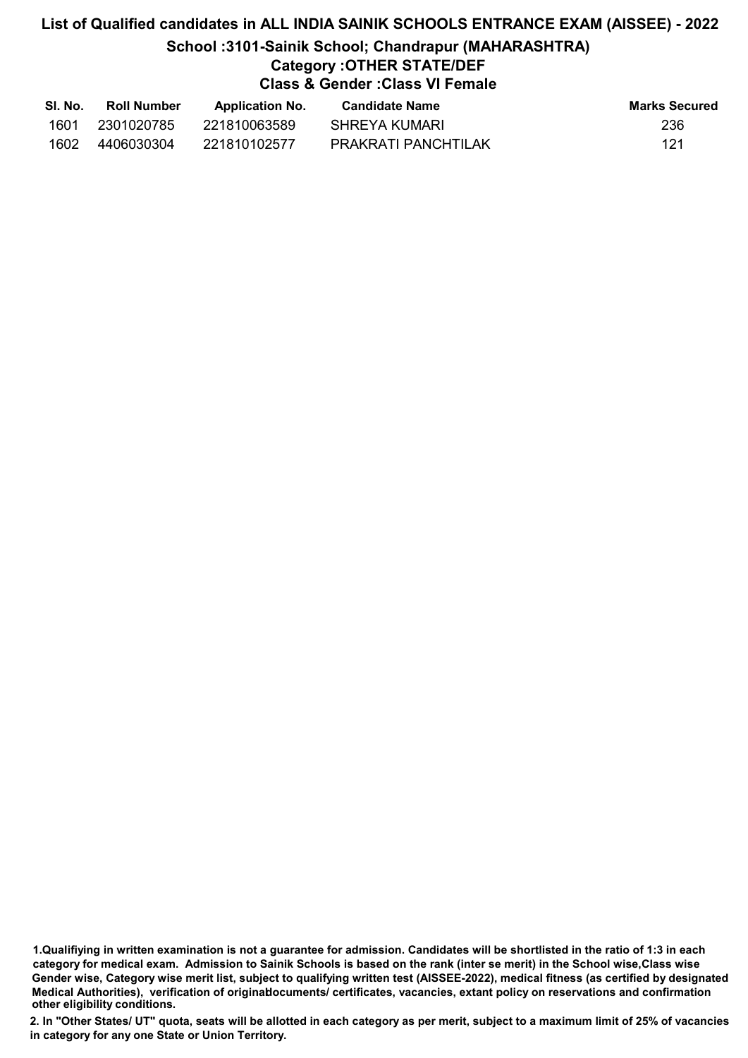## School :3101-Sainik School; Chandrapur (MAHARASHTRA)

## Category :OTHER STATE/DEF

Class & Gender :Class VI Female

| SI. No. | <b>Roll Number</b> | <b>Application No.</b> | Candidate Name      | <b>Marks Secured</b> |
|---------|--------------------|------------------------|---------------------|----------------------|
| 1601    | 2301020785         | 221810063589           | SHREYA KUMARI       | 236                  |
| 1602    | 4406030304         | 221810102577           | PRAKRATI PANCHTILAK | 121                  |

<sup>1.</sup>Qualifiying in written examination is not a guarantee for admission. Candidates will be shortlisted in the ratio of 1:3 in each category for medical exam. Admission to Sainik Schools is based on the rank (inter se merit) in the School wise,Class wise Gender wise, Category wise merit list, subject to qualifying written test (AISSEE-2022), medical fitness (as certified by designated Medical Authorities), verification of originablocuments/ certificates, vacancies, extant policy on reservations and confirmation other eligibility conditions.